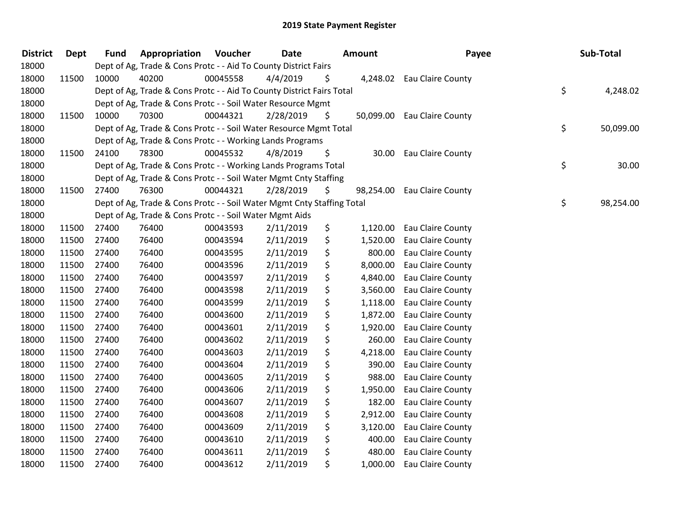| <b>District</b> | <b>Dept</b> | <b>Fund</b> | Appropriation                                                          | Voucher  | Date      |     | Amount    | Payee                       | Sub-Total       |
|-----------------|-------------|-------------|------------------------------------------------------------------------|----------|-----------|-----|-----------|-----------------------------|-----------------|
| 18000           |             |             | Dept of Ag, Trade & Cons Protc - - Aid To County District Fairs        |          |           |     |           |                             |                 |
| 18000           | 11500       | 10000       | 40200                                                                  | 00045558 | 4/4/2019  | \$. |           | 4,248.02 Eau Claire County  |                 |
| 18000           |             |             | Dept of Ag, Trade & Cons Protc - - Aid To County District Fairs Total  |          |           |     |           |                             | \$<br>4,248.02  |
| 18000           |             |             | Dept of Ag, Trade & Cons Protc - - Soil Water Resource Mgmt            |          |           |     |           |                             |                 |
| 18000           | 11500       | 10000       | 70300                                                                  | 00044321 | 2/28/2019 | \$  |           | 50,099.00 Eau Claire County |                 |
| 18000           |             |             | Dept of Ag, Trade & Cons Protc - - Soil Water Resource Mgmt Total      |          |           |     |           |                             | \$<br>50,099.00 |
| 18000           |             |             | Dept of Ag, Trade & Cons Protc - - Working Lands Programs              |          |           |     |           |                             |                 |
| 18000           | 11500       | 24100       | 78300                                                                  | 00045532 | 4/8/2019  | \$  | 30.00     | Eau Claire County           |                 |
| 18000           |             |             | Dept of Ag, Trade & Cons Protc - - Working Lands Programs Total        |          |           |     |           |                             | \$<br>30.00     |
| 18000           |             |             | Dept of Ag, Trade & Cons Protc - - Soil Water Mgmt Cnty Staffing       |          |           |     |           |                             |                 |
| 18000           | 11500       | 27400       | 76300                                                                  | 00044321 | 2/28/2019 | \$  | 98,254.00 | Eau Claire County           |                 |
| 18000           |             |             | Dept of Ag, Trade & Cons Protc - - Soil Water Mgmt Cnty Staffing Total |          |           |     |           |                             | \$<br>98,254.00 |
| 18000           |             |             | Dept of Ag, Trade & Cons Protc - - Soil Water Mgmt Aids                |          |           |     |           |                             |                 |
| 18000           | 11500       | 27400       | 76400                                                                  | 00043593 | 2/11/2019 | \$  | 1,120.00  | Eau Claire County           |                 |
| 18000           | 11500       | 27400       | 76400                                                                  | 00043594 | 2/11/2019 | \$  | 1,520.00  | Eau Claire County           |                 |
| 18000           | 11500       | 27400       | 76400                                                                  | 00043595 | 2/11/2019 | \$  | 800.00    | <b>Eau Claire County</b>    |                 |
| 18000           | 11500       | 27400       | 76400                                                                  | 00043596 | 2/11/2019 | \$  | 8,000.00  | Eau Claire County           |                 |
| 18000           | 11500       | 27400       | 76400                                                                  | 00043597 | 2/11/2019 | \$  | 4,840.00  | Eau Claire County           |                 |
| 18000           | 11500       | 27400       | 76400                                                                  | 00043598 | 2/11/2019 | \$  | 3,560.00  | Eau Claire County           |                 |
| 18000           | 11500       | 27400       | 76400                                                                  | 00043599 | 2/11/2019 | \$  | 1,118.00  | Eau Claire County           |                 |
| 18000           | 11500       | 27400       | 76400                                                                  | 00043600 | 2/11/2019 | \$  | 1,872.00  | Eau Claire County           |                 |
| 18000           | 11500       | 27400       | 76400                                                                  | 00043601 | 2/11/2019 | \$  | 1,920.00  | Eau Claire County           |                 |
| 18000           | 11500       | 27400       | 76400                                                                  | 00043602 | 2/11/2019 | \$  | 260.00    | Eau Claire County           |                 |
| 18000           | 11500       | 27400       | 76400                                                                  | 00043603 | 2/11/2019 | \$  | 4,218.00  | Eau Claire County           |                 |
| 18000           | 11500       | 27400       | 76400                                                                  | 00043604 | 2/11/2019 | \$  | 390.00    | Eau Claire County           |                 |
| 18000           | 11500       | 27400       | 76400                                                                  | 00043605 | 2/11/2019 | \$  | 988.00    | Eau Claire County           |                 |
| 18000           | 11500       | 27400       | 76400                                                                  | 00043606 | 2/11/2019 | \$  | 1,950.00  | Eau Claire County           |                 |
| 18000           | 11500       | 27400       | 76400                                                                  | 00043607 | 2/11/2019 | \$  | 182.00    | Eau Claire County           |                 |
| 18000           | 11500       | 27400       | 76400                                                                  | 00043608 | 2/11/2019 | \$  | 2,912.00  | Eau Claire County           |                 |
| 18000           | 11500       | 27400       | 76400                                                                  | 00043609 | 2/11/2019 | \$  | 3,120.00  | Eau Claire County           |                 |
| 18000           | 11500       | 27400       | 76400                                                                  | 00043610 | 2/11/2019 | \$  | 400.00    | Eau Claire County           |                 |
| 18000           | 11500       | 27400       | 76400                                                                  | 00043611 | 2/11/2019 | \$  | 480.00    | Eau Claire County           |                 |
| 18000           | 11500       | 27400       | 76400                                                                  | 00043612 | 2/11/2019 | \$  | 1,000.00  | Eau Claire County           |                 |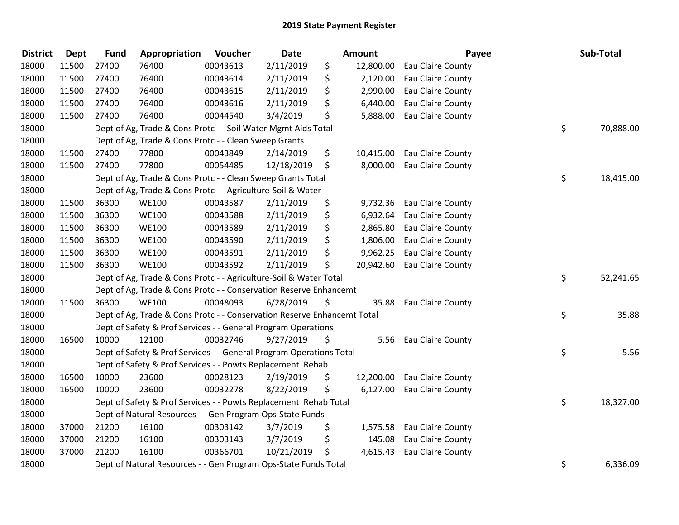| <b>District</b> | Dept  | <b>Fund</b> | Appropriation                                                           | Voucher  | Date       | <b>Amount</b>   | Payee                      | Sub-Total       |
|-----------------|-------|-------------|-------------------------------------------------------------------------|----------|------------|-----------------|----------------------------|-----------------|
| 18000           | 11500 | 27400       | 76400                                                                   | 00043613 | 2/11/2019  | \$<br>12,800.00 | Eau Claire County          |                 |
| 18000           | 11500 | 27400       | 76400                                                                   | 00043614 | 2/11/2019  | \$<br>2,120.00  | Eau Claire County          |                 |
| 18000           | 11500 | 27400       | 76400                                                                   | 00043615 | 2/11/2019  | \$<br>2,990.00  | Eau Claire County          |                 |
| 18000           | 11500 | 27400       | 76400                                                                   | 00043616 | 2/11/2019  | \$<br>6,440.00  | Eau Claire County          |                 |
| 18000           | 11500 | 27400       | 76400                                                                   | 00044540 | 3/4/2019   | \$<br>5,888.00  | Eau Claire County          |                 |
| 18000           |       |             | Dept of Ag, Trade & Cons Protc - - Soil Water Mgmt Aids Total           |          |            |                 |                            | \$<br>70,888.00 |
| 18000           |       |             | Dept of Ag, Trade & Cons Protc - - Clean Sweep Grants                   |          |            |                 |                            |                 |
| 18000           | 11500 | 27400       | 77800                                                                   | 00043849 | 2/14/2019  | \$<br>10,415.00 | Eau Claire County          |                 |
| 18000           | 11500 | 27400       | 77800                                                                   | 00054485 | 12/18/2019 | \$<br>8,000.00  | Eau Claire County          |                 |
| 18000           |       |             | Dept of Ag, Trade & Cons Protc - - Clean Sweep Grants Total             |          |            |                 |                            | \$<br>18,415.00 |
| 18000           |       |             | Dept of Ag, Trade & Cons Protc - - Agriculture-Soil & Water             |          |            |                 |                            |                 |
| 18000           | 11500 | 36300       | <b>WE100</b>                                                            | 00043587 | 2/11/2019  | \$              | 9,732.36 Eau Claire County |                 |
| 18000           | 11500 | 36300       | <b>WE100</b>                                                            | 00043588 | 2/11/2019  | \$              | 6,932.64 Eau Claire County |                 |
| 18000           | 11500 | 36300       | <b>WE100</b>                                                            | 00043589 | 2/11/2019  | \$<br>2,865.80  | Eau Claire County          |                 |
| 18000           | 11500 | 36300       | <b>WE100</b>                                                            | 00043590 | 2/11/2019  | \$<br>1,806.00  | Eau Claire County          |                 |
| 18000           | 11500 | 36300       | <b>WE100</b>                                                            | 00043591 | 2/11/2019  | \$<br>9,962.25  | Eau Claire County          |                 |
| 18000           | 11500 | 36300       | <b>WE100</b>                                                            | 00043592 | 2/11/2019  | \$<br>20,942.60 | Eau Claire County          |                 |
| 18000           |       |             | Dept of Ag, Trade & Cons Protc - - Agriculture-Soil & Water Total       |          |            |                 |                            | \$<br>52,241.65 |
| 18000           |       |             | Dept of Ag, Trade & Cons Protc - - Conservation Reserve Enhancemt       |          |            |                 |                            |                 |
| 18000           | 11500 | 36300       | <b>WF100</b>                                                            | 00048093 | 6/28/2019  | \$<br>35.88     | Eau Claire County          |                 |
| 18000           |       |             | Dept of Ag, Trade & Cons Protc - - Conservation Reserve Enhancemt Total |          |            |                 |                            | \$<br>35.88     |
| 18000           |       |             | Dept of Safety & Prof Services - - General Program Operations           |          |            |                 |                            |                 |
| 18000           | 16500 | 10000       | 12100                                                                   | 00032746 | 9/27/2019  | \$              | 5.56 Eau Claire County     |                 |
| 18000           |       |             | Dept of Safety & Prof Services - - General Program Operations Total     |          |            |                 |                            | \$<br>5.56      |
| 18000           |       |             | Dept of Safety & Prof Services - - Powts Replacement Rehab              |          |            |                 |                            |                 |
| 18000           | 16500 | 10000       | 23600                                                                   | 00028123 | 2/19/2019  | \$<br>12,200.00 | Eau Claire County          |                 |
| 18000           | 16500 | 10000       | 23600                                                                   | 00032278 | 8/22/2019  | \$              | 6,127.00 Eau Claire County |                 |
| 18000           |       |             | Dept of Safety & Prof Services - - Powts Replacement Rehab Total        |          |            |                 |                            | \$<br>18,327.00 |
| 18000           |       |             | Dept of Natural Resources - - Gen Program Ops-State Funds               |          |            |                 |                            |                 |
| 18000           | 37000 | 21200       | 16100                                                                   | 00303142 | 3/7/2019   | \$<br>1,575.58  | Eau Claire County          |                 |
| 18000           | 37000 | 21200       | 16100                                                                   | 00303143 | 3/7/2019   | \$<br>145.08    | Eau Claire County          |                 |
| 18000           | 37000 | 21200       | 16100                                                                   | 00366701 | 10/21/2019 | \$              | 4,615.43 Eau Claire County |                 |
| 18000           |       |             | Dept of Natural Resources - - Gen Program Ops-State Funds Total         |          |            |                 |                            | \$<br>6,336.09  |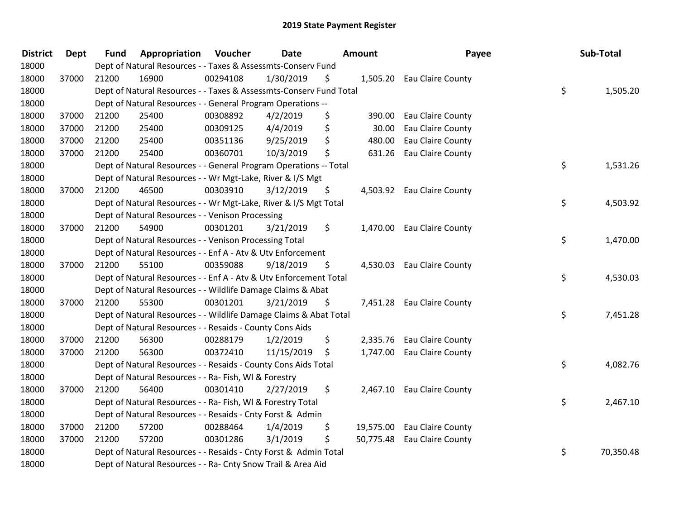| <b>District</b> | Dept  | <b>Fund</b> | Appropriation                                                      | Voucher  | <b>Date</b> | Amount          | Payee                       | Sub-Total       |
|-----------------|-------|-------------|--------------------------------------------------------------------|----------|-------------|-----------------|-----------------------------|-----------------|
| 18000           |       |             | Dept of Natural Resources - - Taxes & Assessmts-Conserv Fund       |          |             |                 |                             |                 |
| 18000           | 37000 | 21200       | 16900                                                              | 00294108 | 1/30/2019   | \$              | 1,505.20 Eau Claire County  |                 |
| 18000           |       |             | Dept of Natural Resources - - Taxes & Assessmts-Conserv Fund Total |          |             |                 |                             | \$<br>1,505.20  |
| 18000           |       |             | Dept of Natural Resources - - General Program Operations --        |          |             |                 |                             |                 |
| 18000           | 37000 | 21200       | 25400                                                              | 00308892 | 4/2/2019    | \$<br>390.00    | Eau Claire County           |                 |
| 18000           | 37000 | 21200       | 25400                                                              | 00309125 | 4/4/2019    | \$<br>30.00     | Eau Claire County           |                 |
| 18000           | 37000 | 21200       | 25400                                                              | 00351136 | 9/25/2019   | \$<br>480.00    | Eau Claire County           |                 |
| 18000           | 37000 | 21200       | 25400                                                              | 00360701 | 10/3/2019   | \$<br>631.26    | Eau Claire County           |                 |
| 18000           |       |             | Dept of Natural Resources - - General Program Operations -- Total  |          |             |                 |                             | \$<br>1,531.26  |
| 18000           |       |             | Dept of Natural Resources - - Wr Mgt-Lake, River & I/S Mgt         |          |             |                 |                             |                 |
| 18000           | 37000 | 21200       | 46500                                                              | 00303910 | 3/12/2019   | \$              | 4,503.92 Eau Claire County  |                 |
| 18000           |       |             | Dept of Natural Resources - - Wr Mgt-Lake, River & I/S Mgt Total   |          |             |                 |                             | \$<br>4,503.92  |
| 18000           |       |             | Dept of Natural Resources - - Venison Processing                   |          |             |                 |                             |                 |
| 18000           | 37000 | 21200       | 54900                                                              | 00301201 | 3/21/2019   | \$              | 1,470.00 Eau Claire County  |                 |
| 18000           |       |             | Dept of Natural Resources - - Venison Processing Total             |          |             |                 |                             | \$<br>1,470.00  |
| 18000           |       |             | Dept of Natural Resources - - Enf A - Atv & Utv Enforcement        |          |             |                 |                             |                 |
| 18000           | 37000 | 21200       | 55100                                                              | 00359088 | 9/18/2019   | \$<br>4,530.03  | Eau Claire County           |                 |
| 18000           |       |             | Dept of Natural Resources - - Enf A - Atv & Utv Enforcement Total  |          |             |                 |                             | \$<br>4,530.03  |
| 18000           |       |             | Dept of Natural Resources - - Wildlife Damage Claims & Abat        |          |             |                 |                             |                 |
| 18000           | 37000 | 21200       | 55300                                                              | 00301201 | 3/21/2019   | \$              | 7,451.28 Eau Claire County  |                 |
| 18000           |       |             | Dept of Natural Resources - - Wildlife Damage Claims & Abat Total  |          |             |                 |                             | \$<br>7,451.28  |
| 18000           |       |             | Dept of Natural Resources - - Resaids - County Cons Aids           |          |             |                 |                             |                 |
| 18000           | 37000 | 21200       | 56300                                                              | 00288179 | 1/2/2019    | \$              | 2,335.76 Eau Claire County  |                 |
| 18000           | 37000 | 21200       | 56300                                                              | 00372410 | 11/15/2019  | \$<br>1,747.00  | Eau Claire County           |                 |
| 18000           |       |             | Dept of Natural Resources - - Resaids - County Cons Aids Total     |          |             |                 |                             | \$<br>4,082.76  |
| 18000           |       |             | Dept of Natural Resources - - Ra- Fish, WI & Forestry              |          |             |                 |                             |                 |
| 18000           | 37000 | 21200       | 56400                                                              | 00301410 | 2/27/2019   | \$              | 2,467.10 Eau Claire County  |                 |
| 18000           |       |             | Dept of Natural Resources - - Ra- Fish, WI & Forestry Total        |          |             |                 |                             | \$<br>2,467.10  |
| 18000           |       |             | Dept of Natural Resources - - Resaids - Cnty Forst & Admin         |          |             |                 |                             |                 |
| 18000           | 37000 | 21200       | 57200                                                              | 00288464 | 1/4/2019    | \$              | 19,575.00 Eau Claire County |                 |
| 18000           | 37000 | 21200       | 57200                                                              | 00301286 | 3/1/2019    | \$<br>50,775.48 | Eau Claire County           |                 |
| 18000           |       |             | Dept of Natural Resources - - Resaids - Cnty Forst & Admin Total   |          |             |                 |                             | \$<br>70,350.48 |
| 18000           |       |             | Dept of Natural Resources - - Ra- Cnty Snow Trail & Area Aid       |          |             |                 |                             |                 |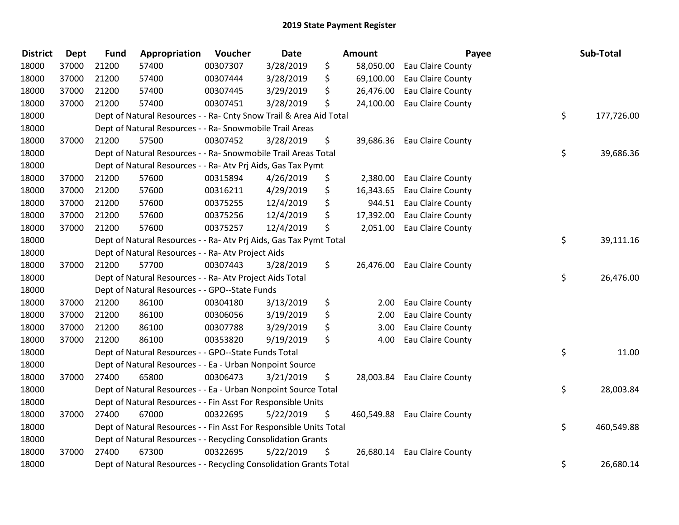| <b>District</b> | <b>Dept</b> | <b>Fund</b> | Appropriation                                                      | Voucher  | Date      | <b>Amount</b>   | Payee                        | Sub-Total        |
|-----------------|-------------|-------------|--------------------------------------------------------------------|----------|-----------|-----------------|------------------------------|------------------|
| 18000           | 37000       | 21200       | 57400                                                              | 00307307 | 3/28/2019 | \$<br>58,050.00 | Eau Claire County            |                  |
| 18000           | 37000       | 21200       | 57400                                                              | 00307444 | 3/28/2019 | \$<br>69,100.00 | Eau Claire County            |                  |
| 18000           | 37000       | 21200       | 57400                                                              | 00307445 | 3/29/2019 | \$<br>26,476.00 | Eau Claire County            |                  |
| 18000           | 37000       | 21200       | 57400                                                              | 00307451 | 3/28/2019 | \$<br>24,100.00 | Eau Claire County            |                  |
| 18000           |             |             | Dept of Natural Resources - - Ra- Cnty Snow Trail & Area Aid Total |          |           |                 |                              | \$<br>177,726.00 |
| 18000           |             |             | Dept of Natural Resources - - Ra- Snowmobile Trail Areas           |          |           |                 |                              |                  |
| 18000           | 37000       | 21200       | 57500                                                              | 00307452 | 3/28/2019 | \$              | 39,686.36 Eau Claire County  |                  |
| 18000           |             |             | Dept of Natural Resources - - Ra- Snowmobile Trail Areas Total     |          |           |                 |                              | \$<br>39,686.36  |
| 18000           |             |             | Dept of Natural Resources - - Ra- Atv Prj Aids, Gas Tax Pymt       |          |           |                 |                              |                  |
| 18000           | 37000       | 21200       | 57600                                                              | 00315894 | 4/26/2019 | \$<br>2,380.00  | Eau Claire County            |                  |
| 18000           | 37000       | 21200       | 57600                                                              | 00316211 | 4/29/2019 | \$<br>16,343.65 | Eau Claire County            |                  |
| 18000           | 37000       | 21200       | 57600                                                              | 00375255 | 12/4/2019 | \$<br>944.51    | Eau Claire County            |                  |
| 18000           | 37000       | 21200       | 57600                                                              | 00375256 | 12/4/2019 | \$<br>17,392.00 | Eau Claire County            |                  |
| 18000           | 37000       | 21200       | 57600                                                              | 00375257 | 12/4/2019 | \$              | 2,051.00 Eau Claire County   |                  |
| 18000           |             |             | Dept of Natural Resources - - Ra- Atv Prj Aids, Gas Tax Pymt Total |          |           |                 |                              | \$<br>39,111.16  |
| 18000           |             |             | Dept of Natural Resources - - Ra- Atv Project Aids                 |          |           |                 |                              |                  |
| 18000           | 37000       | 21200       | 57700                                                              | 00307443 | 3/28/2019 | \$<br>26,476.00 | Eau Claire County            |                  |
| 18000           |             |             | Dept of Natural Resources - - Ra- Atv Project Aids Total           |          |           |                 |                              | \$<br>26,476.00  |
| 18000           |             |             | Dept of Natural Resources - - GPO--State Funds                     |          |           |                 |                              |                  |
| 18000           | 37000       | 21200       | 86100                                                              | 00304180 | 3/13/2019 | \$<br>2.00      | Eau Claire County            |                  |
| 18000           | 37000       | 21200       | 86100                                                              | 00306056 | 3/19/2019 | \$<br>2.00      | Eau Claire County            |                  |
| 18000           | 37000       | 21200       | 86100                                                              | 00307788 | 3/29/2019 | \$<br>3.00      | Eau Claire County            |                  |
| 18000           | 37000       | 21200       | 86100                                                              | 00353820 | 9/19/2019 | \$<br>4.00      | Eau Claire County            |                  |
| 18000           |             |             | Dept of Natural Resources - - GPO--State Funds Total               |          |           |                 |                              | \$<br>11.00      |
| 18000           |             |             | Dept of Natural Resources - - Ea - Urban Nonpoint Source           |          |           |                 |                              |                  |
| 18000           | 37000       | 27400       | 65800                                                              | 00306473 | 3/21/2019 | \$<br>28,003.84 | Eau Claire County            |                  |
| 18000           |             |             | Dept of Natural Resources - - Ea - Urban Nonpoint Source Total     |          |           |                 |                              | \$<br>28,003.84  |
| 18000           |             |             | Dept of Natural Resources - - Fin Asst For Responsible Units       |          |           |                 |                              |                  |
| 18000           | 37000       | 27400       | 67000                                                              | 00322695 | 5/22/2019 | \$              | 460,549.88 Eau Claire County |                  |
| 18000           |             |             | Dept of Natural Resources - - Fin Asst For Responsible Units Total |          |           |                 |                              | \$<br>460,549.88 |
| 18000           |             |             | Dept of Natural Resources - - Recycling Consolidation Grants       |          |           |                 |                              |                  |
| 18000           | 37000       | 27400       | 67300                                                              | 00322695 | 5/22/2019 | \$              | 26,680.14 Eau Claire County  |                  |
| 18000           |             |             | Dept of Natural Resources - - Recycling Consolidation Grants Total |          |           |                 |                              | \$<br>26,680.14  |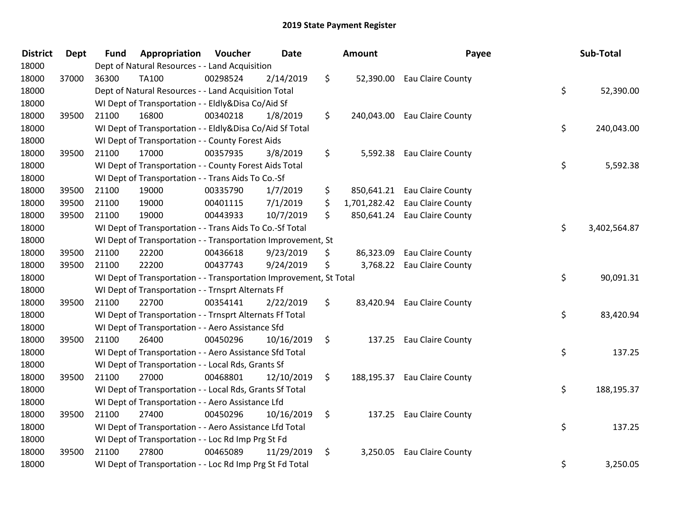| <b>District</b> | <b>Dept</b> | <b>Fund</b> | Appropriation                                                      | Voucher  | Date       |                    | <b>Amount</b> | Payee                        | Sub-Total          |
|-----------------|-------------|-------------|--------------------------------------------------------------------|----------|------------|--------------------|---------------|------------------------------|--------------------|
| 18000           |             |             | Dept of Natural Resources - - Land Acquisition                     |          |            |                    |               |                              |                    |
| 18000           | 37000       | 36300       | <b>TA100</b>                                                       | 00298524 | 2/14/2019  | \$                 |               | 52,390.00 Eau Claire County  |                    |
| 18000           |             |             | Dept of Natural Resources - - Land Acquisition Total               |          |            |                    |               |                              | \$<br>52,390.00    |
| 18000           |             |             | WI Dept of Transportation - - Eldly&Disa Co/Aid Sf                 |          |            |                    |               |                              |                    |
| 18000           | 39500       | 21100       | 16800                                                              | 00340218 | 1/8/2019   | \$                 |               | 240,043.00 Eau Claire County |                    |
| 18000           |             |             | WI Dept of Transportation - - Eldly&Disa Co/Aid Sf Total           |          |            |                    |               |                              | \$<br>240,043.00   |
| 18000           |             |             | WI Dept of Transportation - - County Forest Aids                   |          |            |                    |               |                              |                    |
| 18000           | 39500       | 21100       | 17000                                                              | 00357935 | 3/8/2019   | \$                 |               | 5,592.38 Eau Claire County   |                    |
| 18000           |             |             | WI Dept of Transportation - - County Forest Aids Total             |          |            |                    |               |                              | \$<br>5,592.38     |
| 18000           |             |             | WI Dept of Transportation - - Trans Aids To Co.-Sf                 |          |            |                    |               |                              |                    |
| 18000           | 39500       | 21100       | 19000                                                              | 00335790 | 1/7/2019   | \$                 |               | 850,641.21 Eau Claire County |                    |
| 18000           | 39500       | 21100       | 19000                                                              | 00401115 | 7/1/2019   | \$                 | 1,701,282.42  | Eau Claire County            |                    |
| 18000           | 39500       | 21100       | 19000                                                              | 00443933 | 10/7/2019  | \$                 |               | 850,641.24 Eau Claire County |                    |
| 18000           |             |             | WI Dept of Transportation - - Trans Aids To Co.-Sf Total           |          |            |                    |               |                              | \$<br>3,402,564.87 |
| 18000           |             |             | WI Dept of Transportation - - Transportation Improvement, St       |          |            |                    |               |                              |                    |
| 18000           | 39500       | 21100       | 22200                                                              | 00436618 | 9/23/2019  | \$                 | 86,323.09     | Eau Claire County            |                    |
| 18000           | 39500       | 21100       | 22200                                                              | 00437743 | 9/24/2019  | \$                 |               | 3,768.22 Eau Claire County   |                    |
| 18000           |             |             | WI Dept of Transportation - - Transportation Improvement, St Total |          |            |                    |               |                              | \$<br>90,091.31    |
| 18000           |             |             | WI Dept of Transportation - - Trnsprt Alternats Ff                 |          |            |                    |               |                              |                    |
| 18000           | 39500       | 21100       | 22700                                                              | 00354141 | 2/22/2019  | \$                 |               | 83,420.94 Eau Claire County  |                    |
| 18000           |             |             | WI Dept of Transportation - - Trnsprt Alternats Ff Total           |          |            |                    |               |                              | \$<br>83,420.94    |
| 18000           |             |             | WI Dept of Transportation - - Aero Assistance Sfd                  |          |            |                    |               |                              |                    |
| 18000           | 39500       | 21100       | 26400                                                              | 00450296 | 10/16/2019 | $\ddot{\zeta}$     |               | 137.25 Eau Claire County     |                    |
| 18000           |             |             | WI Dept of Transportation - - Aero Assistance Sfd Total            |          |            |                    |               |                              | \$<br>137.25       |
| 18000           |             |             | WI Dept of Transportation - - Local Rds, Grants Sf                 |          |            |                    |               |                              |                    |
| 18000           | 39500       | 21100       | 27000                                                              | 00468801 | 12/10/2019 | \$                 |               | 188,195.37 Eau Claire County |                    |
| 18000           |             |             | WI Dept of Transportation - - Local Rds, Grants Sf Total           |          |            |                    |               |                              | \$<br>188,195.37   |
| 18000           |             |             | WI Dept of Transportation - - Aero Assistance Lfd                  |          |            |                    |               |                              |                    |
| 18000           | 39500       | 21100       | 27400                                                              | 00450296 | 10/16/2019 | $\ddot{\varsigma}$ | 137.25        | Eau Claire County            |                    |
| 18000           |             |             | WI Dept of Transportation - - Aero Assistance Lfd Total            |          |            |                    |               |                              | \$<br>137.25       |
| 18000           |             |             | WI Dept of Transportation - - Loc Rd Imp Prg St Fd                 |          |            |                    |               |                              |                    |
| 18000           | 39500       | 21100       | 27800                                                              | 00465089 | 11/29/2019 | \$                 |               | 3,250.05 Eau Claire County   |                    |
| 18000           |             |             | WI Dept of Transportation - - Loc Rd Imp Prg St Fd Total           |          |            |                    |               |                              | \$<br>3,250.05     |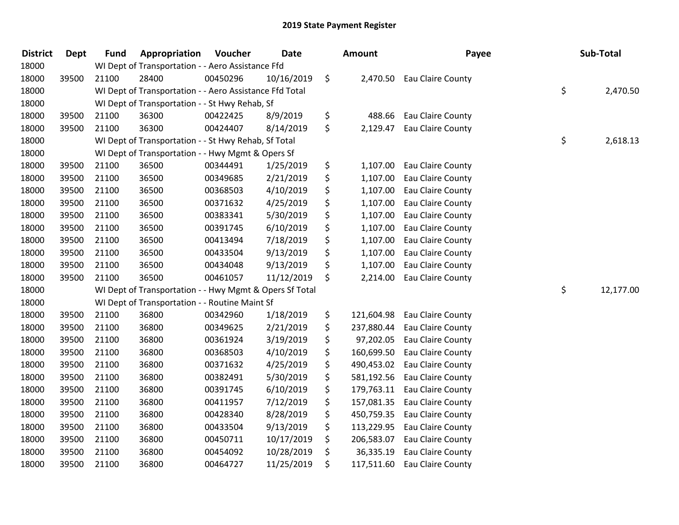| <b>District</b> | <b>Dept</b> | <b>Fund</b> | Appropriation                                           | Voucher  | <b>Date</b> | <b>Amount</b>    | Payee             | Sub-Total       |
|-----------------|-------------|-------------|---------------------------------------------------------|----------|-------------|------------------|-------------------|-----------------|
| 18000           |             |             | WI Dept of Transportation - - Aero Assistance Ffd       |          |             |                  |                   |                 |
| 18000           | 39500       | 21100       | 28400                                                   | 00450296 | 10/16/2019  | \$<br>2,470.50   | Eau Claire County |                 |
| 18000           |             |             | WI Dept of Transportation - - Aero Assistance Ffd Total |          |             |                  |                   | \$<br>2,470.50  |
| 18000           |             |             | WI Dept of Transportation - - St Hwy Rehab, Sf          |          |             |                  |                   |                 |
| 18000           | 39500       | 21100       | 36300                                                   | 00422425 | 8/9/2019    | \$<br>488.66     | Eau Claire County |                 |
| 18000           | 39500       | 21100       | 36300                                                   | 00424407 | 8/14/2019   | \$<br>2,129.47   | Eau Claire County |                 |
| 18000           |             |             | WI Dept of Transportation - - St Hwy Rehab, Sf Total    |          |             |                  |                   | \$<br>2,618.13  |
| 18000           |             |             | WI Dept of Transportation - - Hwy Mgmt & Opers Sf       |          |             |                  |                   |                 |
| 18000           | 39500       | 21100       | 36500                                                   | 00344491 | 1/25/2019   | \$<br>1,107.00   | Eau Claire County |                 |
| 18000           | 39500       | 21100       | 36500                                                   | 00349685 | 2/21/2019   | \$<br>1,107.00   | Eau Claire County |                 |
| 18000           | 39500       | 21100       | 36500                                                   | 00368503 | 4/10/2019   | \$<br>1,107.00   | Eau Claire County |                 |
| 18000           | 39500       | 21100       | 36500                                                   | 00371632 | 4/25/2019   | \$<br>1,107.00   | Eau Claire County |                 |
| 18000           | 39500       | 21100       | 36500                                                   | 00383341 | 5/30/2019   | \$<br>1,107.00   | Eau Claire County |                 |
| 18000           | 39500       | 21100       | 36500                                                   | 00391745 | 6/10/2019   | \$<br>1,107.00   | Eau Claire County |                 |
| 18000           | 39500       | 21100       | 36500                                                   | 00413494 | 7/18/2019   | \$<br>1,107.00   | Eau Claire County |                 |
| 18000           | 39500       | 21100       | 36500                                                   | 00433504 | 9/13/2019   | \$<br>1,107.00   | Eau Claire County |                 |
| 18000           | 39500       | 21100       | 36500                                                   | 00434048 | 9/13/2019   | \$<br>1,107.00   | Eau Claire County |                 |
| 18000           | 39500       | 21100       | 36500                                                   | 00461057 | 11/12/2019  | \$<br>2,214.00   | Eau Claire County |                 |
| 18000           |             |             | WI Dept of Transportation - - Hwy Mgmt & Opers Sf Total |          |             |                  |                   | \$<br>12,177.00 |
| 18000           |             |             | WI Dept of Transportation - - Routine Maint Sf          |          |             |                  |                   |                 |
| 18000           | 39500       | 21100       | 36800                                                   | 00342960 | 1/18/2019   | \$<br>121,604.98 | Eau Claire County |                 |
| 18000           | 39500       | 21100       | 36800                                                   | 00349625 | 2/21/2019   | \$<br>237,880.44 | Eau Claire County |                 |
| 18000           | 39500       | 21100       | 36800                                                   | 00361924 | 3/19/2019   | \$<br>97,202.05  | Eau Claire County |                 |
| 18000           | 39500       | 21100       | 36800                                                   | 00368503 | 4/10/2019   | \$<br>160,699.50 | Eau Claire County |                 |
| 18000           | 39500       | 21100       | 36800                                                   | 00371632 | 4/25/2019   | \$<br>490,453.02 | Eau Claire County |                 |
| 18000           | 39500       | 21100       | 36800                                                   | 00382491 | 5/30/2019   | \$<br>581,192.56 | Eau Claire County |                 |
| 18000           | 39500       | 21100       | 36800                                                   | 00391745 | 6/10/2019   | \$<br>179,763.11 | Eau Claire County |                 |
| 18000           | 39500       | 21100       | 36800                                                   | 00411957 | 7/12/2019   | \$<br>157,081.35 | Eau Claire County |                 |
| 18000           | 39500       | 21100       | 36800                                                   | 00428340 | 8/28/2019   | \$<br>450,759.35 | Eau Claire County |                 |
| 18000           | 39500       | 21100       | 36800                                                   | 00433504 | 9/13/2019   | \$<br>113,229.95 | Eau Claire County |                 |
| 18000           | 39500       | 21100       | 36800                                                   | 00450711 | 10/17/2019  | \$<br>206,583.07 | Eau Claire County |                 |
| 18000           | 39500       | 21100       | 36800                                                   | 00454092 | 10/28/2019  | \$<br>36,335.19  | Eau Claire County |                 |
| 18000           | 39500       | 21100       | 36800                                                   | 00464727 | 11/25/2019  | \$<br>117,511.60 | Eau Claire County |                 |
|                 |             |             |                                                         |          |             |                  |                   |                 |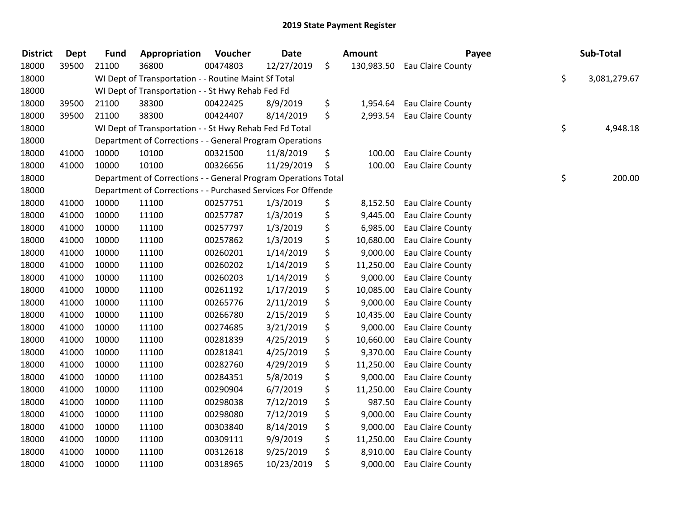| <b>District</b> | <b>Dept</b> | <b>Fund</b> | Appropriation                                                  | Voucher  | <b>Date</b> | Amount           | Payee                      | Sub-Total          |
|-----------------|-------------|-------------|----------------------------------------------------------------|----------|-------------|------------------|----------------------------|--------------------|
| 18000           | 39500       | 21100       | 36800                                                          | 00474803 | 12/27/2019  | \$<br>130,983.50 | Eau Claire County          |                    |
| 18000           |             |             | WI Dept of Transportation - - Routine Maint Sf Total           |          |             |                  |                            | \$<br>3,081,279.67 |
| 18000           |             |             | WI Dept of Transportation - - St Hwy Rehab Fed Fd              |          |             |                  |                            |                    |
| 18000           | 39500       | 21100       | 38300                                                          | 00422425 | 8/9/2019    | \$               | 1,954.64 Eau Claire County |                    |
| 18000           | 39500       | 21100       | 38300                                                          | 00424407 | 8/14/2019   | \$               | 2,993.54 Eau Claire County |                    |
| 18000           |             |             | WI Dept of Transportation - - St Hwy Rehab Fed Fd Total        |          |             |                  |                            | \$<br>4,948.18     |
| 18000           |             |             | Department of Corrections - - General Program Operations       |          |             |                  |                            |                    |
| 18000           | 41000       | 10000       | 10100                                                          | 00321500 | 11/8/2019   | \$<br>100.00     | Eau Claire County          |                    |
| 18000           | 41000       | 10000       | 10100                                                          | 00326656 | 11/29/2019  | \$<br>100.00     | Eau Claire County          |                    |
| 18000           |             |             | Department of Corrections - - General Program Operations Total |          |             |                  |                            | \$<br>200.00       |
| 18000           |             |             | Department of Corrections - - Purchased Services For Offende   |          |             |                  |                            |                    |
| 18000           | 41000       | 10000       | 11100                                                          | 00257751 | 1/3/2019    | \$<br>8,152.50   | Eau Claire County          |                    |
| 18000           | 41000       | 10000       | 11100                                                          | 00257787 | 1/3/2019    | \$<br>9,445.00   | Eau Claire County          |                    |
| 18000           | 41000       | 10000       | 11100                                                          | 00257797 | 1/3/2019    | \$<br>6,985.00   | Eau Claire County          |                    |
| 18000           | 41000       | 10000       | 11100                                                          | 00257862 | 1/3/2019    | \$<br>10,680.00  | Eau Claire County          |                    |
| 18000           | 41000       | 10000       | 11100                                                          | 00260201 | 1/14/2019   | \$<br>9,000.00   | Eau Claire County          |                    |
| 18000           | 41000       | 10000       | 11100                                                          | 00260202 | 1/14/2019   | \$<br>11,250.00  | Eau Claire County          |                    |
| 18000           | 41000       | 10000       | 11100                                                          | 00260203 | 1/14/2019   | \$<br>9,000.00   | Eau Claire County          |                    |
| 18000           | 41000       | 10000       | 11100                                                          | 00261192 | 1/17/2019   | \$<br>10,085.00  | Eau Claire County          |                    |
| 18000           | 41000       | 10000       | 11100                                                          | 00265776 | 2/11/2019   | \$<br>9,000.00   | Eau Claire County          |                    |
| 18000           | 41000       | 10000       | 11100                                                          | 00266780 | 2/15/2019   | \$<br>10,435.00  | Eau Claire County          |                    |
| 18000           | 41000       | 10000       | 11100                                                          | 00274685 | 3/21/2019   | \$<br>9,000.00   | Eau Claire County          |                    |
| 18000           | 41000       | 10000       | 11100                                                          | 00281839 | 4/25/2019   | \$<br>10,660.00  | Eau Claire County          |                    |
| 18000           | 41000       | 10000       | 11100                                                          | 00281841 | 4/25/2019   | \$<br>9,370.00   | Eau Claire County          |                    |
| 18000           | 41000       | 10000       | 11100                                                          | 00282760 | 4/29/2019   | \$<br>11,250.00  | Eau Claire County          |                    |
| 18000           | 41000       | 10000       | 11100                                                          | 00284351 | 5/8/2019    | \$<br>9,000.00   | Eau Claire County          |                    |
| 18000           | 41000       | 10000       | 11100                                                          | 00290904 | 6/7/2019    | \$<br>11,250.00  | Eau Claire County          |                    |
| 18000           | 41000       | 10000       | 11100                                                          | 00298038 | 7/12/2019   | \$<br>987.50     | Eau Claire County          |                    |
| 18000           | 41000       | 10000       | 11100                                                          | 00298080 | 7/12/2019   | \$<br>9,000.00   | Eau Claire County          |                    |
| 18000           | 41000       | 10000       | 11100                                                          | 00303840 | 8/14/2019   | \$<br>9,000.00   | Eau Claire County          |                    |
| 18000           | 41000       | 10000       | 11100                                                          | 00309111 | 9/9/2019    | \$<br>11,250.00  | Eau Claire County          |                    |
| 18000           | 41000       | 10000       | 11100                                                          | 00312618 | 9/25/2019   | \$<br>8,910.00   | Eau Claire County          |                    |
| 18000           | 41000       | 10000       | 11100                                                          | 00318965 | 10/23/2019  | \$<br>9,000.00   | Eau Claire County          |                    |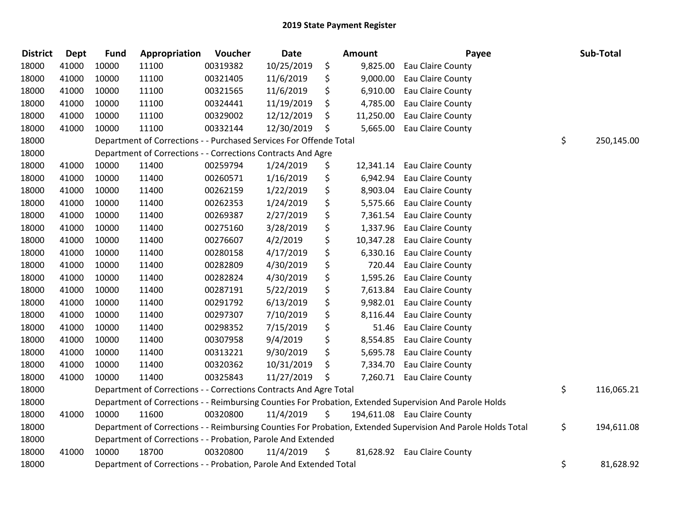| <b>District</b> | <b>Dept</b> | <b>Fund</b> | Appropriation                                                      | Voucher  | Date       | <b>Amount</b>   | Payee                                                                                                         | Sub-Total        |
|-----------------|-------------|-------------|--------------------------------------------------------------------|----------|------------|-----------------|---------------------------------------------------------------------------------------------------------------|------------------|
| 18000           | 41000       | 10000       | 11100                                                              | 00319382 | 10/25/2019 | \$<br>9,825.00  | Eau Claire County                                                                                             |                  |
| 18000           | 41000       | 10000       | 11100                                                              | 00321405 | 11/6/2019  | \$<br>9,000.00  | Eau Claire County                                                                                             |                  |
| 18000           | 41000       | 10000       | 11100                                                              | 00321565 | 11/6/2019  | \$<br>6,910.00  | Eau Claire County                                                                                             |                  |
| 18000           | 41000       | 10000       | 11100                                                              | 00324441 | 11/19/2019 | \$<br>4,785.00  | Eau Claire County                                                                                             |                  |
| 18000           | 41000       | 10000       | 11100                                                              | 00329002 | 12/12/2019 | \$<br>11,250.00 | Eau Claire County                                                                                             |                  |
| 18000           | 41000       | 10000       | 11100                                                              | 00332144 | 12/30/2019 | \$              | 5,665.00 Eau Claire County                                                                                    |                  |
| 18000           |             |             | Department of Corrections - - Purchased Services For Offende Total |          |            |                 |                                                                                                               | \$<br>250,145.00 |
| 18000           |             |             | Department of Corrections - - Corrections Contracts And Agre       |          |            |                 |                                                                                                               |                  |
| 18000           | 41000       | 10000       | 11400                                                              | 00259794 | 1/24/2019  | \$<br>12,341.14 | Eau Claire County                                                                                             |                  |
| 18000           | 41000       | 10000       | 11400                                                              | 00260571 | 1/16/2019  | \$              | 6,942.94 Eau Claire County                                                                                    |                  |
| 18000           | 41000       | 10000       | 11400                                                              | 00262159 | 1/22/2019  | \$<br>8,903.04  | Eau Claire County                                                                                             |                  |
| 18000           | 41000       | 10000       | 11400                                                              | 00262353 | 1/24/2019  | \$              | 5,575.66 Eau Claire County                                                                                    |                  |
| 18000           | 41000       | 10000       | 11400                                                              | 00269387 | 2/27/2019  | \$              | 7,361.54 Eau Claire County                                                                                    |                  |
| 18000           | 41000       | 10000       | 11400                                                              | 00275160 | 3/28/2019  | \$<br>1,337.96  | Eau Claire County                                                                                             |                  |
| 18000           | 41000       | 10000       | 11400                                                              | 00276607 | 4/2/2019   | \$<br>10,347.28 | Eau Claire County                                                                                             |                  |
| 18000           | 41000       | 10000       | 11400                                                              | 00280158 | 4/17/2019  | \$<br>6,330.16  | Eau Claire County                                                                                             |                  |
| 18000           | 41000       | 10000       | 11400                                                              | 00282809 | 4/30/2019  | \$<br>720.44    | Eau Claire County                                                                                             |                  |
| 18000           | 41000       | 10000       | 11400                                                              | 00282824 | 4/30/2019  | \$<br>1,595.26  | Eau Claire County                                                                                             |                  |
| 18000           | 41000       | 10000       | 11400                                                              | 00287191 | 5/22/2019  | \$<br>7,613.84  | Eau Claire County                                                                                             |                  |
| 18000           | 41000       | 10000       | 11400                                                              | 00291792 | 6/13/2019  | \$              | 9,982.01 Eau Claire County                                                                                    |                  |
| 18000           | 41000       | 10000       | 11400                                                              | 00297307 | 7/10/2019  | \$<br>8,116.44  | Eau Claire County                                                                                             |                  |
| 18000           | 41000       | 10000       | 11400                                                              | 00298352 | 7/15/2019  | \$              | 51.46 Eau Claire County                                                                                       |                  |
| 18000           | 41000       | 10000       | 11400                                                              | 00307958 | 9/4/2019   | \$              | 8,554.85 Eau Claire County                                                                                    |                  |
| 18000           | 41000       | 10000       | 11400                                                              | 00313221 | 9/30/2019  | \$              | 5,695.78 Eau Claire County                                                                                    |                  |
| 18000           | 41000       | 10000       | 11400                                                              | 00320362 | 10/31/2019 | \$              | 7,334.70 Eau Claire County                                                                                    |                  |
| 18000           | 41000       | 10000       | 11400                                                              | 00325843 | 11/27/2019 | \$              | 7,260.71 Eau Claire County                                                                                    |                  |
| 18000           |             |             | Department of Corrections - - Corrections Contracts And Agre Total |          |            |                 |                                                                                                               | \$<br>116,065.21 |
| 18000           |             |             |                                                                    |          |            |                 | Department of Corrections - - Reimbursing Counties For Probation, Extended Supervision And Parole Holds       |                  |
| 18000           | 41000       | 10000       | 11600                                                              | 00320800 | 11/4/2019  | \$              | 194,611.08 Eau Claire County                                                                                  |                  |
| 18000           |             |             |                                                                    |          |            |                 | Department of Corrections - - Reimbursing Counties For Probation, Extended Supervision And Parole Holds Total | \$<br>194,611.08 |
| 18000           |             |             | Department of Corrections - - Probation, Parole And Extended       |          |            |                 |                                                                                                               |                  |
| 18000           | 41000       | 10000       | 18700                                                              | 00320800 | 11/4/2019  | \$              | 81,628.92 Eau Claire County                                                                                   |                  |
| 18000           |             |             | Department of Corrections - - Probation, Parole And Extended Total |          |            |                 |                                                                                                               | \$<br>81,628.92  |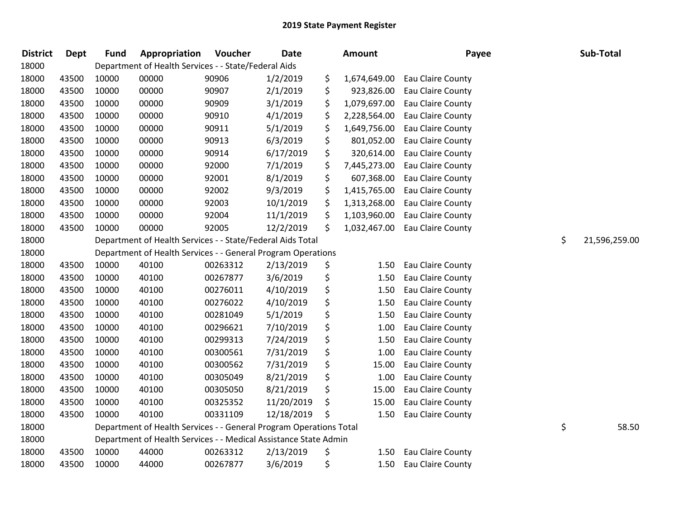| <b>District</b> | <b>Dept</b> | <b>Fund</b> | Appropriation                                                      | Voucher  | <b>Date</b> | <b>Amount</b>      | Payee                    | Sub-Total           |
|-----------------|-------------|-------------|--------------------------------------------------------------------|----------|-------------|--------------------|--------------------------|---------------------|
| 18000           |             |             | Department of Health Services - - State/Federal Aids               |          |             |                    |                          |                     |
| 18000           | 43500       | 10000       | 00000                                                              | 90906    | 1/2/2019    | \$<br>1,674,649.00 | Eau Claire County        |                     |
| 18000           | 43500       | 10000       | 00000                                                              | 90907    | 2/1/2019    | \$<br>923,826.00   | Eau Claire County        |                     |
| 18000           | 43500       | 10000       | 00000                                                              | 90909    | 3/1/2019    | \$<br>1,079,697.00 | Eau Claire County        |                     |
| 18000           | 43500       | 10000       | 00000                                                              | 90910    | 4/1/2019    | \$<br>2,228,564.00 | Eau Claire County        |                     |
| 18000           | 43500       | 10000       | 00000                                                              | 90911    | 5/1/2019    | \$<br>1,649,756.00 | Eau Claire County        |                     |
| 18000           | 43500       | 10000       | 00000                                                              | 90913    | 6/3/2019    | \$<br>801,052.00   | Eau Claire County        |                     |
| 18000           | 43500       | 10000       | 00000                                                              | 90914    | 6/17/2019   | \$<br>320,614.00   | Eau Claire County        |                     |
| 18000           | 43500       | 10000       | 00000                                                              | 92000    | 7/1/2019    | \$<br>7,445,273.00 | Eau Claire County        |                     |
| 18000           | 43500       | 10000       | 00000                                                              | 92001    | 8/1/2019    | \$<br>607,368.00   | Eau Claire County        |                     |
| 18000           | 43500       | 10000       | 00000                                                              | 92002    | 9/3/2019    | \$<br>1,415,765.00 | Eau Claire County        |                     |
| 18000           | 43500       | 10000       | 00000                                                              | 92003    | 10/1/2019   | \$<br>1,313,268.00 | Eau Claire County        |                     |
| 18000           | 43500       | 10000       | 00000                                                              | 92004    | 11/1/2019   | \$<br>1,103,960.00 | Eau Claire County        |                     |
| 18000           | 43500       | 10000       | 00000                                                              | 92005    | 12/2/2019   | \$<br>1,032,467.00 | Eau Claire County        |                     |
| 18000           |             |             | Department of Health Services - - State/Federal Aids Total         |          |             |                    |                          | \$<br>21,596,259.00 |
| 18000           |             |             | Department of Health Services - - General Program Operations       |          |             |                    |                          |                     |
| 18000           | 43500       | 10000       | 40100                                                              | 00263312 | 2/13/2019   | \$<br>1.50         | Eau Claire County        |                     |
| 18000           | 43500       | 10000       | 40100                                                              | 00267877 | 3/6/2019    | \$<br>1.50         | Eau Claire County        |                     |
| 18000           | 43500       | 10000       | 40100                                                              | 00276011 | 4/10/2019   | \$<br>1.50         | Eau Claire County        |                     |
| 18000           | 43500       | 10000       | 40100                                                              | 00276022 | 4/10/2019   | \$<br>1.50         | Eau Claire County        |                     |
| 18000           | 43500       | 10000       | 40100                                                              | 00281049 | 5/1/2019    | \$<br>1.50         | Eau Claire County        |                     |
| 18000           | 43500       | 10000       | 40100                                                              | 00296621 | 7/10/2019   | \$<br>1.00         | Eau Claire County        |                     |
| 18000           | 43500       | 10000       | 40100                                                              | 00299313 | 7/24/2019   | \$<br>1.50         | Eau Claire County        |                     |
| 18000           | 43500       | 10000       | 40100                                                              | 00300561 | 7/31/2019   | \$<br>1.00         | Eau Claire County        |                     |
| 18000           | 43500       | 10000       | 40100                                                              | 00300562 | 7/31/2019   | \$<br>15.00        | Eau Claire County        |                     |
| 18000           | 43500       | 10000       | 40100                                                              | 00305049 | 8/21/2019   | \$<br>1.00         | Eau Claire County        |                     |
| 18000           | 43500       | 10000       | 40100                                                              | 00305050 | 8/21/2019   | \$<br>15.00        | Eau Claire County        |                     |
| 18000           | 43500       | 10000       | 40100                                                              | 00325352 | 11/20/2019  | \$<br>15.00        | Eau Claire County        |                     |
| 18000           | 43500       | 10000       | 40100                                                              | 00331109 | 12/18/2019  | \$<br>1.50         | Eau Claire County        |                     |
| 18000           |             |             | Department of Health Services - - General Program Operations Total |          |             |                    |                          | \$<br>58.50         |
| 18000           |             |             | Department of Health Services - - Medical Assistance State Admin   |          |             |                    |                          |                     |
| 18000           | 43500       | 10000       | 44000                                                              | 00263312 | 2/13/2019   | \$<br>1.50         | <b>Eau Claire County</b> |                     |
| 18000           | 43500       | 10000       | 44000                                                              | 00267877 | 3/6/2019    | \$<br>1.50         | Eau Claire County        |                     |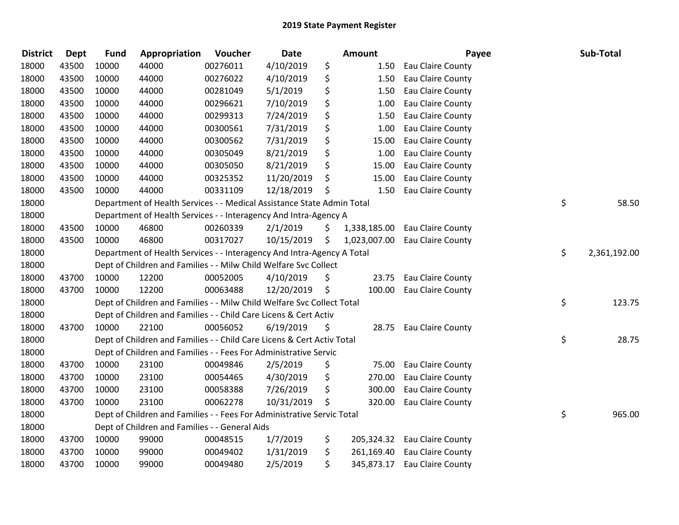| <b>District</b> | <b>Dept</b> | <b>Fund</b> | Appropriation                                                          | Voucher  | <b>Date</b> | <b>Amount</b> | Payee                          | Sub-Total          |
|-----------------|-------------|-------------|------------------------------------------------------------------------|----------|-------------|---------------|--------------------------------|--------------------|
| 18000           | 43500       | 10000       | 44000                                                                  | 00276011 | 4/10/2019   | \$<br>1.50    | Eau Claire County              |                    |
| 18000           | 43500       | 10000       | 44000                                                                  | 00276022 | 4/10/2019   | \$<br>1.50    | Eau Claire County              |                    |
| 18000           | 43500       | 10000       | 44000                                                                  | 00281049 | 5/1/2019    | \$<br>1.50    | Eau Claire County              |                    |
| 18000           | 43500       | 10000       | 44000                                                                  | 00296621 | 7/10/2019   | \$<br>1.00    | Eau Claire County              |                    |
| 18000           | 43500       | 10000       | 44000                                                                  | 00299313 | 7/24/2019   | \$<br>1.50    | Eau Claire County              |                    |
| 18000           | 43500       | 10000       | 44000                                                                  | 00300561 | 7/31/2019   | \$<br>1.00    | Eau Claire County              |                    |
| 18000           | 43500       | 10000       | 44000                                                                  | 00300562 | 7/31/2019   | \$<br>15.00   | Eau Claire County              |                    |
| 18000           | 43500       | 10000       | 44000                                                                  | 00305049 | 8/21/2019   | \$<br>1.00    | Eau Claire County              |                    |
| 18000           | 43500       | 10000       | 44000                                                                  | 00305050 | 8/21/2019   | \$<br>15.00   | Eau Claire County              |                    |
| 18000           | 43500       | 10000       | 44000                                                                  | 00325352 | 11/20/2019  | \$<br>15.00   | Eau Claire County              |                    |
| 18000           | 43500       | 10000       | 44000                                                                  | 00331109 | 12/18/2019  | \$<br>1.50    | Eau Claire County              |                    |
| 18000           |             |             | Department of Health Services - - Medical Assistance State Admin Total |          |             |               |                                | \$<br>58.50        |
| 18000           |             |             | Department of Health Services - - Interagency And Intra-Agency A       |          |             |               |                                |                    |
| 18000           | 43500       | 10000       | 46800                                                                  | 00260339 | 2/1/2019    | \$            | 1,338,185.00 Eau Claire County |                    |
| 18000           | 43500       | 10000       | 46800                                                                  | 00317027 | 10/15/2019  | \$            | 1,023,007.00 Eau Claire County |                    |
| 18000           |             |             | Department of Health Services - - Interagency And Intra-Agency A Total |          |             |               |                                | \$<br>2,361,192.00 |
| 18000           |             |             | Dept of Children and Families - - Milw Child Welfare Svc Collect       |          |             |               |                                |                    |
| 18000           | 43700       | 10000       | 12200                                                                  | 00052005 | 4/10/2019   | \$<br>23.75   | Eau Claire County              |                    |
| 18000           | 43700       | 10000       | 12200                                                                  | 00063488 | 12/20/2019  | \$<br>100.00  | Eau Claire County              |                    |
| 18000           |             |             | Dept of Children and Families - - Milw Child Welfare Svc Collect Total |          |             |               |                                | \$<br>123.75       |
| 18000           |             |             | Dept of Children and Families - - Child Care Licens & Cert Activ       |          |             |               |                                |                    |
| 18000           | 43700       | 10000       | 22100                                                                  | 00056052 | 6/19/2019   | \$            | 28.75 Eau Claire County        |                    |
| 18000           |             |             | Dept of Children and Families - - Child Care Licens & Cert Activ Total |          |             |               |                                | \$<br>28.75        |
| 18000           |             |             | Dept of Children and Families - - Fees For Administrative Servic       |          |             |               |                                |                    |
| 18000           | 43700       | 10000       | 23100                                                                  | 00049846 | 2/5/2019    | \$<br>75.00   | Eau Claire County              |                    |
| 18000           | 43700       | 10000       | 23100                                                                  | 00054465 | 4/30/2019   | \$<br>270.00  | Eau Claire County              |                    |
| 18000           | 43700       | 10000       | 23100                                                                  | 00058388 | 7/26/2019   | \$<br>300.00  | Eau Claire County              |                    |
| 18000           | 43700       | 10000       | 23100                                                                  | 00062278 | 10/31/2019  | \$<br>320.00  | Eau Claire County              |                    |
| 18000           |             |             | Dept of Children and Families - - Fees For Administrative Servic Total |          |             |               |                                | \$<br>965.00       |
| 18000           |             |             | Dept of Children and Families - - General Aids                         |          |             |               |                                |                    |
| 18000           | 43700       | 10000       | 99000                                                                  | 00048515 | 1/7/2019    | \$            | 205,324.32 Eau Claire County   |                    |
| 18000           | 43700       | 10000       | 99000                                                                  | 00049402 | 1/31/2019   | \$            | 261,169.40 Eau Claire County   |                    |
| 18000           | 43700       | 10000       | 99000                                                                  | 00049480 | 2/5/2019    | \$            | 345,873.17 Eau Claire County   |                    |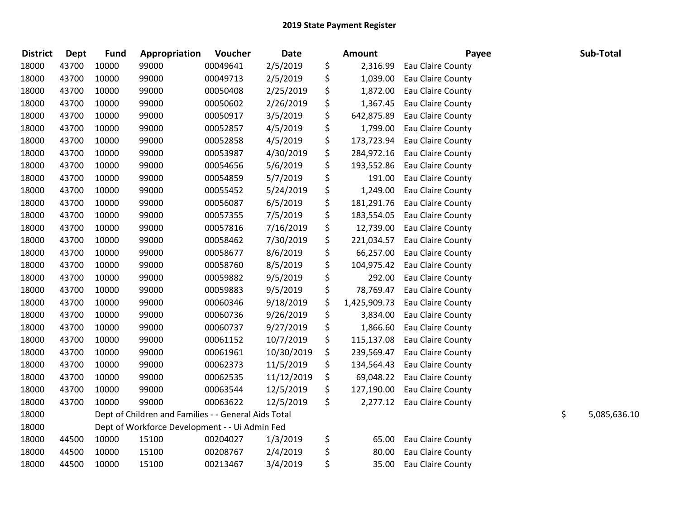| <b>District</b> | <b>Dept</b> | <b>Fund</b> | Appropriation                                        | Voucher  | <b>Date</b> | Amount             | Payee             | Sub-Total          |
|-----------------|-------------|-------------|------------------------------------------------------|----------|-------------|--------------------|-------------------|--------------------|
| 18000           | 43700       | 10000       | 99000                                                | 00049641 | 2/5/2019    | \$<br>2,316.99     | Eau Claire County |                    |
| 18000           | 43700       | 10000       | 99000                                                | 00049713 | 2/5/2019    | \$<br>1,039.00     | Eau Claire County |                    |
| 18000           | 43700       | 10000       | 99000                                                | 00050408 | 2/25/2019   | \$<br>1,872.00     | Eau Claire County |                    |
| 18000           | 43700       | 10000       | 99000                                                | 00050602 | 2/26/2019   | \$<br>1,367.45     | Eau Claire County |                    |
| 18000           | 43700       | 10000       | 99000                                                | 00050917 | 3/5/2019    | \$<br>642,875.89   | Eau Claire County |                    |
| 18000           | 43700       | 10000       | 99000                                                | 00052857 | 4/5/2019    | \$<br>1,799.00     | Eau Claire County |                    |
| 18000           | 43700       | 10000       | 99000                                                | 00052858 | 4/5/2019    | \$<br>173,723.94   | Eau Claire County |                    |
| 18000           | 43700       | 10000       | 99000                                                | 00053987 | 4/30/2019   | \$<br>284,972.16   | Eau Claire County |                    |
| 18000           | 43700       | 10000       | 99000                                                | 00054656 | 5/6/2019    | \$<br>193,552.86   | Eau Claire County |                    |
| 18000           | 43700       | 10000       | 99000                                                | 00054859 | 5/7/2019    | \$<br>191.00       | Eau Claire County |                    |
| 18000           | 43700       | 10000       | 99000                                                | 00055452 | 5/24/2019   | \$<br>1,249.00     | Eau Claire County |                    |
| 18000           | 43700       | 10000       | 99000                                                | 00056087 | 6/5/2019    | \$<br>181,291.76   | Eau Claire County |                    |
| 18000           | 43700       | 10000       | 99000                                                | 00057355 | 7/5/2019    | \$<br>183,554.05   | Eau Claire County |                    |
| 18000           | 43700       | 10000       | 99000                                                | 00057816 | 7/16/2019   | \$<br>12,739.00    | Eau Claire County |                    |
| 18000           | 43700       | 10000       | 99000                                                | 00058462 | 7/30/2019   | \$<br>221,034.57   | Eau Claire County |                    |
| 18000           | 43700       | 10000       | 99000                                                | 00058677 | 8/6/2019    | \$<br>66,257.00    | Eau Claire County |                    |
| 18000           | 43700       | 10000       | 99000                                                | 00058760 | 8/5/2019    | \$<br>104,975.42   | Eau Claire County |                    |
| 18000           | 43700       | 10000       | 99000                                                | 00059882 | 9/5/2019    | \$<br>292.00       | Eau Claire County |                    |
| 18000           | 43700       | 10000       | 99000                                                | 00059883 | 9/5/2019    | \$<br>78,769.47    | Eau Claire County |                    |
| 18000           | 43700       | 10000       | 99000                                                | 00060346 | 9/18/2019   | \$<br>1,425,909.73 | Eau Claire County |                    |
| 18000           | 43700       | 10000       | 99000                                                | 00060736 | 9/26/2019   | \$<br>3,834.00     | Eau Claire County |                    |
| 18000           | 43700       | 10000       | 99000                                                | 00060737 | 9/27/2019   | \$<br>1,866.60     | Eau Claire County |                    |
| 18000           | 43700       | 10000       | 99000                                                | 00061152 | 10/7/2019   | \$<br>115,137.08   | Eau Claire County |                    |
| 18000           | 43700       | 10000       | 99000                                                | 00061961 | 10/30/2019  | \$<br>239,569.47   | Eau Claire County |                    |
| 18000           | 43700       | 10000       | 99000                                                | 00062373 | 11/5/2019   | \$<br>134,564.43   | Eau Claire County |                    |
| 18000           | 43700       | 10000       | 99000                                                | 00062535 | 11/12/2019  | \$<br>69,048.22    | Eau Claire County |                    |
| 18000           | 43700       | 10000       | 99000                                                | 00063544 | 12/5/2019   | \$<br>127,190.00   | Eau Claire County |                    |
| 18000           | 43700       | 10000       | 99000                                                | 00063622 | 12/5/2019   | \$<br>2,277.12     | Eau Claire County |                    |
| 18000           |             |             | Dept of Children and Families - - General Aids Total |          |             |                    |                   | \$<br>5,085,636.10 |
| 18000           |             |             | Dept of Workforce Development - - Ui Admin Fed       |          |             |                    |                   |                    |
| 18000           | 44500       | 10000       | 15100                                                | 00204027 | 1/3/2019    | \$<br>65.00        | Eau Claire County |                    |
| 18000           | 44500       | 10000       | 15100                                                | 00208767 | 2/4/2019    | \$<br>80.00        | Eau Claire County |                    |
| 18000           | 44500       | 10000       | 15100                                                | 00213467 | 3/4/2019    | \$<br>35.00        | Eau Claire County |                    |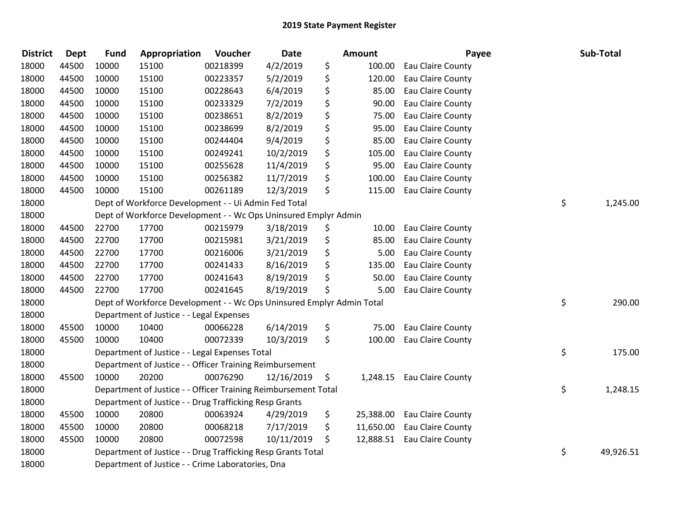| <b>District</b> | Dept  | <b>Fund</b> | Appropriation                                                         | Voucher  | <b>Date</b> | <b>Amount</b>   | Payee                    | Sub-Total       |
|-----------------|-------|-------------|-----------------------------------------------------------------------|----------|-------------|-----------------|--------------------------|-----------------|
| 18000           | 44500 | 10000       | 15100                                                                 | 00218399 | 4/2/2019    | \$<br>100.00    | Eau Claire County        |                 |
| 18000           | 44500 | 10000       | 15100                                                                 | 00223357 | 5/2/2019    | \$<br>120.00    | Eau Claire County        |                 |
| 18000           | 44500 | 10000       | 15100                                                                 | 00228643 | 6/4/2019    | \$<br>85.00     | Eau Claire County        |                 |
| 18000           | 44500 | 10000       | 15100                                                                 | 00233329 | 7/2/2019    | \$<br>90.00     | Eau Claire County        |                 |
| 18000           | 44500 | 10000       | 15100                                                                 | 00238651 | 8/2/2019    | \$<br>75.00     | Eau Claire County        |                 |
| 18000           | 44500 | 10000       | 15100                                                                 | 00238699 | 8/2/2019    | \$<br>95.00     | Eau Claire County        |                 |
| 18000           | 44500 | 10000       | 15100                                                                 | 00244404 | 9/4/2019    | \$<br>85.00     | Eau Claire County        |                 |
| 18000           | 44500 | 10000       | 15100                                                                 | 00249241 | 10/2/2019   | \$<br>105.00    | Eau Claire County        |                 |
| 18000           | 44500 | 10000       | 15100                                                                 | 00255628 | 11/4/2019   | \$<br>95.00     | Eau Claire County        |                 |
| 18000           | 44500 | 10000       | 15100                                                                 | 00256382 | 11/7/2019   | \$<br>100.00    | Eau Claire County        |                 |
| 18000           | 44500 | 10000       | 15100                                                                 | 00261189 | 12/3/2019   | \$<br>115.00    | Eau Claire County        |                 |
| 18000           |       |             | Dept of Workforce Development - - Ui Admin Fed Total                  |          |             |                 |                          | \$<br>1,245.00  |
| 18000           |       |             | Dept of Workforce Development - - Wc Ops Uninsured Emplyr Admin       |          |             |                 |                          |                 |
| 18000           | 44500 | 22700       | 17700                                                                 | 00215979 | 3/18/2019   | \$<br>10.00     | Eau Claire County        |                 |
| 18000           | 44500 | 22700       | 17700                                                                 | 00215981 | 3/21/2019   | \$<br>85.00     | Eau Claire County        |                 |
| 18000           | 44500 | 22700       | 17700                                                                 | 00216006 | 3/21/2019   | \$<br>5.00      | Eau Claire County        |                 |
| 18000           | 44500 | 22700       | 17700                                                                 | 00241433 | 8/16/2019   | \$<br>135.00    | Eau Claire County        |                 |
| 18000           | 44500 | 22700       | 17700                                                                 | 00241643 | 8/19/2019   | \$<br>50.00     | <b>Eau Claire County</b> |                 |
| 18000           | 44500 | 22700       | 17700                                                                 | 00241645 | 8/19/2019   | \$<br>5.00      | Eau Claire County        |                 |
| 18000           |       |             | Dept of Workforce Development - - Wc Ops Uninsured Emplyr Admin Total |          |             |                 |                          | \$<br>290.00    |
| 18000           |       |             | Department of Justice - - Legal Expenses                              |          |             |                 |                          |                 |
| 18000           | 45500 | 10000       | 10400                                                                 | 00066228 | 6/14/2019   | \$<br>75.00     | Eau Claire County        |                 |
| 18000           | 45500 | 10000       | 10400                                                                 | 00072339 | 10/3/2019   | \$<br>100.00    | Eau Claire County        |                 |
| 18000           |       |             | Department of Justice - - Legal Expenses Total                        |          |             |                 |                          | \$<br>175.00    |
| 18000           |       |             | Department of Justice - - Officer Training Reimbursement              |          |             |                 |                          |                 |
| 18000           | 45500 | 10000       | 20200                                                                 | 00076290 | 12/16/2019  | \$<br>1,248.15  | Eau Claire County        |                 |
| 18000           |       |             | Department of Justice - - Officer Training Reimbursement Total        |          |             |                 |                          | \$<br>1,248.15  |
| 18000           |       |             | Department of Justice - - Drug Trafficking Resp Grants                |          |             |                 |                          |                 |
| 18000           | 45500 | 10000       | 20800                                                                 | 00063924 | 4/29/2019   | \$<br>25,388.00 | Eau Claire County        |                 |
| 18000           | 45500 | 10000       | 20800                                                                 | 00068218 | 7/17/2019   | \$<br>11,650.00 | Eau Claire County        |                 |
| 18000           | 45500 | 10000       | 20800                                                                 | 00072598 | 10/11/2019  | \$<br>12,888.51 | Eau Claire County        |                 |
| 18000           |       |             | Department of Justice - - Drug Trafficking Resp Grants Total          |          |             |                 |                          | \$<br>49,926.51 |
| 18000           |       |             | Department of Justice - - Crime Laboratories, Dna                     |          |             |                 |                          |                 |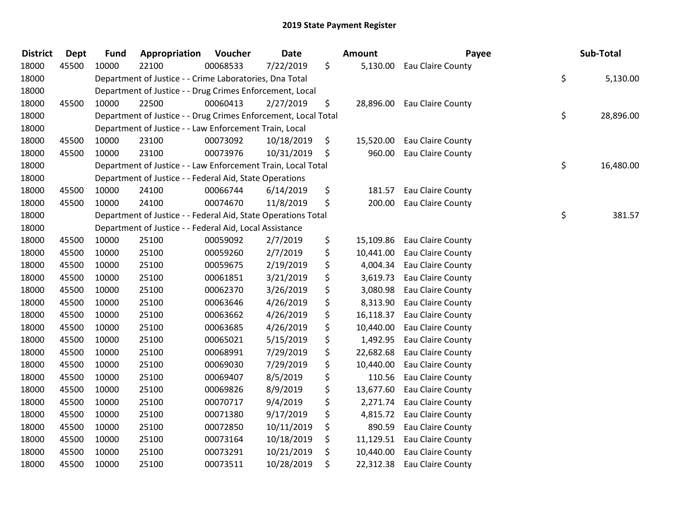| <b>District</b> | <b>Dept</b> |       | <b>Fund</b> | Appropriation | Voucher                                                 | Date                                                           | <b>Amount</b>   | Payee             | Sub-Total       |
|-----------------|-------------|-------|-------------|---------------|---------------------------------------------------------|----------------------------------------------------------------|-----------------|-------------------|-----------------|
| 18000           | 45500       | 10000 | 22100       |               | 00068533                                                | 7/22/2019                                                      | \$<br>5,130.00  | Eau Claire County |                 |
| 18000           |             |       |             |               |                                                         | Department of Justice - - Crime Laboratories, Dna Total        |                 |                   | \$<br>5,130.00  |
| 18000           |             |       |             |               |                                                         | Department of Justice - - Drug Crimes Enforcement, Local       |                 |                   |                 |
| 18000           | 45500       | 10000 | 22500       |               | 00060413                                                | 2/27/2019                                                      | \$<br>28,896.00 | Eau Claire County |                 |
| 18000           |             |       |             |               |                                                         | Department of Justice - - Drug Crimes Enforcement, Local Total |                 |                   | \$<br>28,896.00 |
| 18000           |             |       |             |               |                                                         | Department of Justice - - Law Enforcement Train, Local         |                 |                   |                 |
| 18000           | 45500       | 10000 | 23100       |               | 00073092                                                | 10/18/2019                                                     | \$<br>15,520.00 | Eau Claire County |                 |
| 18000           | 45500       | 10000 | 23100       |               | 00073976                                                | 10/31/2019                                                     | \$<br>960.00    | Eau Claire County |                 |
| 18000           |             |       |             |               |                                                         | Department of Justice - - Law Enforcement Train, Local Total   |                 |                   | \$<br>16,480.00 |
| 18000           |             |       |             |               |                                                         | Department of Justice - - Federal Aid, State Operations        |                 |                   |                 |
| 18000           | 45500       | 10000 | 24100       |               | 00066744                                                | 6/14/2019                                                      | \$<br>181.57    | Eau Claire County |                 |
| 18000           | 45500       | 10000 | 24100       |               | 00074670                                                | 11/8/2019                                                      | \$<br>200.00    | Eau Claire County |                 |
| 18000           |             |       |             |               |                                                         | Department of Justice - - Federal Aid, State Operations Total  |                 |                   | \$<br>381.57    |
| 18000           |             |       |             |               | Department of Justice - - Federal Aid, Local Assistance |                                                                |                 |                   |                 |
| 18000           | 45500       | 10000 | 25100       |               | 00059092                                                | 2/7/2019                                                       | \$<br>15,109.86 | Eau Claire County |                 |
| 18000           | 45500       | 10000 | 25100       |               | 00059260                                                | 2/7/2019                                                       | \$<br>10,441.00 | Eau Claire County |                 |
| 18000           | 45500       | 10000 | 25100       |               | 00059675                                                | 2/19/2019                                                      | \$<br>4,004.34  | Eau Claire County |                 |
| 18000           | 45500       | 10000 | 25100       |               | 00061851                                                | 3/21/2019                                                      | \$<br>3,619.73  | Eau Claire County |                 |
| 18000           | 45500       | 10000 | 25100       |               | 00062370                                                | 3/26/2019                                                      | \$<br>3,080.98  | Eau Claire County |                 |
| 18000           | 45500       | 10000 | 25100       |               | 00063646                                                | 4/26/2019                                                      | \$<br>8,313.90  | Eau Claire County |                 |
| 18000           | 45500       | 10000 | 25100       |               | 00063662                                                | 4/26/2019                                                      | \$<br>16,118.37 | Eau Claire County |                 |
| 18000           | 45500       | 10000 | 25100       |               | 00063685                                                | 4/26/2019                                                      | \$<br>10,440.00 | Eau Claire County |                 |
| 18000           | 45500       | 10000 | 25100       |               | 00065021                                                | 5/15/2019                                                      | \$<br>1,492.95  | Eau Claire County |                 |
| 18000           | 45500       | 10000 | 25100       |               | 00068991                                                | 7/29/2019                                                      | \$<br>22,682.68 | Eau Claire County |                 |
| 18000           | 45500       | 10000 | 25100       |               | 00069030                                                | 7/29/2019                                                      | \$<br>10,440.00 | Eau Claire County |                 |
| 18000           | 45500       | 10000 | 25100       |               | 00069407                                                | 8/5/2019                                                       | \$<br>110.56    | Eau Claire County |                 |
| 18000           | 45500       | 10000 | 25100       |               | 00069826                                                | 8/9/2019                                                       | \$<br>13,677.60 | Eau Claire County |                 |
| 18000           | 45500       | 10000 | 25100       |               | 00070717                                                | 9/4/2019                                                       | \$<br>2,271.74  | Eau Claire County |                 |
| 18000           | 45500       | 10000 | 25100       |               | 00071380                                                | 9/17/2019                                                      | \$<br>4,815.72  | Eau Claire County |                 |
| 18000           | 45500       | 10000 | 25100       |               | 00072850                                                | 10/11/2019                                                     | \$<br>890.59    | Eau Claire County |                 |
| 18000           | 45500       | 10000 | 25100       |               | 00073164                                                | 10/18/2019                                                     | \$<br>11,129.51 | Eau Claire County |                 |
| 18000           | 45500       | 10000 | 25100       |               | 00073291                                                | 10/21/2019                                                     | \$<br>10,440.00 | Eau Claire County |                 |
| 18000           | 45500       | 10000 | 25100       |               | 00073511                                                | 10/28/2019                                                     | \$<br>22,312.38 | Eau Claire County |                 |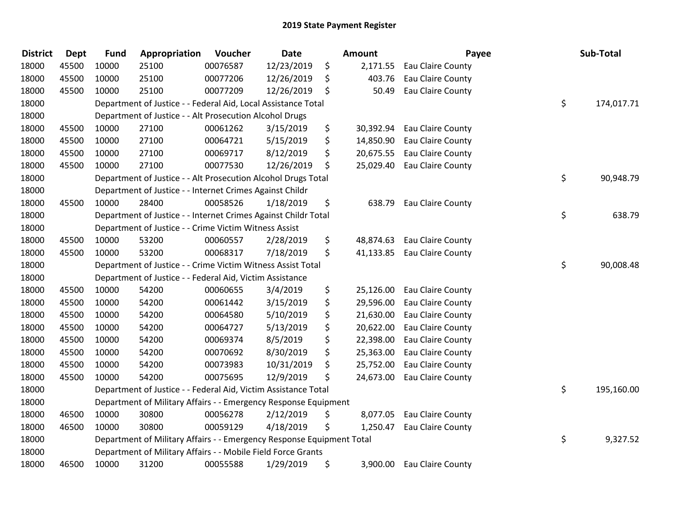| <b>District</b> | <b>Dept</b> | <b>Fund</b> | Appropriation                                                         | Voucher  | <b>Date</b> | <b>Amount</b>   | Payee             | Sub-Total        |
|-----------------|-------------|-------------|-----------------------------------------------------------------------|----------|-------------|-----------------|-------------------|------------------|
| 18000           | 45500       | 10000       | 25100                                                                 | 00076587 | 12/23/2019  | \$<br>2,171.55  | Eau Claire County |                  |
| 18000           | 45500       | 10000       | 25100                                                                 | 00077206 | 12/26/2019  | \$<br>403.76    | Eau Claire County |                  |
| 18000           | 45500       | 10000       | 25100                                                                 | 00077209 | 12/26/2019  | \$<br>50.49     | Eau Claire County |                  |
| 18000           |             |             | Department of Justice - - Federal Aid, Local Assistance Total         |          |             |                 |                   | \$<br>174,017.71 |
| 18000           |             |             | Department of Justice - - Alt Prosecution Alcohol Drugs               |          |             |                 |                   |                  |
| 18000           | 45500       | 10000       | 27100                                                                 | 00061262 | 3/15/2019   | \$<br>30,392.94 | Eau Claire County |                  |
| 18000           | 45500       | 10000       | 27100                                                                 | 00064721 | 5/15/2019   | \$<br>14,850.90 | Eau Claire County |                  |
| 18000           | 45500       | 10000       | 27100                                                                 | 00069717 | 8/12/2019   | \$<br>20,675.55 | Eau Claire County |                  |
| 18000           | 45500       | 10000       | 27100                                                                 | 00077530 | 12/26/2019  | \$<br>25,029.40 | Eau Claire County |                  |
| 18000           |             |             | Department of Justice - - Alt Prosecution Alcohol Drugs Total         |          |             |                 |                   | \$<br>90,948.79  |
| 18000           |             |             | Department of Justice - - Internet Crimes Against Childr              |          |             |                 |                   |                  |
| 18000           | 45500       | 10000       | 28400                                                                 | 00058526 | 1/18/2019   | \$<br>638.79    | Eau Claire County |                  |
| 18000           |             |             | Department of Justice - - Internet Crimes Against Childr Total        |          |             |                 |                   | \$<br>638.79     |
| 18000           |             |             | Department of Justice - - Crime Victim Witness Assist                 |          |             |                 |                   |                  |
| 18000           | 45500       | 10000       | 53200                                                                 | 00060557 | 2/28/2019   | \$<br>48,874.63 | Eau Claire County |                  |
| 18000           | 45500       | 10000       | 53200                                                                 | 00068317 | 7/18/2019   | \$<br>41,133.85 | Eau Claire County |                  |
| 18000           |             |             | Department of Justice - - Crime Victim Witness Assist Total           |          |             |                 |                   | \$<br>90,008.48  |
| 18000           |             |             | Department of Justice - - Federal Aid, Victim Assistance              |          |             |                 |                   |                  |
| 18000           | 45500       | 10000       | 54200                                                                 | 00060655 | 3/4/2019    | \$<br>25,126.00 | Eau Claire County |                  |
| 18000           | 45500       | 10000       | 54200                                                                 | 00061442 | 3/15/2019   | \$<br>29,596.00 | Eau Claire County |                  |
| 18000           | 45500       | 10000       | 54200                                                                 | 00064580 | 5/10/2019   | \$<br>21,630.00 | Eau Claire County |                  |
| 18000           | 45500       | 10000       | 54200                                                                 | 00064727 | 5/13/2019   | \$<br>20,622.00 | Eau Claire County |                  |
| 18000           | 45500       | 10000       | 54200                                                                 | 00069374 | 8/5/2019    | \$<br>22,398.00 | Eau Claire County |                  |
| 18000           | 45500       | 10000       | 54200                                                                 | 00070692 | 8/30/2019   | \$<br>25,363.00 | Eau Claire County |                  |
| 18000           | 45500       | 10000       | 54200                                                                 | 00073983 | 10/31/2019  | \$<br>25,752.00 | Eau Claire County |                  |
| 18000           | 45500       | 10000       | 54200                                                                 | 00075695 | 12/9/2019   | \$<br>24,673.00 | Eau Claire County |                  |
| 18000           |             |             | Department of Justice - - Federal Aid, Victim Assistance Total        |          |             |                 |                   | \$<br>195,160.00 |
| 18000           |             |             | Department of Military Affairs - - Emergency Response Equipment       |          |             |                 |                   |                  |
| 18000           | 46500       | 10000       | 30800                                                                 | 00056278 | 2/12/2019   | \$<br>8,077.05  | Eau Claire County |                  |
| 18000           | 46500       | 10000       | 30800                                                                 | 00059129 | 4/18/2019   | \$<br>1,250.47  | Eau Claire County |                  |
| 18000           |             |             | Department of Military Affairs - - Emergency Response Equipment Total |          |             |                 |                   | \$<br>9,327.52   |
| 18000           |             |             | Department of Military Affairs - - Mobile Field Force Grants          |          |             |                 |                   |                  |
| 18000           | 46500       | 10000       | 31200                                                                 | 00055588 | 1/29/2019   | \$<br>3,900.00  | Eau Claire County |                  |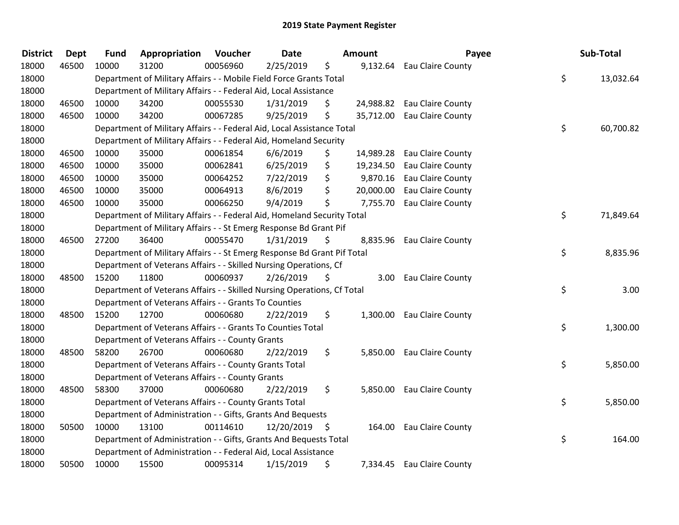| <b>District</b> | <b>Dept</b> | <b>Fund</b> | Appropriation                                                           | Voucher  | Date       |      | <b>Amount</b> | Payee                      | Sub-Total       |
|-----------------|-------------|-------------|-------------------------------------------------------------------------|----------|------------|------|---------------|----------------------------|-----------------|
| 18000           | 46500       | 10000       | 31200                                                                   | 00056960 | 2/25/2019  | \$   | 9,132.64      | Eau Claire County          |                 |
| 18000           |             |             | Department of Military Affairs - - Mobile Field Force Grants Total      |          |            |      |               |                            | \$<br>13,032.64 |
| 18000           |             |             | Department of Military Affairs - - Federal Aid, Local Assistance        |          |            |      |               |                            |                 |
| 18000           | 46500       | 10000       | 34200                                                                   | 00055530 | 1/31/2019  | \$   | 24,988.82     | Eau Claire County          |                 |
| 18000           | 46500       | 10000       | 34200                                                                   | 00067285 | 9/25/2019  | \$   | 35,712.00     | Eau Claire County          |                 |
| 18000           |             |             | Department of Military Affairs - - Federal Aid, Local Assistance Total  |          |            |      |               |                            | \$<br>60,700.82 |
| 18000           |             |             | Department of Military Affairs - - Federal Aid, Homeland Security       |          |            |      |               |                            |                 |
| 18000           | 46500       | 10000       | 35000                                                                   | 00061854 | 6/6/2019   | \$   | 14,989.28     | Eau Claire County          |                 |
| 18000           | 46500       | 10000       | 35000                                                                   | 00062841 | 6/25/2019  | \$   | 19,234.50     | Eau Claire County          |                 |
| 18000           | 46500       | 10000       | 35000                                                                   | 00064252 | 7/22/2019  | \$   | 9,870.16      | Eau Claire County          |                 |
| 18000           | 46500       | 10000       | 35000                                                                   | 00064913 | 8/6/2019   | \$   | 20,000.00     | Eau Claire County          |                 |
| 18000           | 46500       | 10000       | 35000                                                                   | 00066250 | 9/4/2019   | \$   | 7,755.70      | Eau Claire County          |                 |
| 18000           |             |             | Department of Military Affairs - - Federal Aid, Homeland Security Total |          |            |      |               |                            | \$<br>71,849.64 |
| 18000           |             |             | Department of Military Affairs - - St Emerg Response Bd Grant Pif       |          |            |      |               |                            |                 |
| 18000           | 46500       | 27200       | 36400                                                                   | 00055470 | 1/31/2019  | \$   |               | 8,835.96 Eau Claire County |                 |
| 18000           |             |             | Department of Military Affairs - - St Emerg Response Bd Grant Pif Total |          |            |      |               |                            | \$<br>8,835.96  |
| 18000           |             |             | Department of Veterans Affairs - - Skilled Nursing Operations, Cf       |          |            |      |               |                            |                 |
| 18000           | 48500       | 15200       | 11800                                                                   | 00060937 | 2/26/2019  | \$   | 3.00          | Eau Claire County          |                 |
| 18000           |             |             | Department of Veterans Affairs - - Skilled Nursing Operations, Cf Total |          |            |      |               |                            | \$<br>3.00      |
| 18000           |             |             | Department of Veterans Affairs - - Grants To Counties                   |          |            |      |               |                            |                 |
| 18000           | 48500       | 15200       | 12700                                                                   | 00060680 | 2/22/2019  | \$   | 1,300.00      | Eau Claire County          |                 |
| 18000           |             |             | Department of Veterans Affairs - - Grants To Counties Total             |          |            |      |               |                            | \$<br>1,300.00  |
| 18000           |             |             | Department of Veterans Affairs - - County Grants                        |          |            |      |               |                            |                 |
| 18000           | 48500       | 58200       | 26700                                                                   | 00060680 | 2/22/2019  | \$   | 5,850.00      | Eau Claire County          |                 |
| 18000           |             |             | Department of Veterans Affairs - - County Grants Total                  |          |            |      |               |                            | \$<br>5,850.00  |
| 18000           |             |             | Department of Veterans Affairs - - County Grants                        |          |            |      |               |                            |                 |
| 18000           | 48500       | 58300       | 37000                                                                   | 00060680 | 2/22/2019  | \$   |               | 5,850.00 Eau Claire County |                 |
| 18000           |             |             | Department of Veterans Affairs - - County Grants Total                  |          |            |      |               |                            | \$<br>5,850.00  |
| 18000           |             |             | Department of Administration - - Gifts, Grants And Bequests             |          |            |      |               |                            |                 |
| 18000           | 50500       | 10000       | 13100                                                                   | 00114610 | 12/20/2019 | - \$ | 164.00        | Eau Claire County          |                 |
| 18000           |             |             | Department of Administration - - Gifts, Grants And Bequests Total       |          |            |      |               |                            | \$<br>164.00    |
| 18000           |             |             | Department of Administration - - Federal Aid, Local Assistance          |          |            |      |               |                            |                 |
| 18000           | 50500       | 10000       | 15500                                                                   | 00095314 | 1/15/2019  | \$   | 7,334.45      | Eau Claire County          |                 |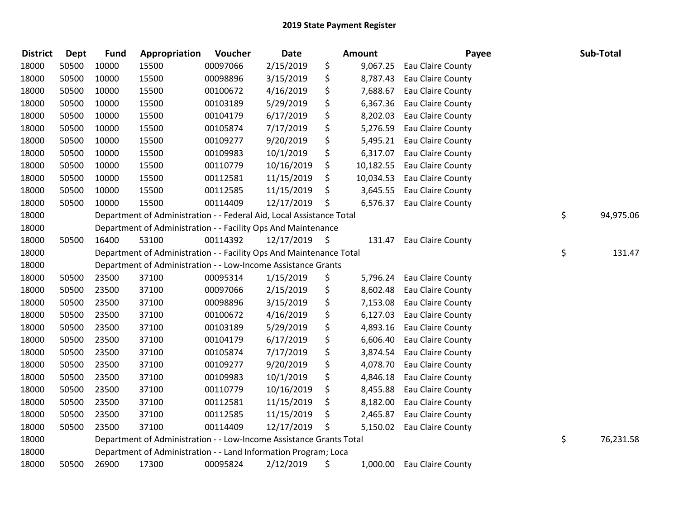| <b>District</b> | <b>Dept</b> | <b>Fund</b> | Appropriation                                                        | Voucher  | <b>Date</b> |      | Amount    | Payee                      | Sub-Total       |
|-----------------|-------------|-------------|----------------------------------------------------------------------|----------|-------------|------|-----------|----------------------------|-----------------|
| 18000           | 50500       | 10000       | 15500                                                                | 00097066 | 2/15/2019   | \$   | 9,067.25  | Eau Claire County          |                 |
| 18000           | 50500       | 10000       | 15500                                                                | 00098896 | 3/15/2019   | \$   | 8,787.43  | Eau Claire County          |                 |
| 18000           | 50500       | 10000       | 15500                                                                | 00100672 | 4/16/2019   | \$   |           | 7,688.67 Eau Claire County |                 |
| 18000           | 50500       | 10000       | 15500                                                                | 00103189 | 5/29/2019   | \$   | 6,367.36  | Eau Claire County          |                 |
| 18000           | 50500       | 10000       | 15500                                                                | 00104179 | 6/17/2019   | \$   | 8,202.03  | Eau Claire County          |                 |
| 18000           | 50500       | 10000       | 15500                                                                | 00105874 | 7/17/2019   | \$   | 5,276.59  | Eau Claire County          |                 |
| 18000           | 50500       | 10000       | 15500                                                                | 00109277 | 9/20/2019   | \$   | 5,495.21  | Eau Claire County          |                 |
| 18000           | 50500       | 10000       | 15500                                                                | 00109983 | 10/1/2019   | \$   | 6,317.07  | Eau Claire County          |                 |
| 18000           | 50500       | 10000       | 15500                                                                | 00110779 | 10/16/2019  | \$   | 10,182.55 | Eau Claire County          |                 |
| 18000           | 50500       | 10000       | 15500                                                                | 00112581 | 11/15/2019  | \$   | 10,034.53 | Eau Claire County          |                 |
| 18000           | 50500       | 10000       | 15500                                                                | 00112585 | 11/15/2019  | \$   |           | 3,645.55 Eau Claire County |                 |
| 18000           | 50500       | 10000       | 15500                                                                | 00114409 | 12/17/2019  | \$   |           | 6,576.37 Eau Claire County |                 |
| 18000           |             |             | Department of Administration - - Federal Aid, Local Assistance Total |          |             |      |           |                            | \$<br>94,975.06 |
| 18000           |             |             | Department of Administration - - Facility Ops And Maintenance        |          |             |      |           |                            |                 |
| 18000           | 50500       | 16400       | 53100                                                                | 00114392 | 12/17/2019  | - \$ | 131.47    | Eau Claire County          |                 |
| 18000           |             |             | Department of Administration - - Facility Ops And Maintenance Total  |          |             |      |           |                            | \$<br>131.47    |
| 18000           |             |             | Department of Administration - - Low-Income Assistance Grants        |          |             |      |           |                            |                 |
| 18000           | 50500       | 23500       | 37100                                                                | 00095314 | 1/15/2019   | \$   | 5,796.24  | Eau Claire County          |                 |
| 18000           | 50500       | 23500       | 37100                                                                | 00097066 | 2/15/2019   | \$   | 8,602.48  | Eau Claire County          |                 |
| 18000           | 50500       | 23500       | 37100                                                                | 00098896 | 3/15/2019   | \$   | 7,153.08  | Eau Claire County          |                 |
| 18000           | 50500       | 23500       | 37100                                                                | 00100672 | 4/16/2019   | \$   |           | 6,127.03 Eau Claire County |                 |
| 18000           | 50500       | 23500       | 37100                                                                | 00103189 | 5/29/2019   | \$   |           | 4,893.16 Eau Claire County |                 |
| 18000           | 50500       | 23500       | 37100                                                                | 00104179 | 6/17/2019   | \$   | 6,606.40  | Eau Claire County          |                 |
| 18000           | 50500       | 23500       | 37100                                                                | 00105874 | 7/17/2019   | \$   | 3,874.54  | Eau Claire County          |                 |
| 18000           | 50500       | 23500       | 37100                                                                | 00109277 | 9/20/2019   | \$   | 4,078.70  | Eau Claire County          |                 |
| 18000           | 50500       | 23500       | 37100                                                                | 00109983 | 10/1/2019   | \$   | 4,846.18  | Eau Claire County          |                 |
| 18000           | 50500       | 23500       | 37100                                                                | 00110779 | 10/16/2019  | \$   | 8,455.88  | Eau Claire County          |                 |
| 18000           | 50500       | 23500       | 37100                                                                | 00112581 | 11/15/2019  | \$   | 8,182.00  | Eau Claire County          |                 |
| 18000           | 50500       | 23500       | 37100                                                                | 00112585 | 11/15/2019  | \$   | 2,465.87  | Eau Claire County          |                 |
| 18000           | 50500       | 23500       | 37100                                                                | 00114409 | 12/17/2019  | \$   |           | 5,150.02 Eau Claire County |                 |
| 18000           |             |             | Department of Administration - - Low-Income Assistance Grants Total  |          |             |      |           |                            | \$<br>76,231.58 |
| 18000           |             |             | Department of Administration - - Land Information Program; Loca      |          |             |      |           |                            |                 |
| 18000           | 50500       | 26900       | 17300                                                                | 00095824 | 2/12/2019   | \$   |           | 1,000.00 Eau Claire County |                 |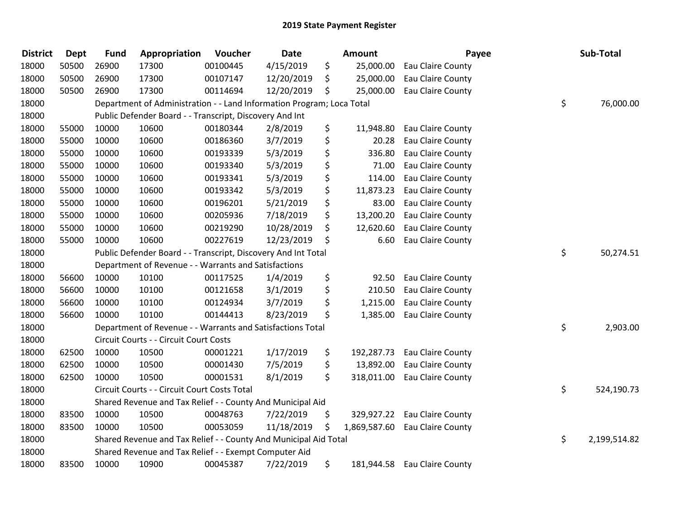| <b>District</b> | <b>Dept</b> | <b>Fund</b> | Appropriation                                                         | Voucher  | <b>Date</b> | <b>Amount</b>    | Payee                          | Sub-Total          |
|-----------------|-------------|-------------|-----------------------------------------------------------------------|----------|-------------|------------------|--------------------------------|--------------------|
| 18000           | 50500       | 26900       | 17300                                                                 | 00100445 | 4/15/2019   | \$<br>25,000.00  | Eau Claire County              |                    |
| 18000           | 50500       | 26900       | 17300                                                                 | 00107147 | 12/20/2019  | \$<br>25,000.00  | Eau Claire County              |                    |
| 18000           | 50500       | 26900       | 17300                                                                 | 00114694 | 12/20/2019  | \$<br>25,000.00  | Eau Claire County              |                    |
| 18000           |             |             | Department of Administration - - Land Information Program; Loca Total |          |             |                  |                                | \$<br>76,000.00    |
| 18000           |             |             | Public Defender Board - - Transcript, Discovery And Int               |          |             |                  |                                |                    |
| 18000           | 55000       | 10000       | 10600                                                                 | 00180344 | 2/8/2019    | \$<br>11,948.80  | Eau Claire County              |                    |
| 18000           | 55000       | 10000       | 10600                                                                 | 00186360 | 3/7/2019    | \$<br>20.28      | Eau Claire County              |                    |
| 18000           | 55000       | 10000       | 10600                                                                 | 00193339 | 5/3/2019    | \$<br>336.80     | Eau Claire County              |                    |
| 18000           | 55000       | 10000       | 10600                                                                 | 00193340 | 5/3/2019    | \$<br>71.00      | Eau Claire County              |                    |
| 18000           | 55000       | 10000       | 10600                                                                 | 00193341 | 5/3/2019    | \$<br>114.00     | Eau Claire County              |                    |
| 18000           | 55000       | 10000       | 10600                                                                 | 00193342 | 5/3/2019    | \$<br>11,873.23  | Eau Claire County              |                    |
| 18000           | 55000       | 10000       | 10600                                                                 | 00196201 | 5/21/2019   | \$<br>83.00      | Eau Claire County              |                    |
| 18000           | 55000       | 10000       | 10600                                                                 | 00205936 | 7/18/2019   | \$<br>13,200.20  | Eau Claire County              |                    |
| 18000           | 55000       | 10000       | 10600                                                                 | 00219290 | 10/28/2019  | \$<br>12,620.60  | Eau Claire County              |                    |
| 18000           | 55000       | 10000       | 10600                                                                 | 00227619 | 12/23/2019  | \$<br>6.60       | Eau Claire County              |                    |
| 18000           |             |             | Public Defender Board - - Transcript, Discovery And Int Total         |          |             |                  |                                | \$<br>50,274.51    |
| 18000           |             |             | Department of Revenue - - Warrants and Satisfactions                  |          |             |                  |                                |                    |
| 18000           | 56600       | 10000       | 10100                                                                 | 00117525 | 1/4/2019    | \$<br>92.50      | Eau Claire County              |                    |
| 18000           | 56600       | 10000       | 10100                                                                 | 00121658 | 3/1/2019    | \$<br>210.50     | Eau Claire County              |                    |
| 18000           | 56600       | 10000       | 10100                                                                 | 00124934 | 3/7/2019    | \$<br>1,215.00   | Eau Claire County              |                    |
| 18000           | 56600       | 10000       | 10100                                                                 | 00144413 | 8/23/2019   | \$               | 1,385.00 Eau Claire County     |                    |
| 18000           |             |             | Department of Revenue - - Warrants and Satisfactions Total            |          |             |                  |                                | \$<br>2,903.00     |
| 18000           |             |             | Circuit Courts - - Circuit Court Costs                                |          |             |                  |                                |                    |
| 18000           | 62500       | 10000       | 10500                                                                 | 00001221 | 1/17/2019   | \$<br>192,287.73 | Eau Claire County              |                    |
| 18000           | 62500       | 10000       | 10500                                                                 | 00001430 | 7/5/2019    | \$<br>13,892.00  | Eau Claire County              |                    |
| 18000           | 62500       | 10000       | 10500                                                                 | 00001531 | 8/1/2019    | \$               | 318,011.00 Eau Claire County   |                    |
| 18000           |             |             | Circuit Courts - - Circuit Court Costs Total                          |          |             |                  |                                | \$<br>524,190.73   |
| 18000           |             |             | Shared Revenue and Tax Relief - - County And Municipal Aid            |          |             |                  |                                |                    |
| 18000           | 83500       | 10000       | 10500                                                                 | 00048763 | 7/22/2019   | \$               | 329,927.22 Eau Claire County   |                    |
| 18000           | 83500       | 10000       | 10500                                                                 | 00053059 | 11/18/2019  | \$               | 1,869,587.60 Eau Claire County |                    |
| 18000           |             |             | Shared Revenue and Tax Relief - - County And Municipal Aid Total      |          |             |                  |                                | \$<br>2,199,514.82 |
| 18000           |             |             | Shared Revenue and Tax Relief - - Exempt Computer Aid                 |          |             |                  |                                |                    |
| 18000           | 83500       | 10000       | 10900                                                                 | 00045387 | 7/22/2019   | \$               | 181,944.58 Eau Claire County   |                    |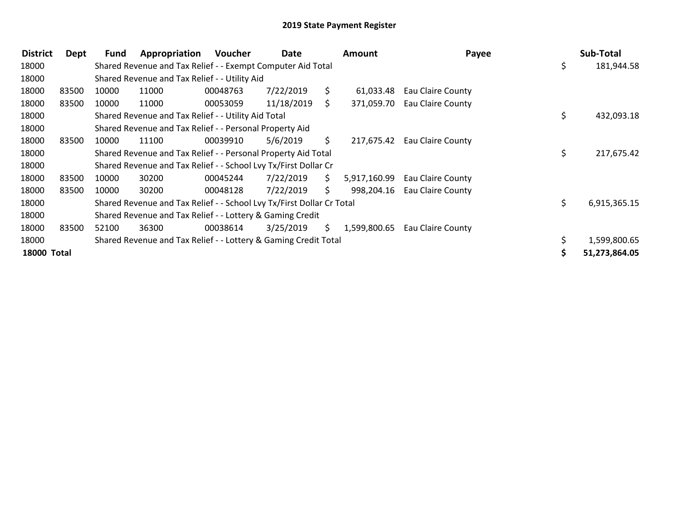| <b>District</b>    | Dept  | Fund  | Appropriation                                                         | Voucher  | Date       |     | <b>Amount</b> | Payee             | Sub-Total          |
|--------------------|-------|-------|-----------------------------------------------------------------------|----------|------------|-----|---------------|-------------------|--------------------|
| 18000              |       |       | Shared Revenue and Tax Relief - - Exempt Computer Aid Total           |          |            |     |               |                   | \$<br>181,944.58   |
| 18000              |       |       | Shared Revenue and Tax Relief - - Utility Aid                         |          |            |     |               |                   |                    |
| 18000              | 83500 | 10000 | 11000                                                                 | 00048763 | 7/22/2019  | S.  | 61,033.48     | Eau Claire County |                    |
| 18000              | 83500 | 10000 | 11000                                                                 | 00053059 | 11/18/2019 | S.  | 371,059.70    | Eau Claire County |                    |
| 18000              |       |       | Shared Revenue and Tax Relief - - Utility Aid Total                   |          |            |     |               |                   | \$<br>432,093.18   |
| 18000              |       |       | Shared Revenue and Tax Relief - - Personal Property Aid               |          |            |     |               |                   |                    |
| 18000              | 83500 | 10000 | 11100                                                                 | 00039910 | 5/6/2019   | \$. | 217,675.42    | Eau Claire County |                    |
| 18000              |       |       | Shared Revenue and Tax Relief - - Personal Property Aid Total         |          |            |     |               |                   | \$<br>217,675.42   |
| 18000              |       |       | Shared Revenue and Tax Relief - - School Lvy Tx/First Dollar Cr       |          |            |     |               |                   |                    |
| 18000              | 83500 | 10000 | 30200                                                                 | 00045244 | 7/22/2019  | S.  | 5,917,160.99  | Eau Claire County |                    |
| 18000              | 83500 | 10000 | 30200                                                                 | 00048128 | 7/22/2019  | S.  | 998,204.16    | Eau Claire County |                    |
| 18000              |       |       | Shared Revenue and Tax Relief - - School Lvy Tx/First Dollar Cr Total |          |            |     |               |                   | \$<br>6,915,365.15 |
| 18000              |       |       | Shared Revenue and Tax Relief - - Lottery & Gaming Credit             |          |            |     |               |                   |                    |
| 18000              | 83500 | 52100 | 36300                                                                 | 00038614 | 3/25/2019  | S.  | 1,599,800.65  | Eau Claire County |                    |
| 18000              |       |       | Shared Revenue and Tax Relief - - Lottery & Gaming Credit Total       |          |            |     |               |                   | 1,599,800.65       |
| <b>18000 Total</b> |       |       |                                                                       |          |            |     |               |                   | 51,273,864.05      |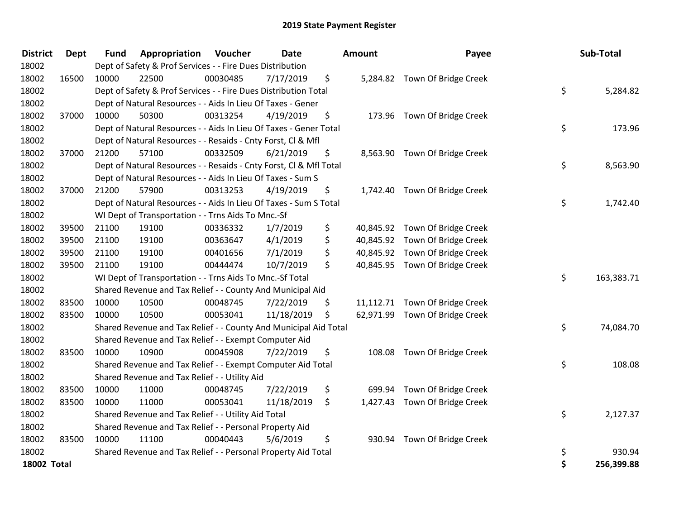| <b>District</b>    | Dept  | <b>Fund</b> | Appropriation                                                      | Voucher  | <b>Date</b> |     | Amount | Payee                          | Sub-Total        |
|--------------------|-------|-------------|--------------------------------------------------------------------|----------|-------------|-----|--------|--------------------------------|------------------|
| 18002              |       |             | Dept of Safety & Prof Services - - Fire Dues Distribution          |          |             |     |        |                                |                  |
| 18002              | 16500 | 10000       | 22500                                                              | 00030485 | 7/17/2019   | \$  |        | 5,284.82 Town Of Bridge Creek  |                  |
| 18002              |       |             | Dept of Safety & Prof Services - - Fire Dues Distribution Total    |          |             |     |        |                                | \$<br>5,284.82   |
| 18002              |       |             | Dept of Natural Resources - - Aids In Lieu Of Taxes - Gener        |          |             |     |        |                                |                  |
| 18002              | 37000 | 10000       | 50300                                                              | 00313254 | 4/19/2019   | \$  |        | 173.96 Town Of Bridge Creek    |                  |
| 18002              |       |             | Dept of Natural Resources - - Aids In Lieu Of Taxes - Gener Total  |          |             |     |        |                                | \$<br>173.96     |
| 18002              |       |             | Dept of Natural Resources - - Resaids - Cnty Forst, Cl & Mfl       |          |             |     |        |                                |                  |
| 18002              | 37000 | 21200       | 57100                                                              | 00332509 | 6/21/2019   | \$  |        | 8,563.90 Town Of Bridge Creek  |                  |
| 18002              |       |             | Dept of Natural Resources - - Resaids - Cnty Forst, Cl & Mfl Total |          |             |     |        |                                | \$<br>8,563.90   |
| 18002              |       |             | Dept of Natural Resources - - Aids In Lieu Of Taxes - Sum S        |          |             |     |        |                                |                  |
| 18002              | 37000 | 21200       | 57900                                                              | 00313253 | 4/19/2019   | \$  |        | 1,742.40 Town Of Bridge Creek  |                  |
| 18002              |       |             | Dept of Natural Resources - - Aids In Lieu Of Taxes - Sum S Total  |          |             |     |        |                                | \$<br>1,742.40   |
| 18002              |       |             | WI Dept of Transportation - - Trns Aids To Mnc.-Sf                 |          |             |     |        |                                |                  |
| 18002              | 39500 | 21100       | 19100                                                              | 00336332 | 1/7/2019    | \$  |        | 40,845.92 Town Of Bridge Creek |                  |
| 18002              | 39500 | 21100       | 19100                                                              | 00363647 | 4/1/2019    | \$  |        | 40,845.92 Town Of Bridge Creek |                  |
| 18002              | 39500 | 21100       | 19100                                                              | 00401656 | 7/1/2019    | \$  |        | 40,845.92 Town Of Bridge Creek |                  |
| 18002              | 39500 | 21100       | 19100                                                              | 00444474 | 10/7/2019   | \$  |        | 40,845.95 Town Of Bridge Creek |                  |
| 18002              |       |             | WI Dept of Transportation - - Trns Aids To Mnc.-Sf Total           |          |             |     |        |                                | \$<br>163,383.71 |
| 18002              |       |             | Shared Revenue and Tax Relief - - County And Municipal Aid         |          |             |     |        |                                |                  |
| 18002              | 83500 | 10000       | 10500                                                              | 00048745 | 7/22/2019   | \$  |        | 11,112.71 Town Of Bridge Creek |                  |
| 18002              | 83500 | 10000       | 10500                                                              | 00053041 | 11/18/2019  | \$  |        | 62,971.99 Town Of Bridge Creek |                  |
| 18002              |       |             | Shared Revenue and Tax Relief - - County And Municipal Aid Total   |          |             |     |        |                                | \$<br>74,084.70  |
| 18002              |       |             | Shared Revenue and Tax Relief - - Exempt Computer Aid              |          |             |     |        |                                |                  |
| 18002              | 83500 | 10000       | 10900                                                              | 00045908 | 7/22/2019   | \$. |        | 108.08 Town Of Bridge Creek    |                  |
| 18002              |       |             | Shared Revenue and Tax Relief - - Exempt Computer Aid Total        |          |             |     |        |                                | \$<br>108.08     |
| 18002              |       |             | Shared Revenue and Tax Relief - - Utility Aid                      |          |             |     |        |                                |                  |
| 18002              | 83500 | 10000       | 11000                                                              | 00048745 | 7/22/2019   | \$  | 699.94 | Town Of Bridge Creek           |                  |
| 18002              | 83500 | 10000       | 11000                                                              | 00053041 | 11/18/2019  | \$  |        | 1,427.43 Town Of Bridge Creek  |                  |
| 18002              |       |             | Shared Revenue and Tax Relief - - Utility Aid Total                |          |             |     |        |                                | \$<br>2,127.37   |
| 18002              |       |             | Shared Revenue and Tax Relief - - Personal Property Aid            |          |             |     |        |                                |                  |
| 18002              | 83500 | 10000       | 11100                                                              | 00040443 | 5/6/2019    | \$  | 930.94 | Town Of Bridge Creek           |                  |
| 18002              |       |             | Shared Revenue and Tax Relief - - Personal Property Aid Total      |          |             |     |        |                                | \$<br>930.94     |
| <b>18002 Total</b> |       |             |                                                                    |          |             |     |        |                                | \$<br>256,399.88 |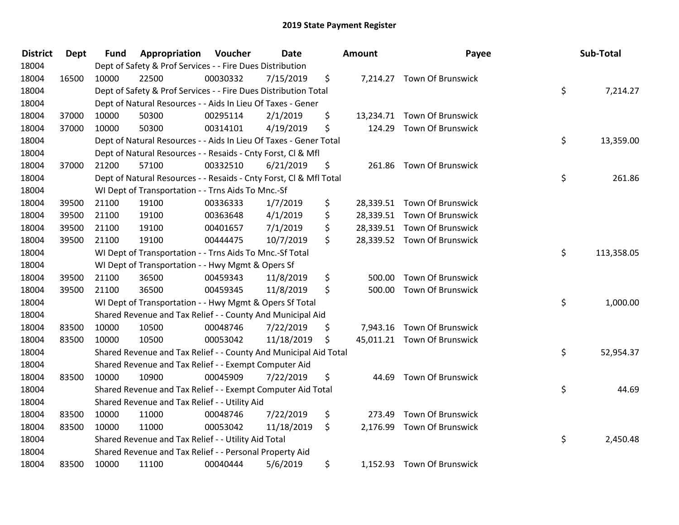| <b>District</b> | <b>Dept</b> | <b>Fund</b> | Appropriation                                                      | Voucher  | <b>Date</b> | Amount       | Payee                       | Sub-Total        |
|-----------------|-------------|-------------|--------------------------------------------------------------------|----------|-------------|--------------|-----------------------------|------------------|
| 18004           |             |             | Dept of Safety & Prof Services - - Fire Dues Distribution          |          |             |              |                             |                  |
| 18004           | 16500       | 10000       | 22500                                                              | 00030332 | 7/15/2019   | \$           | 7,214.27 Town Of Brunswick  |                  |
| 18004           |             |             | Dept of Safety & Prof Services - - Fire Dues Distribution Total    |          |             |              |                             | \$<br>7,214.27   |
| 18004           |             |             | Dept of Natural Resources - - Aids In Lieu Of Taxes - Gener        |          |             |              |                             |                  |
| 18004           | 37000       | 10000       | 50300                                                              | 00295114 | 2/1/2019    | \$           | 13,234.71 Town Of Brunswick |                  |
| 18004           | 37000       | 10000       | 50300                                                              | 00314101 | 4/19/2019   | \$           | 124.29 Town Of Brunswick    |                  |
| 18004           |             |             | Dept of Natural Resources - - Aids In Lieu Of Taxes - Gener Total  |          |             |              |                             | \$<br>13,359.00  |
| 18004           |             |             | Dept of Natural Resources - - Resaids - Cnty Forst, CI & Mfl       |          |             |              |                             |                  |
| 18004           | 37000       | 21200       | 57100                                                              | 00332510 | 6/21/2019   | \$           | 261.86 Town Of Brunswick    |                  |
| 18004           |             |             | Dept of Natural Resources - - Resaids - Cnty Forst, Cl & Mfl Total |          |             |              |                             | \$<br>261.86     |
| 18004           |             |             | WI Dept of Transportation - - Trns Aids To Mnc.-Sf                 |          |             |              |                             |                  |
| 18004           | 39500       | 21100       | 19100                                                              | 00336333 | 1/7/2019    | \$           | 28,339.51 Town Of Brunswick |                  |
| 18004           | 39500       | 21100       | 19100                                                              | 00363648 | 4/1/2019    | \$           | 28,339.51 Town Of Brunswick |                  |
| 18004           | 39500       | 21100       | 19100                                                              | 00401657 | 7/1/2019    | \$           | 28,339.51 Town Of Brunswick |                  |
| 18004           | 39500       | 21100       | 19100                                                              | 00444475 | 10/7/2019   | \$           | 28,339.52 Town Of Brunswick |                  |
| 18004           |             |             | WI Dept of Transportation - - Trns Aids To Mnc.-Sf Total           |          |             |              |                             | \$<br>113,358.05 |
| 18004           |             |             | WI Dept of Transportation - - Hwy Mgmt & Opers Sf                  |          |             |              |                             |                  |
| 18004           | 39500       | 21100       | 36500                                                              | 00459343 | 11/8/2019   | \$<br>500.00 | <b>Town Of Brunswick</b>    |                  |
| 18004           | 39500       | 21100       | 36500                                                              | 00459345 | 11/8/2019   | \$           | 500.00 Town Of Brunswick    |                  |
| 18004           |             |             | WI Dept of Transportation - - Hwy Mgmt & Opers Sf Total            |          |             |              |                             | \$<br>1,000.00   |
| 18004           |             |             | Shared Revenue and Tax Relief - - County And Municipal Aid         |          |             |              |                             |                  |
| 18004           | 83500       | 10000       | 10500                                                              | 00048746 | 7/22/2019   | \$           | 7,943.16 Town Of Brunswick  |                  |
| 18004           | 83500       | 10000       | 10500                                                              | 00053042 | 11/18/2019  | \$           | 45,011.21 Town Of Brunswick |                  |
| 18004           |             |             | Shared Revenue and Tax Relief - - County And Municipal Aid Total   |          |             |              |                             | \$<br>52,954.37  |
| 18004           |             |             | Shared Revenue and Tax Relief - - Exempt Computer Aid              |          |             |              |                             |                  |
| 18004           | 83500       | 10000       | 10900                                                              | 00045909 | 7/22/2019   | \$<br>44.69  | <b>Town Of Brunswick</b>    |                  |
| 18004           |             |             | Shared Revenue and Tax Relief - - Exempt Computer Aid Total        |          |             |              |                             | \$<br>44.69      |
| 18004           |             |             | Shared Revenue and Tax Relief - - Utility Aid                      |          |             |              |                             |                  |
| 18004           | 83500       | 10000       | 11000                                                              | 00048746 | 7/22/2019   | \$<br>273.49 | <b>Town Of Brunswick</b>    |                  |
| 18004           | 83500       | 10000       | 11000                                                              | 00053042 | 11/18/2019  | \$           | 2,176.99 Town Of Brunswick  |                  |
| 18004           |             |             | Shared Revenue and Tax Relief - - Utility Aid Total                |          |             |              |                             | \$<br>2,450.48   |
| 18004           |             |             | Shared Revenue and Tax Relief - - Personal Property Aid            |          |             |              |                             |                  |
| 18004           | 83500       | 10000       | 11100                                                              | 00040444 | 5/6/2019    | \$           | 1,152.93 Town Of Brunswick  |                  |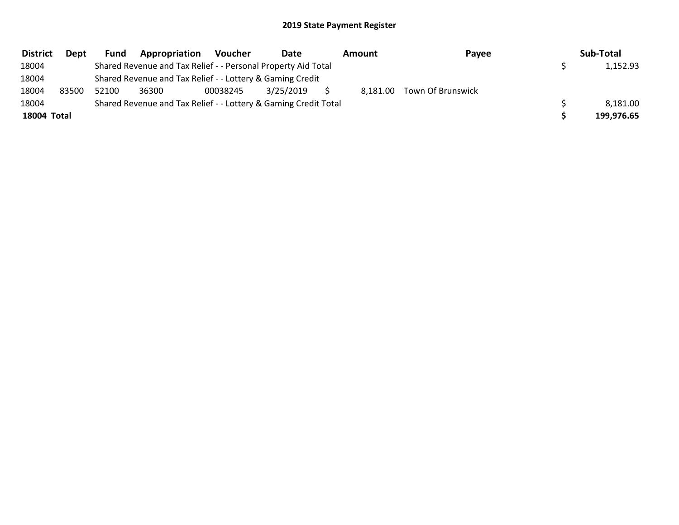| <b>District</b> | Dept  | Fund  | Appropriation                                                   | <b>Voucher</b> | Date      | Amount | Payee                      | Sub-Total  |
|-----------------|-------|-------|-----------------------------------------------------------------|----------------|-----------|--------|----------------------------|------------|
| 18004           |       |       | Shared Revenue and Tax Relief - - Personal Property Aid Total   |                |           |        |                            | 1,152.93   |
| 18004           |       |       | Shared Revenue and Tax Relief - - Lottery & Gaming Credit       |                |           |        |                            |            |
| 18004           | 83500 | 52100 | 36300                                                           | 00038245       | 3/25/2019 |        | 8,181.00 Town Of Brunswick |            |
| 18004           |       |       | Shared Revenue and Tax Relief - - Lottery & Gaming Credit Total |                |           |        |                            | 8,181.00   |
| 18004 Total     |       |       |                                                                 |                |           |        |                            | 199.976.65 |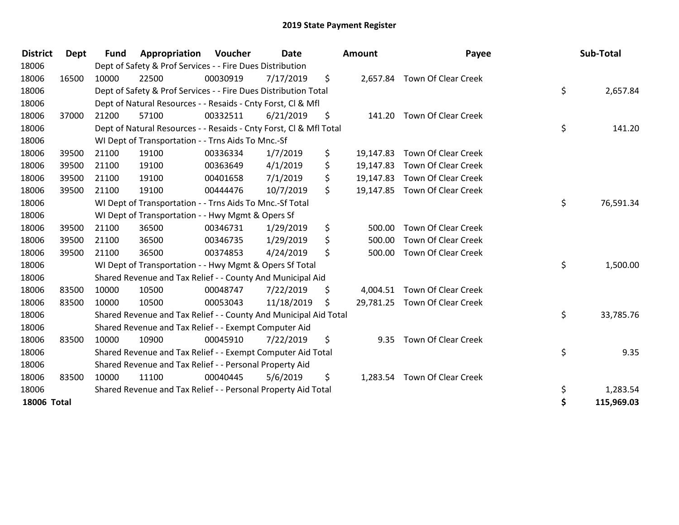| <b>District</b>    | <b>Dept</b> | <b>Fund</b> | Appropriation                                                      | Voucher  | <b>Date</b> |     | <b>Amount</b> | Payee                         | Sub-Total        |
|--------------------|-------------|-------------|--------------------------------------------------------------------|----------|-------------|-----|---------------|-------------------------------|------------------|
| 18006              |             |             | Dept of Safety & Prof Services - - Fire Dues Distribution          |          |             |     |               |                               |                  |
| 18006              | 16500       | 10000       | 22500                                                              | 00030919 | 7/17/2019   | \$  | 2,657.84      | <b>Town Of Clear Creek</b>    |                  |
| 18006              |             |             | Dept of Safety & Prof Services - - Fire Dues Distribution Total    |          |             |     |               |                               | \$<br>2,657.84   |
| 18006              |             |             | Dept of Natural Resources - - Resaids - Cnty Forst, Cl & Mfl       |          |             |     |               |                               |                  |
| 18006              | 37000       | 21200       | 57100                                                              | 00332511 | 6/21/2019   | \$  | 141.20        | <b>Town Of Clear Creek</b>    |                  |
| 18006              |             |             | Dept of Natural Resources - - Resaids - Cnty Forst, CI & Mfl Total |          |             |     |               |                               | \$<br>141.20     |
| 18006              |             |             | WI Dept of Transportation - - Trns Aids To Mnc.-Sf                 |          |             |     |               |                               |                  |
| 18006              | 39500       | 21100       | 19100                                                              | 00336334 | 1/7/2019    | \$  | 19,147.83     | Town Of Clear Creek           |                  |
| 18006              | 39500       | 21100       | 19100                                                              | 00363649 | 4/1/2019    | \$  | 19,147.83     | <b>Town Of Clear Creek</b>    |                  |
| 18006              | 39500       | 21100       | 19100                                                              | 00401658 | 7/1/2019    | \$  | 19,147.83     | <b>Town Of Clear Creek</b>    |                  |
| 18006              | 39500       | 21100       | 19100                                                              | 00444476 | 10/7/2019   | \$  | 19,147.85     | <b>Town Of Clear Creek</b>    |                  |
| 18006              |             |             | WI Dept of Transportation - - Trns Aids To Mnc.-Sf Total           |          |             |     |               |                               | \$<br>76,591.34  |
| 18006              |             |             | WI Dept of Transportation - - Hwy Mgmt & Opers Sf                  |          |             |     |               |                               |                  |
| 18006              | 39500       | 21100       | 36500                                                              | 00346731 | 1/29/2019   | \$  | 500.00        | Town Of Clear Creek           |                  |
| 18006              | 39500       | 21100       | 36500                                                              | 00346735 | 1/29/2019   | \$  | 500.00        | <b>Town Of Clear Creek</b>    |                  |
| 18006              | 39500       | 21100       | 36500                                                              | 00374853 | 4/24/2019   | \$  | 500.00        | Town Of Clear Creek           |                  |
| 18006              |             |             | WI Dept of Transportation - - Hwy Mgmt & Opers Sf Total            |          |             |     |               |                               | \$<br>1,500.00   |
| 18006              |             |             | Shared Revenue and Tax Relief - - County And Municipal Aid         |          |             |     |               |                               |                  |
| 18006              | 83500       | 10000       | 10500                                                              | 00048747 | 7/22/2019   | \$. | 4,004.51      | <b>Town Of Clear Creek</b>    |                  |
| 18006              | 83500       | 10000       | 10500                                                              | 00053043 | 11/18/2019  | S.  |               | 29,781.25 Town Of Clear Creek |                  |
| 18006              |             |             | Shared Revenue and Tax Relief - - County And Municipal Aid Total   |          |             |     |               |                               | \$<br>33,785.76  |
| 18006              |             |             | Shared Revenue and Tax Relief - - Exempt Computer Aid              |          |             |     |               |                               |                  |
| 18006              | 83500       | 10000       | 10900                                                              | 00045910 | 7/22/2019   | \$  | 9.35          | <b>Town Of Clear Creek</b>    |                  |
| 18006              |             |             | Shared Revenue and Tax Relief - - Exempt Computer Aid Total        |          |             |     |               |                               | \$<br>9.35       |
| 18006              |             |             | Shared Revenue and Tax Relief - - Personal Property Aid            |          |             |     |               |                               |                  |
| 18006              | 83500       | 10000       | 11100                                                              | 00040445 | 5/6/2019    | \$  | 1,283.54      | <b>Town Of Clear Creek</b>    |                  |
| 18006              |             |             | Shared Revenue and Tax Relief - - Personal Property Aid Total      |          |             |     |               |                               | \$<br>1,283.54   |
| <b>18006 Total</b> |             |             |                                                                    |          |             |     |               |                               | \$<br>115,969.03 |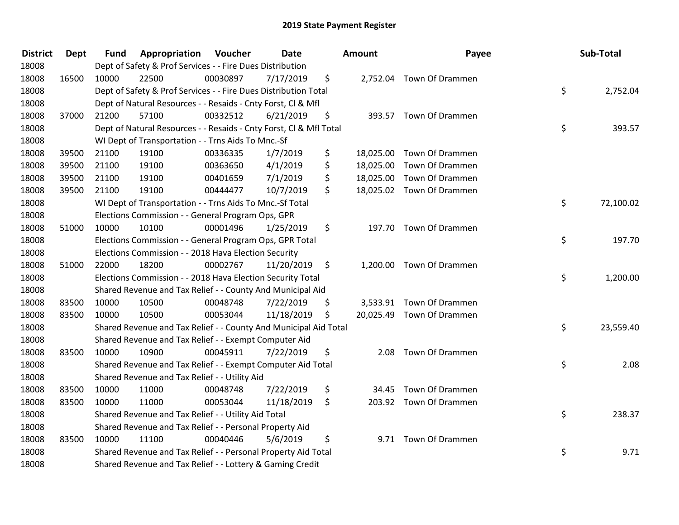| <b>District</b> | Dept  | <b>Fund</b> | Appropriation                                                      | Voucher  | <b>Date</b> |         | <b>Amount</b> | Payee                     | Sub-Total       |
|-----------------|-------|-------------|--------------------------------------------------------------------|----------|-------------|---------|---------------|---------------------------|-----------------|
| 18008           |       |             | Dept of Safety & Prof Services - - Fire Dues Distribution          |          |             |         |               |                           |                 |
| 18008           | 16500 | 10000       | 22500                                                              | 00030897 | 7/17/2019   | \$      |               | 2,752.04 Town Of Drammen  |                 |
| 18008           |       |             | Dept of Safety & Prof Services - - Fire Dues Distribution Total    |          |             |         |               |                           | \$<br>2,752.04  |
| 18008           |       |             | Dept of Natural Resources - - Resaids - Cnty Forst, Cl & Mfl       |          |             |         |               |                           |                 |
| 18008           | 37000 | 21200       | 57100                                                              | 00332512 | 6/21/2019   | \$      |               | 393.57 Town Of Drammen    |                 |
| 18008           |       |             | Dept of Natural Resources - - Resaids - Cnty Forst, CI & Mfl Total |          |             |         |               |                           | \$<br>393.57    |
| 18008           |       |             | WI Dept of Transportation - - Trns Aids To Mnc.-Sf                 |          |             |         |               |                           |                 |
| 18008           | 39500 | 21100       | 19100                                                              | 00336335 | 1/7/2019    | \$      | 18,025.00     | Town Of Drammen           |                 |
| 18008           | 39500 | 21100       | 19100                                                              | 00363650 | 4/1/2019    | \$      |               | 18,025.00 Town Of Drammen |                 |
| 18008           | 39500 | 21100       | 19100                                                              | 00401659 | 7/1/2019    | \$      | 18,025.00     | Town Of Drammen           |                 |
| 18008           | 39500 | 21100       | 19100                                                              | 00444477 | 10/7/2019   | \$      |               | 18,025.02 Town Of Drammen |                 |
| 18008           |       |             | WI Dept of Transportation - - Trns Aids To Mnc.-Sf Total           |          |             |         |               |                           | \$<br>72,100.02 |
| 18008           |       |             | Elections Commission - - General Program Ops, GPR                  |          |             |         |               |                           |                 |
| 18008           | 51000 | 10000       | 10100                                                              | 00001496 | 1/25/2019   | \$.     |               | 197.70 Town Of Drammen    |                 |
| 18008           |       |             | Elections Commission - - General Program Ops, GPR Total            |          |             |         |               |                           | \$<br>197.70    |
| 18008           |       |             | Elections Commission - - 2018 Hava Election Security               |          |             |         |               |                           |                 |
| 18008           | 51000 | 22000       | 18200                                                              | 00002767 | 11/20/2019  | $\zeta$ |               | 1,200.00 Town Of Drammen  |                 |
| 18008           |       |             | Elections Commission - - 2018 Hava Election Security Total         |          |             |         |               |                           | \$<br>1,200.00  |
| 18008           |       |             | Shared Revenue and Tax Relief - - County And Municipal Aid         |          |             |         |               |                           |                 |
| 18008           | 83500 | 10000       | 10500                                                              | 00048748 | 7/22/2019   | \$      |               | 3,533.91 Town Of Drammen  |                 |
| 18008           | 83500 | 10000       | 10500                                                              | 00053044 | 11/18/2019  | \$      |               | 20,025.49 Town Of Drammen |                 |
| 18008           |       |             | Shared Revenue and Tax Relief - - County And Municipal Aid Total   |          |             |         |               |                           | \$<br>23,559.40 |
| 18008           |       |             | Shared Revenue and Tax Relief - - Exempt Computer Aid              |          |             |         |               |                           |                 |
| 18008           | 83500 | 10000       | 10900                                                              | 00045911 | 7/22/2019   | \$      | 2.08          | Town Of Drammen           |                 |
| 18008           |       |             | Shared Revenue and Tax Relief - - Exempt Computer Aid Total        |          |             |         |               |                           | \$<br>2.08      |
| 18008           |       |             | Shared Revenue and Tax Relief - - Utility Aid                      |          |             |         |               |                           |                 |
| 18008           | 83500 | 10000       | 11000                                                              | 00048748 | 7/22/2019   | \$      | 34.45         | Town Of Drammen           |                 |
| 18008           | 83500 | 10000       | 11000                                                              | 00053044 | 11/18/2019  | \$      |               | 203.92 Town Of Drammen    |                 |
| 18008           |       |             | Shared Revenue and Tax Relief - - Utility Aid Total                |          |             |         |               |                           | \$<br>238.37    |
| 18008           |       |             | Shared Revenue and Tax Relief - - Personal Property Aid            |          |             |         |               |                           |                 |
| 18008           | 83500 | 10000       | 11100                                                              | 00040446 | 5/6/2019    | \$      |               | 9.71 Town Of Drammen      |                 |
| 18008           |       |             | Shared Revenue and Tax Relief - - Personal Property Aid Total      |          |             |         |               |                           | \$<br>9.71      |
| 18008           |       |             | Shared Revenue and Tax Relief - - Lottery & Gaming Credit          |          |             |         |               |                           |                 |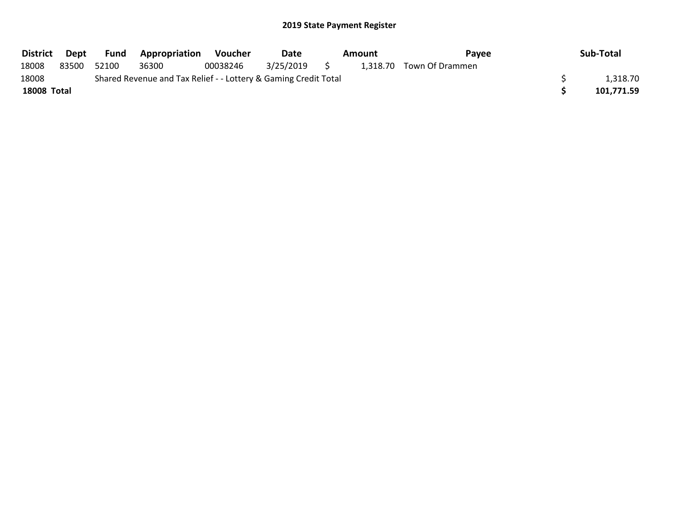| <b>District</b>    | Dept  | Fund  | <b>Appropriation</b>                                            | Voucher  | Date         | Amount | <b>Pavee</b>             | Sub-Total  |
|--------------------|-------|-------|-----------------------------------------------------------------|----------|--------------|--------|--------------------------|------------|
| 18008              | 83500 | 52100 | 36300                                                           | 00038246 | 3/25/2019 \$ |        | 1,318.70 Town Of Drammen |            |
| 18008              |       |       | Shared Revenue and Tax Relief - - Lottery & Gaming Credit Total |          |              |        |                          | 1,318.70   |
| <b>18008 Total</b> |       |       |                                                                 |          |              |        |                          | 101.771.59 |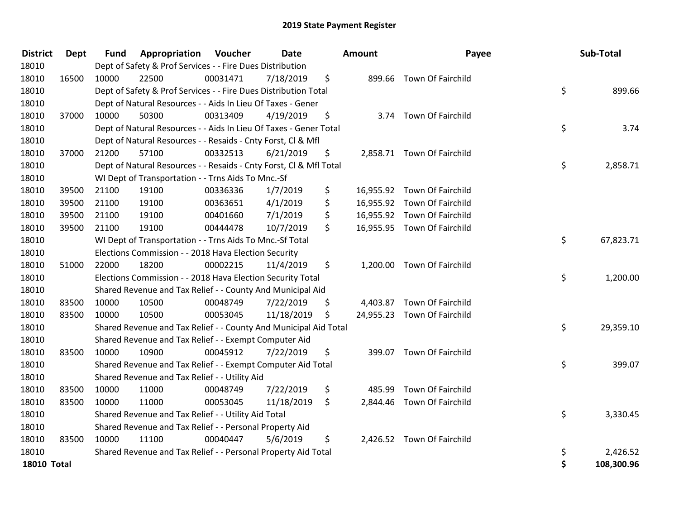| <b>District</b>    | <b>Dept</b> | <b>Fund</b> | Appropriation                                                      | Voucher  | <b>Date</b> |     | Amount    | Payee                       | Sub-Total        |
|--------------------|-------------|-------------|--------------------------------------------------------------------|----------|-------------|-----|-----------|-----------------------------|------------------|
| 18010              |             |             | Dept of Safety & Prof Services - - Fire Dues Distribution          |          |             |     |           |                             |                  |
| 18010              | 16500       | 10000       | 22500                                                              | 00031471 | 7/18/2019   | \$  |           | 899.66 Town Of Fairchild    |                  |
| 18010              |             |             | Dept of Safety & Prof Services - - Fire Dues Distribution Total    |          |             |     |           |                             | \$<br>899.66     |
| 18010              |             |             | Dept of Natural Resources - - Aids In Lieu Of Taxes - Gener        |          |             |     |           |                             |                  |
| 18010              | 37000       | 10000       | 50300                                                              | 00313409 | 4/19/2019   | \$  |           | 3.74 Town Of Fairchild      |                  |
| 18010              |             |             | Dept of Natural Resources - - Aids In Lieu Of Taxes - Gener Total  |          |             |     |           |                             | \$<br>3.74       |
| 18010              |             |             | Dept of Natural Resources - - Resaids - Cnty Forst, Cl & Mfl       |          |             |     |           |                             |                  |
| 18010              | 37000       | 21200       | 57100                                                              | 00332513 | 6/21/2019   | \$  |           | 2,858.71 Town Of Fairchild  |                  |
| 18010              |             |             | Dept of Natural Resources - - Resaids - Cnty Forst, Cl & Mfl Total |          |             |     |           |                             | \$<br>2,858.71   |
| 18010              |             |             | WI Dept of Transportation - - Trns Aids To Mnc.-Sf                 |          |             |     |           |                             |                  |
| 18010              | 39500       | 21100       | 19100                                                              | 00336336 | 1/7/2019    | \$  |           | 16,955.92 Town Of Fairchild |                  |
| 18010              | 39500       | 21100       | 19100                                                              | 00363651 | 4/1/2019    | \$  | 16,955.92 | Town Of Fairchild           |                  |
| 18010              | 39500       | 21100       | 19100                                                              | 00401660 | 7/1/2019    | \$  |           | 16,955.92 Town Of Fairchild |                  |
| 18010              | 39500       | 21100       | 19100                                                              | 00444478 | 10/7/2019   | \$  |           | 16,955.95 Town Of Fairchild |                  |
| 18010              |             |             | WI Dept of Transportation - - Trns Aids To Mnc.-Sf Total           |          |             |     |           |                             | \$<br>67,823.71  |
| 18010              |             |             | Elections Commission - - 2018 Hava Election Security               |          |             |     |           |                             |                  |
| 18010              | 51000       | 22000       | 18200                                                              | 00002215 | 11/4/2019   | \$  |           | 1,200.00 Town Of Fairchild  |                  |
| 18010              |             |             | Elections Commission - - 2018 Hava Election Security Total         |          |             |     |           |                             | \$<br>1,200.00   |
| 18010              |             |             | Shared Revenue and Tax Relief - - County And Municipal Aid         |          |             |     |           |                             |                  |
| 18010              | 83500       | 10000       | 10500                                                              | 00048749 | 7/22/2019   | \$  |           | 4,403.87 Town Of Fairchild  |                  |
| 18010              | 83500       | 10000       | 10500                                                              | 00053045 | 11/18/2019  | \$. |           | 24,955.23 Town Of Fairchild |                  |
| 18010              |             |             | Shared Revenue and Tax Relief - - County And Municipal Aid Total   |          |             |     |           |                             | \$<br>29,359.10  |
| 18010              |             |             | Shared Revenue and Tax Relief - - Exempt Computer Aid              |          |             |     |           |                             |                  |
| 18010              | 83500       | 10000       | 10900                                                              | 00045912 | 7/22/2019   | \$  |           | 399.07 Town Of Fairchild    |                  |
| 18010              |             |             | Shared Revenue and Tax Relief - - Exempt Computer Aid Total        |          |             |     |           |                             | \$<br>399.07     |
| 18010              |             |             | Shared Revenue and Tax Relief - - Utility Aid                      |          |             |     |           |                             |                  |
| 18010              | 83500       | 10000       | 11000                                                              | 00048749 | 7/22/2019   | \$  | 485.99    | Town Of Fairchild           |                  |
| 18010              | 83500       | 10000       | 11000                                                              | 00053045 | 11/18/2019  | \$  |           | 2,844.46 Town Of Fairchild  |                  |
| 18010              |             |             | Shared Revenue and Tax Relief - - Utility Aid Total                |          |             |     |           |                             | \$<br>3,330.45   |
| 18010              |             |             | Shared Revenue and Tax Relief - - Personal Property Aid            |          |             |     |           |                             |                  |
| 18010              | 83500       | 10000       | 11100                                                              | 00040447 | 5/6/2019    | \$. |           | 2,426.52 Town Of Fairchild  |                  |
| 18010              |             |             | Shared Revenue and Tax Relief - - Personal Property Aid Total      |          |             |     |           |                             | \$<br>2,426.52   |
| <b>18010 Total</b> |             |             |                                                                    |          |             |     |           |                             | \$<br>108,300.96 |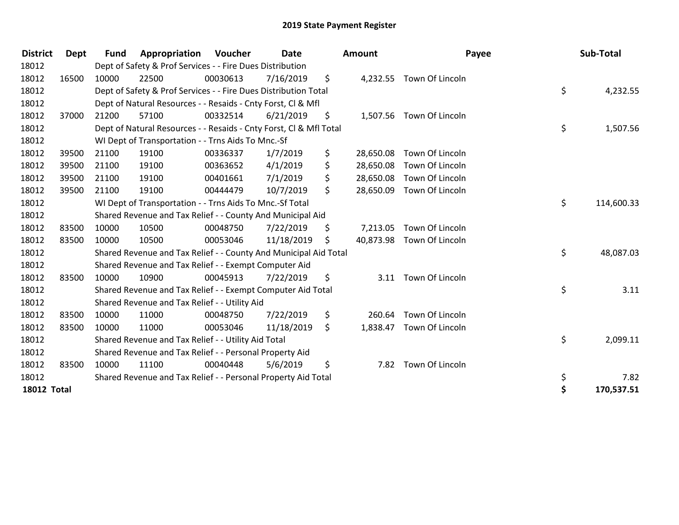| <b>District</b>    | Dept  | <b>Fund</b> | Appropriation                                                      | Voucher  | <b>Date</b> | <b>Amount</b>   | Payee                    | Sub-Total        |
|--------------------|-------|-------------|--------------------------------------------------------------------|----------|-------------|-----------------|--------------------------|------------------|
| 18012              |       |             | Dept of Safety & Prof Services - - Fire Dues Distribution          |          |             |                 |                          |                  |
| 18012              | 16500 | 10000       | 22500                                                              | 00030613 | 7/16/2019   | \$              | 4,232.55 Town Of Lincoln |                  |
| 18012              |       |             | Dept of Safety & Prof Services - - Fire Dues Distribution Total    |          |             |                 |                          | \$<br>4,232.55   |
| 18012              |       |             | Dept of Natural Resources - - Resaids - Cnty Forst, CI & Mfl       |          |             |                 |                          |                  |
| 18012              | 37000 | 21200       | 57100                                                              | 00332514 | 6/21/2019   | \$              | 1,507.56 Town Of Lincoln |                  |
| 18012              |       |             | Dept of Natural Resources - - Resaids - Cnty Forst, Cl & Mfl Total |          |             |                 |                          | \$<br>1,507.56   |
| 18012              |       |             | WI Dept of Transportation - - Trns Aids To Mnc.-Sf                 |          |             |                 |                          |                  |
| 18012              | 39500 | 21100       | 19100                                                              | 00336337 | 1/7/2019    | \$<br>28,650.08 | Town Of Lincoln          |                  |
| 18012              | 39500 | 21100       | 19100                                                              | 00363652 | 4/1/2019    | \$<br>28,650.08 | Town Of Lincoln          |                  |
| 18012              | 39500 | 21100       | 19100                                                              | 00401661 | 7/1/2019    | \$<br>28,650.08 | Town Of Lincoln          |                  |
| 18012              | 39500 | 21100       | 19100                                                              | 00444479 | 10/7/2019   | \$<br>28,650.09 | Town Of Lincoln          |                  |
| 18012              |       |             | WI Dept of Transportation - - Trns Aids To Mnc.-Sf Total           |          |             |                 |                          | \$<br>114,600.33 |
| 18012              |       |             | Shared Revenue and Tax Relief - - County And Municipal Aid         |          |             |                 |                          |                  |
| 18012              | 83500 | 10000       | 10500                                                              | 00048750 | 7/22/2019   | \$<br>7,213.05  | Town Of Lincoln          |                  |
| 18012              | 83500 | 10000       | 10500                                                              | 00053046 | 11/18/2019  | \$<br>40,873.98 | Town Of Lincoln          |                  |
| 18012              |       |             | Shared Revenue and Tax Relief - - County And Municipal Aid Total   |          |             |                 |                          | \$<br>48,087.03  |
| 18012              |       |             | Shared Revenue and Tax Relief - - Exempt Computer Aid              |          |             |                 |                          |                  |
| 18012              | 83500 | 10000       | 10900                                                              | 00045913 | 7/22/2019   | \$              | 3.11 Town Of Lincoln     |                  |
| 18012              |       |             | Shared Revenue and Tax Relief - - Exempt Computer Aid Total        |          |             |                 |                          | \$<br>3.11       |
| 18012              |       |             | Shared Revenue and Tax Relief - - Utility Aid                      |          |             |                 |                          |                  |
| 18012              | 83500 | 10000       | 11000                                                              | 00048750 | 7/22/2019   | \$<br>260.64    | Town Of Lincoln          |                  |
| 18012              | 83500 | 10000       | 11000                                                              | 00053046 | 11/18/2019  | \$<br>1,838.47  | Town Of Lincoln          |                  |
| 18012              |       |             | Shared Revenue and Tax Relief - - Utility Aid Total                |          |             |                 |                          | \$<br>2,099.11   |
| 18012              |       |             | Shared Revenue and Tax Relief - - Personal Property Aid            |          |             |                 |                          |                  |
| 18012              | 83500 | 10000       | 11100                                                              | 00040448 | 5/6/2019    | \$<br>7.82      | Town Of Lincoln          |                  |
| 18012              |       |             | Shared Revenue and Tax Relief - - Personal Property Aid Total      |          |             |                 |                          | \$<br>7.82       |
| <b>18012 Total</b> |       |             |                                                                    |          |             |                 |                          | \$<br>170,537.51 |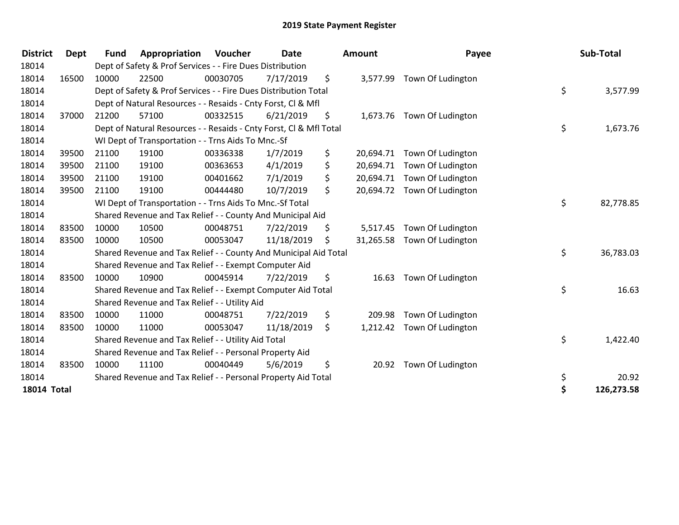| <b>District</b>    | <b>Dept</b> | <b>Fund</b> | Appropriation                                                      | <b>Voucher</b> | <b>Date</b> | <b>Amount</b>   | Payee                       | Sub-Total        |
|--------------------|-------------|-------------|--------------------------------------------------------------------|----------------|-------------|-----------------|-----------------------------|------------------|
| 18014              |             |             | Dept of Safety & Prof Services - - Fire Dues Distribution          |                |             |                 |                             |                  |
| 18014              | 16500       | 10000       | 22500                                                              | 00030705       | 7/17/2019   | \$              | 3,577.99 Town Of Ludington  |                  |
| 18014              |             |             | Dept of Safety & Prof Services - - Fire Dues Distribution Total    |                |             |                 |                             | \$<br>3,577.99   |
| 18014              |             |             | Dept of Natural Resources - - Resaids - Cnty Forst, CI & Mfl       |                |             |                 |                             |                  |
| 18014              | 37000       | 21200       | 57100                                                              | 00332515       | 6/21/2019   | \$              | 1,673.76 Town Of Ludington  |                  |
| 18014              |             |             | Dept of Natural Resources - - Resaids - Cnty Forst, Cl & Mfl Total |                |             |                 |                             | \$<br>1,673.76   |
| 18014              |             |             | WI Dept of Transportation - - Trns Aids To Mnc.-Sf                 |                |             |                 |                             |                  |
| 18014              | 39500       | 21100       | 19100                                                              | 00336338       | 1/7/2019    | \$<br>20,694.71 | Town Of Ludington           |                  |
| 18014              | 39500       | 21100       | 19100                                                              | 00363653       | 4/1/2019    | \$<br>20,694.71 | Town Of Ludington           |                  |
| 18014              | 39500       | 21100       | 19100                                                              | 00401662       | 7/1/2019    | \$<br>20,694.71 | Town Of Ludington           |                  |
| 18014              | 39500       | 21100       | 19100                                                              | 00444480       | 10/7/2019   | \$<br>20,694.72 | Town Of Ludington           |                  |
| 18014              |             |             | WI Dept of Transportation - - Trns Aids To Mnc.-Sf Total           |                |             |                 |                             | \$<br>82,778.85  |
| 18014              |             |             | Shared Revenue and Tax Relief - - County And Municipal Aid         |                |             |                 |                             |                  |
| 18014              | 83500       | 10000       | 10500                                                              | 00048751       | 7/22/2019   | \$<br>5,517.45  | Town Of Ludington           |                  |
| 18014              | 83500       | 10000       | 10500                                                              | 00053047       | 11/18/2019  | \$              | 31,265.58 Town Of Ludington |                  |
| 18014              |             |             | Shared Revenue and Tax Relief - - County And Municipal Aid Total   |                |             |                 |                             | \$<br>36,783.03  |
| 18014              |             |             | Shared Revenue and Tax Relief - - Exempt Computer Aid              |                |             |                 |                             |                  |
| 18014              | 83500       | 10000       | 10900                                                              | 00045914       | 7/22/2019   | \$<br>16.63     | Town Of Ludington           |                  |
| 18014              |             |             | Shared Revenue and Tax Relief - - Exempt Computer Aid Total        |                |             |                 |                             | \$<br>16.63      |
| 18014              |             |             | Shared Revenue and Tax Relief - - Utility Aid                      |                |             |                 |                             |                  |
| 18014              | 83500       | 10000       | 11000                                                              | 00048751       | 7/22/2019   | \$<br>209.98    | Town Of Ludington           |                  |
| 18014              | 83500       | 10000       | 11000                                                              | 00053047       | 11/18/2019  | \$<br>1,212.42  | Town Of Ludington           |                  |
| 18014              |             |             | Shared Revenue and Tax Relief - - Utility Aid Total                |                |             |                 |                             | \$<br>1,422.40   |
| 18014              |             |             | Shared Revenue and Tax Relief - - Personal Property Aid            |                |             |                 |                             |                  |
| 18014              | 83500       | 10000       | 11100                                                              | 00040449       | 5/6/2019    | \$<br>20.92     | Town Of Ludington           |                  |
| 18014              |             |             | Shared Revenue and Tax Relief - - Personal Property Aid Total      |                |             |                 |                             | \$<br>20.92      |
| <b>18014 Total</b> |             |             |                                                                    |                |             |                 |                             | \$<br>126,273.58 |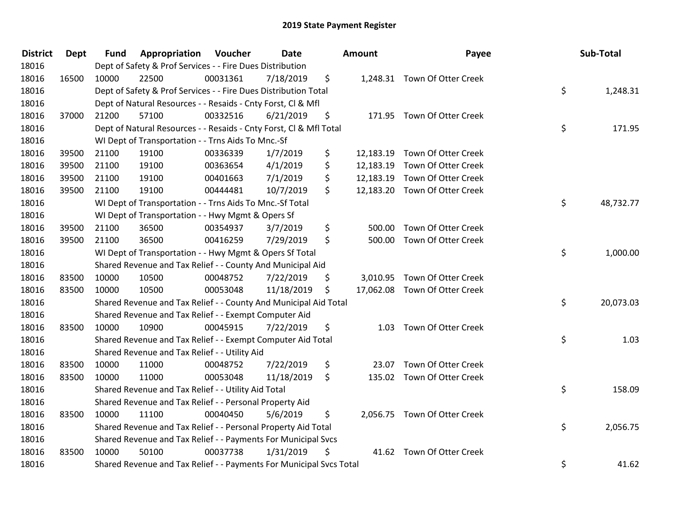| <b>District</b> | <b>Dept</b> | <b>Fund</b> | Appropriation                                                       | Voucher  | Date       | <b>Amount</b>   | Payee                         | Sub-Total       |
|-----------------|-------------|-------------|---------------------------------------------------------------------|----------|------------|-----------------|-------------------------------|-----------------|
| 18016           |             |             | Dept of Safety & Prof Services - - Fire Dues Distribution           |          |            |                 |                               |                 |
| 18016           | 16500       | 10000       | 22500                                                               | 00031361 | 7/18/2019  | \$              | 1,248.31 Town Of Otter Creek  |                 |
| 18016           |             |             | Dept of Safety & Prof Services - - Fire Dues Distribution Total     |          |            |                 |                               | \$<br>1,248.31  |
| 18016           |             |             | Dept of Natural Resources - - Resaids - Cnty Forst, Cl & Mfl        |          |            |                 |                               |                 |
| 18016           | 37000       | 21200       | 57100                                                               | 00332516 | 6/21/2019  | \$              | 171.95 Town Of Otter Creek    |                 |
| 18016           |             |             | Dept of Natural Resources - - Resaids - Cnty Forst, CI & Mfl Total  |          |            |                 |                               | \$<br>171.95    |
| 18016           |             |             | WI Dept of Transportation - - Trns Aids To Mnc.-Sf                  |          |            |                 |                               |                 |
| 18016           | 39500       | 21100       | 19100                                                               | 00336339 | 1/7/2019   | \$<br>12,183.19 | Town Of Otter Creek           |                 |
| 18016           | 39500       | 21100       | 19100                                                               | 00363654 | 4/1/2019   | \$<br>12,183.19 | Town Of Otter Creek           |                 |
| 18016           | 39500       | 21100       | 19100                                                               | 00401663 | 7/1/2019   | \$<br>12,183.19 | Town Of Otter Creek           |                 |
| 18016           | 39500       | 21100       | 19100                                                               | 00444481 | 10/7/2019  | \$              | 12,183.20 Town Of Otter Creek |                 |
| 18016           |             |             | WI Dept of Transportation - - Trns Aids To Mnc.-Sf Total            |          |            |                 |                               | \$<br>48,732.77 |
| 18016           |             |             | WI Dept of Transportation - - Hwy Mgmt & Opers Sf                   |          |            |                 |                               |                 |
| 18016           | 39500       | 21100       | 36500                                                               | 00354937 | 3/7/2019   | \$<br>500.00    | Town Of Otter Creek           |                 |
| 18016           | 39500       | 21100       | 36500                                                               | 00416259 | 7/29/2019  | \$<br>500.00    | Town Of Otter Creek           |                 |
| 18016           |             |             | WI Dept of Transportation - - Hwy Mgmt & Opers Sf Total             |          |            |                 |                               | \$<br>1,000.00  |
| 18016           |             |             | Shared Revenue and Tax Relief - - County And Municipal Aid          |          |            |                 |                               |                 |
| 18016           | 83500       | 10000       | 10500                                                               | 00048752 | 7/22/2019  | \$              | 3,010.95 Town Of Otter Creek  |                 |
| 18016           | 83500       | 10000       | 10500                                                               | 00053048 | 11/18/2019 | \$              | 17,062.08 Town Of Otter Creek |                 |
| 18016           |             |             | Shared Revenue and Tax Relief - - County And Municipal Aid Total    |          |            |                 |                               | \$<br>20,073.03 |
| 18016           |             |             | Shared Revenue and Tax Relief - - Exempt Computer Aid               |          |            |                 |                               |                 |
| 18016           | 83500       | 10000       | 10900                                                               | 00045915 | 7/22/2019  | \$              | 1.03 Town Of Otter Creek      |                 |
| 18016           |             |             | Shared Revenue and Tax Relief - - Exempt Computer Aid Total         |          |            |                 |                               | \$<br>1.03      |
| 18016           |             |             | Shared Revenue and Tax Relief - - Utility Aid                       |          |            |                 |                               |                 |
| 18016           | 83500       | 10000       | 11000                                                               | 00048752 | 7/22/2019  | \$<br>23.07     | Town Of Otter Creek           |                 |
| 18016           | 83500       | 10000       | 11000                                                               | 00053048 | 11/18/2019 | \$              | 135.02 Town Of Otter Creek    |                 |
| 18016           |             |             | Shared Revenue and Tax Relief - - Utility Aid Total                 |          |            |                 |                               | \$<br>158.09    |
| 18016           |             |             | Shared Revenue and Tax Relief - - Personal Property Aid             |          |            |                 |                               |                 |
| 18016           | 83500       | 10000       | 11100                                                               | 00040450 | 5/6/2019   | \$              | 2,056.75 Town Of Otter Creek  |                 |
| 18016           |             |             | Shared Revenue and Tax Relief - - Personal Property Aid Total       |          |            |                 |                               | \$<br>2,056.75  |
| 18016           |             |             | Shared Revenue and Tax Relief - - Payments For Municipal Svcs       |          |            |                 |                               |                 |
| 18016           | 83500       | 10000       | 50100                                                               | 00037738 | 1/31/2019  | \$              | 41.62 Town Of Otter Creek     |                 |
| 18016           |             |             | Shared Revenue and Tax Relief - - Payments For Municipal Svcs Total |          |            |                 |                               | \$<br>41.62     |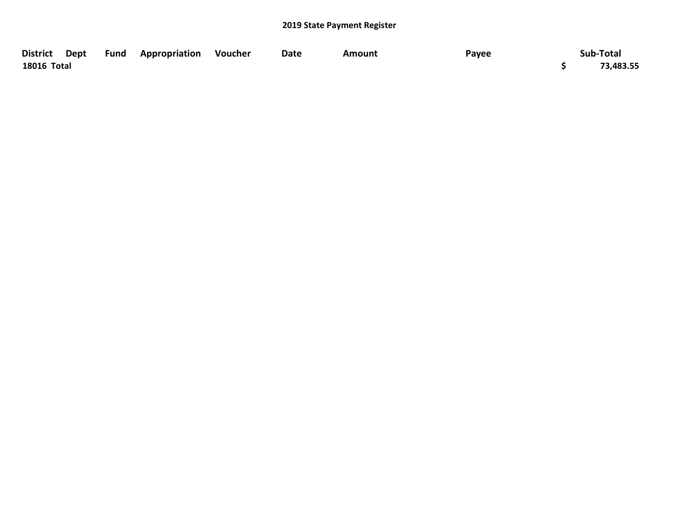|                    |  | District Dept Fund Appropriation Voucher | Date | Amount | Payee | Sub-Total |
|--------------------|--|------------------------------------------|------|--------|-------|-----------|
| <b>18016 Total</b> |  |                                          |      |        |       | 73,483.55 |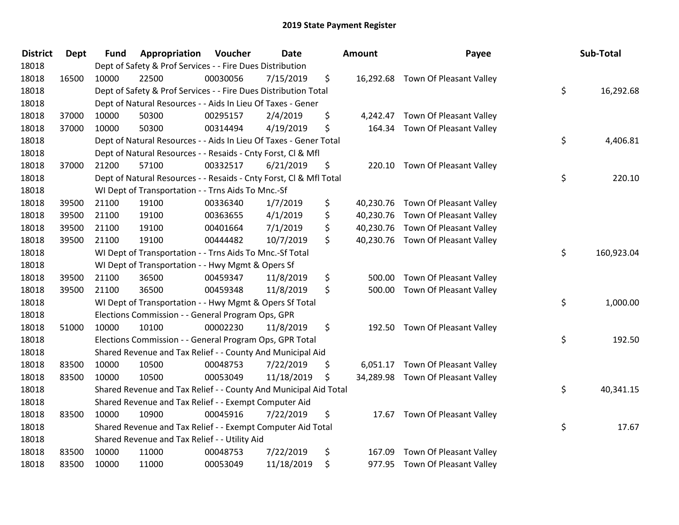| <b>District</b> | <b>Dept</b> | <b>Fund</b> | Appropriation                                                      | Voucher  | Date       | Amount       | Payee                             | Sub-Total        |
|-----------------|-------------|-------------|--------------------------------------------------------------------|----------|------------|--------------|-----------------------------------|------------------|
| 18018           |             |             | Dept of Safety & Prof Services - - Fire Dues Distribution          |          |            |              |                                   |                  |
| 18018           | 16500       | 10000       | 22500                                                              | 00030056 | 7/15/2019  | \$           | 16,292.68 Town Of Pleasant Valley |                  |
| 18018           |             |             | Dept of Safety & Prof Services - - Fire Dues Distribution Total    |          |            |              |                                   | \$<br>16,292.68  |
| 18018           |             |             | Dept of Natural Resources - - Aids In Lieu Of Taxes - Gener        |          |            |              |                                   |                  |
| 18018           | 37000       | 10000       | 50300                                                              | 00295157 | 2/4/2019   | \$           | 4,242.47 Town Of Pleasant Valley  |                  |
| 18018           | 37000       | 10000       | 50300                                                              | 00314494 | 4/19/2019  | \$           | 164.34 Town Of Pleasant Valley    |                  |
| 18018           |             |             | Dept of Natural Resources - - Aids In Lieu Of Taxes - Gener Total  |          |            |              |                                   | \$<br>4,406.81   |
| 18018           |             |             | Dept of Natural Resources - - Resaids - Cnty Forst, Cl & Mfl       |          |            |              |                                   |                  |
| 18018           | 37000       | 21200       | 57100                                                              | 00332517 | 6/21/2019  | \$           | 220.10 Town Of Pleasant Valley    |                  |
| 18018           |             |             | Dept of Natural Resources - - Resaids - Cnty Forst, CI & Mfl Total |          |            |              |                                   | \$<br>220.10     |
| 18018           |             |             | WI Dept of Transportation - - Trns Aids To Mnc.-Sf                 |          |            |              |                                   |                  |
| 18018           | 39500       | 21100       | 19100                                                              | 00336340 | 1/7/2019   | \$           | 40,230.76 Town Of Pleasant Valley |                  |
| 18018           | 39500       | 21100       | 19100                                                              | 00363655 | 4/1/2019   | \$           | 40,230.76 Town Of Pleasant Valley |                  |
| 18018           | 39500       | 21100       | 19100                                                              | 00401664 | 7/1/2019   | \$           | 40,230.76 Town Of Pleasant Valley |                  |
| 18018           | 39500       | 21100       | 19100                                                              | 00444482 | 10/7/2019  | \$           | 40,230.76 Town Of Pleasant Valley |                  |
| 18018           |             |             | WI Dept of Transportation - - Trns Aids To Mnc.-Sf Total           |          |            |              |                                   | \$<br>160,923.04 |
| 18018           |             |             | WI Dept of Transportation - - Hwy Mgmt & Opers Sf                  |          |            |              |                                   |                  |
| 18018           | 39500       | 21100       | 36500                                                              | 00459347 | 11/8/2019  | \$<br>500.00 | Town Of Pleasant Valley           |                  |
| 18018           | 39500       | 21100       | 36500                                                              | 00459348 | 11/8/2019  | \$           | 500.00 Town Of Pleasant Valley    |                  |
| 18018           |             |             | WI Dept of Transportation - - Hwy Mgmt & Opers Sf Total            |          |            |              |                                   | \$<br>1,000.00   |
| 18018           |             |             | Elections Commission - - General Program Ops, GPR                  |          |            |              |                                   |                  |
| 18018           | 51000       | 10000       | 10100                                                              | 00002230 | 11/8/2019  | \$           | 192.50 Town Of Pleasant Valley    |                  |
| 18018           |             |             | Elections Commission - - General Program Ops, GPR Total            |          |            |              |                                   | \$<br>192.50     |
| 18018           |             |             | Shared Revenue and Tax Relief - - County And Municipal Aid         |          |            |              |                                   |                  |
| 18018           | 83500       | 10000       | 10500                                                              | 00048753 | 7/22/2019  | \$           | 6,051.17 Town Of Pleasant Valley  |                  |
| 18018           | 83500       | 10000       | 10500                                                              | 00053049 | 11/18/2019 | \$           | 34,289.98 Town Of Pleasant Valley |                  |
| 18018           |             |             | Shared Revenue and Tax Relief - - County And Municipal Aid Total   |          |            |              |                                   | \$<br>40,341.15  |
| 18018           |             |             | Shared Revenue and Tax Relief - - Exempt Computer Aid              |          |            |              |                                   |                  |
| 18018           | 83500       | 10000       | 10900                                                              | 00045916 | 7/22/2019  | \$           | 17.67 Town Of Pleasant Valley     |                  |
| 18018           |             |             | Shared Revenue and Tax Relief - - Exempt Computer Aid Total        |          |            |              |                                   | \$<br>17.67      |
| 18018           |             |             | Shared Revenue and Tax Relief - - Utility Aid                      |          |            |              |                                   |                  |
| 18018           | 83500       | 10000       | 11000                                                              | 00048753 | 7/22/2019  | \$<br>167.09 | Town Of Pleasant Valley           |                  |
| 18018           | 83500       | 10000       | 11000                                                              | 00053049 | 11/18/2019 | \$           | 977.95 Town Of Pleasant Valley    |                  |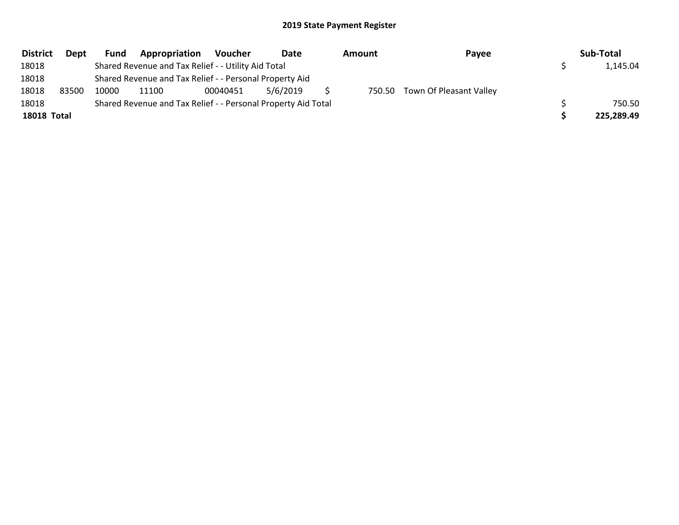| <b>District</b> | Dept  | Fund  | Appropriation                                                 | Voucher  | Date     | <b>Amount</b> | Payee                          | Sub-Total  |
|-----------------|-------|-------|---------------------------------------------------------------|----------|----------|---------------|--------------------------------|------------|
| 18018           |       |       | Shared Revenue and Tax Relief - - Utility Aid Total           |          |          |               |                                | 1,145.04   |
| 18018           |       |       | Shared Revenue and Tax Relief - - Personal Property Aid       |          |          |               |                                |            |
| 18018           | 83500 | 10000 | 11100                                                         | 00040451 | 5/6/2019 |               | 750.50 Town Of Pleasant Valley |            |
| 18018           |       |       | Shared Revenue and Tax Relief - - Personal Property Aid Total |          |          |               |                                | 750.50     |
| 18018 Total     |       |       |                                                               |          |          |               |                                | 225,289.49 |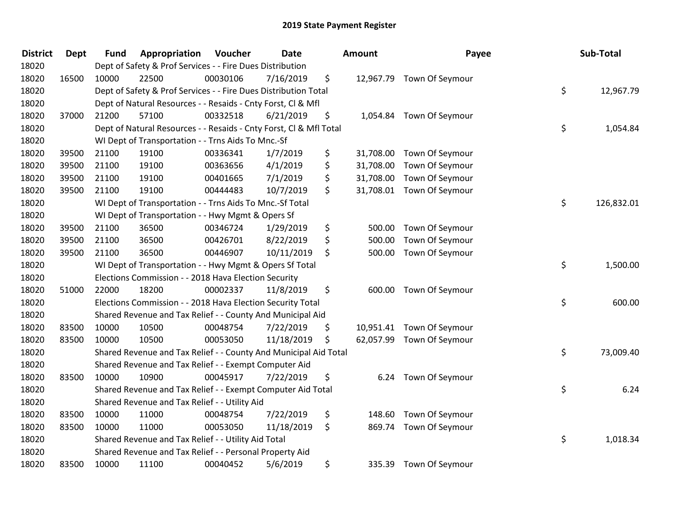| <b>District</b> | <b>Dept</b> | <b>Fund</b> | Appropriation                                                      | Voucher  | <b>Date</b> | Amount          | Payee                     | Sub-Total        |
|-----------------|-------------|-------------|--------------------------------------------------------------------|----------|-------------|-----------------|---------------------------|------------------|
| 18020           |             |             | Dept of Safety & Prof Services - - Fire Dues Distribution          |          |             |                 |                           |                  |
| 18020           | 16500       | 10000       | 22500                                                              | 00030106 | 7/16/2019   | \$              | 12,967.79 Town Of Seymour |                  |
| 18020           |             |             | Dept of Safety & Prof Services - - Fire Dues Distribution Total    |          |             |                 |                           | \$<br>12,967.79  |
| 18020           |             |             | Dept of Natural Resources - - Resaids - Cnty Forst, Cl & Mfl       |          |             |                 |                           |                  |
| 18020           | 37000       | 21200       | 57100                                                              | 00332518 | 6/21/2019   | \$              | 1,054.84 Town Of Seymour  |                  |
| 18020           |             |             | Dept of Natural Resources - - Resaids - Cnty Forst, Cl & Mfl Total |          |             |                 |                           | \$<br>1,054.84   |
| 18020           |             |             | WI Dept of Transportation - - Trns Aids To Mnc.-Sf                 |          |             |                 |                           |                  |
| 18020           | 39500       | 21100       | 19100                                                              | 00336341 | 1/7/2019    | \$<br>31,708.00 | Town Of Seymour           |                  |
| 18020           | 39500       | 21100       | 19100                                                              | 00363656 | 4/1/2019    | \$<br>31,708.00 | Town Of Seymour           |                  |
| 18020           | 39500       | 21100       | 19100                                                              | 00401665 | 7/1/2019    | \$<br>31,708.00 | Town Of Seymour           |                  |
| 18020           | 39500       | 21100       | 19100                                                              | 00444483 | 10/7/2019   | \$              | 31,708.01 Town Of Seymour |                  |
| 18020           |             |             | WI Dept of Transportation - - Trns Aids To Mnc.-Sf Total           |          |             |                 |                           | \$<br>126,832.01 |
| 18020           |             |             | WI Dept of Transportation - - Hwy Mgmt & Opers Sf                  |          |             |                 |                           |                  |
| 18020           | 39500       | 21100       | 36500                                                              | 00346724 | 1/29/2019   | \$<br>500.00    | Town Of Seymour           |                  |
| 18020           | 39500       | 21100       | 36500                                                              | 00426701 | 8/22/2019   | \$<br>500.00    | Town Of Seymour           |                  |
| 18020           | 39500       | 21100       | 36500                                                              | 00446907 | 10/11/2019  | \$<br>500.00    | Town Of Seymour           |                  |
| 18020           |             |             | WI Dept of Transportation - - Hwy Mgmt & Opers Sf Total            |          |             |                 |                           | \$<br>1,500.00   |
| 18020           |             |             | Elections Commission - - 2018 Hava Election Security               |          |             |                 |                           |                  |
| 18020           | 51000       | 22000       | 18200                                                              | 00002337 | 11/8/2019   | \$              | 600.00 Town Of Seymour    |                  |
| 18020           |             |             | Elections Commission - - 2018 Hava Election Security Total         |          |             |                 |                           | \$<br>600.00     |
| 18020           |             |             | Shared Revenue and Tax Relief - - County And Municipal Aid         |          |             |                 |                           |                  |
| 18020           | 83500       | 10000       | 10500                                                              | 00048754 | 7/22/2019   | \$              | 10,951.41 Town Of Seymour |                  |
| 18020           | 83500       | 10000       | 10500                                                              | 00053050 | 11/18/2019  | \$<br>62,057.99 | Town Of Seymour           |                  |
| 18020           |             |             | Shared Revenue and Tax Relief - - County And Municipal Aid Total   |          |             |                 |                           | \$<br>73,009.40  |
| 18020           |             |             | Shared Revenue and Tax Relief - - Exempt Computer Aid              |          |             |                 |                           |                  |
| 18020           | 83500       | 10000       | 10900                                                              | 00045917 | 7/22/2019   | \$<br>6.24      | Town Of Seymour           |                  |
| 18020           |             |             | Shared Revenue and Tax Relief - - Exempt Computer Aid Total        |          |             |                 |                           | \$<br>6.24       |
| 18020           |             |             | Shared Revenue and Tax Relief - - Utility Aid                      |          |             |                 |                           |                  |
| 18020           | 83500       | 10000       | 11000                                                              | 00048754 | 7/22/2019   | \$<br>148.60    | Town Of Seymour           |                  |
| 18020           | 83500       | 10000       | 11000                                                              | 00053050 | 11/18/2019  | \$<br>869.74    | Town Of Seymour           |                  |
| 18020           |             |             | Shared Revenue and Tax Relief - - Utility Aid Total                |          |             |                 |                           | \$<br>1,018.34   |
| 18020           |             |             | Shared Revenue and Tax Relief - - Personal Property Aid            |          |             |                 |                           |                  |
| 18020           | 83500       | 10000       | 11100                                                              | 00040452 | 5/6/2019    | \$<br>335.39    | Town Of Seymour           |                  |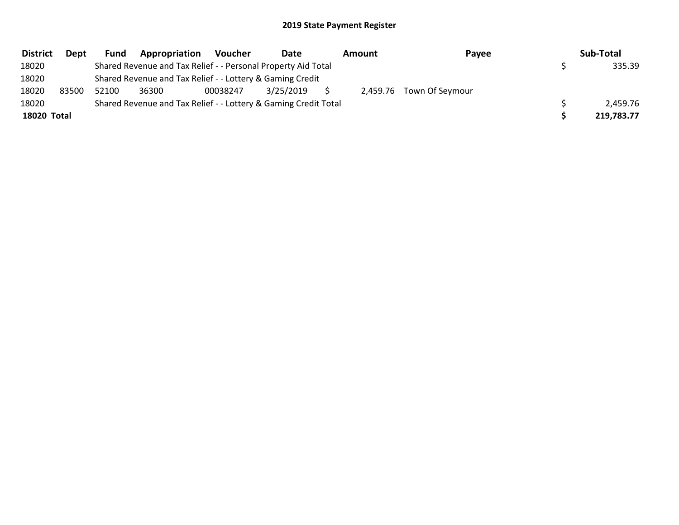| <b>District</b> | Dept  | Fund  | Appropriation                                                   | Voucher  | Date      | Amount | Payee                    | Sub-Total  |
|-----------------|-------|-------|-----------------------------------------------------------------|----------|-----------|--------|--------------------------|------------|
| 18020           |       |       | Shared Revenue and Tax Relief - - Personal Property Aid Total   |          |           |        |                          | 335.39     |
| 18020           |       |       | Shared Revenue and Tax Relief - - Lottery & Gaming Credit       |          |           |        |                          |            |
| 18020           | 83500 | 52100 | 36300                                                           | 00038247 | 3/25/2019 |        | 2,459.76 Town Of Seymour |            |
| 18020           |       |       | Shared Revenue and Tax Relief - - Lottery & Gaming Credit Total |          |           |        |                          | 2,459.76   |
| 18020 Total     |       |       |                                                                 |          |           |        |                          | 219,783.77 |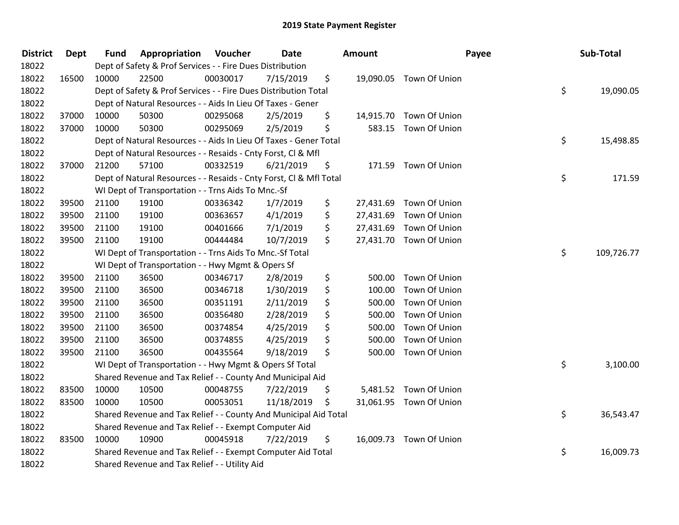| <b>District</b> | <b>Dept</b> | <b>Fund</b> | Appropriation                                                      | Voucher  | Date       | <b>Amount</b>   |                         | Payee | Sub-Total  |
|-----------------|-------------|-------------|--------------------------------------------------------------------|----------|------------|-----------------|-------------------------|-------|------------|
| 18022           |             |             | Dept of Safety & Prof Services - - Fire Dues Distribution          |          |            |                 |                         |       |            |
| 18022           | 16500       | 10000       | 22500                                                              | 00030017 | 7/15/2019  | \$              | 19,090.05 Town Of Union |       |            |
| 18022           |             |             | Dept of Safety & Prof Services - - Fire Dues Distribution Total    |          |            |                 |                         | \$    | 19,090.05  |
| 18022           |             |             | Dept of Natural Resources - - Aids In Lieu Of Taxes - Gener        |          |            |                 |                         |       |            |
| 18022           | 37000       | 10000       | 50300                                                              | 00295068 | 2/5/2019   | \$              | 14,915.70 Town Of Union |       |            |
| 18022           | 37000       | 10000       | 50300                                                              | 00295069 | 2/5/2019   | \$              | 583.15 Town Of Union    |       |            |
| 18022           |             |             | Dept of Natural Resources - - Aids In Lieu Of Taxes - Gener Total  |          |            |                 |                         | \$    | 15,498.85  |
| 18022           |             |             | Dept of Natural Resources - - Resaids - Cnty Forst, Cl & Mfl       |          |            |                 |                         |       |            |
| 18022           | 37000       | 21200       | 57100                                                              | 00332519 | 6/21/2019  | \$              | 171.59 Town Of Union    |       |            |
| 18022           |             |             | Dept of Natural Resources - - Resaids - Cnty Forst, CI & Mfl Total |          |            |                 |                         | \$    | 171.59     |
| 18022           |             |             | WI Dept of Transportation - - Trns Aids To Mnc.-Sf                 |          |            |                 |                         |       |            |
| 18022           | 39500       | 21100       | 19100                                                              | 00336342 | 1/7/2019   | \$<br>27,431.69 | Town Of Union           |       |            |
| 18022           | 39500       | 21100       | 19100                                                              | 00363657 | 4/1/2019   | \$<br>27,431.69 | Town Of Union           |       |            |
| 18022           | 39500       | 21100       | 19100                                                              | 00401666 | 7/1/2019   | \$<br>27,431.69 | Town Of Union           |       |            |
| 18022           | 39500       | 21100       | 19100                                                              | 00444484 | 10/7/2019  | \$              | 27,431.70 Town Of Union |       |            |
| 18022           |             |             | WI Dept of Transportation - - Trns Aids To Mnc.-Sf Total           |          |            |                 |                         | \$    | 109,726.77 |
| 18022           |             |             | WI Dept of Transportation - - Hwy Mgmt & Opers Sf                  |          |            |                 |                         |       |            |
| 18022           | 39500       | 21100       | 36500                                                              | 00346717 | 2/8/2019   | \$<br>500.00    | Town Of Union           |       |            |
| 18022           | 39500       | 21100       | 36500                                                              | 00346718 | 1/30/2019  | \$<br>100.00    | Town Of Union           |       |            |
| 18022           | 39500       | 21100       | 36500                                                              | 00351191 | 2/11/2019  | \$<br>500.00    | Town Of Union           |       |            |
| 18022           | 39500       | 21100       | 36500                                                              | 00356480 | 2/28/2019  | \$<br>500.00    | Town Of Union           |       |            |
| 18022           | 39500       | 21100       | 36500                                                              | 00374854 | 4/25/2019  | \$<br>500.00    | Town Of Union           |       |            |
| 18022           | 39500       | 21100       | 36500                                                              | 00374855 | 4/25/2019  | \$<br>500.00    | Town Of Union           |       |            |
| 18022           | 39500       | 21100       | 36500                                                              | 00435564 | 9/18/2019  | \$<br>500.00    | Town Of Union           |       |            |
| 18022           |             |             | WI Dept of Transportation - - Hwy Mgmt & Opers Sf Total            |          |            |                 |                         | \$    | 3,100.00   |
| 18022           |             |             | Shared Revenue and Tax Relief - - County And Municipal Aid         |          |            |                 |                         |       |            |
| 18022           | 83500       | 10000       | 10500                                                              | 00048755 | 7/22/2019  | \$              | 5,481.52 Town Of Union  |       |            |
| 18022           | 83500       | 10000       | 10500                                                              | 00053051 | 11/18/2019 | \$              | 31,061.95 Town Of Union |       |            |
| 18022           |             |             | Shared Revenue and Tax Relief - - County And Municipal Aid Total   |          |            |                 |                         | \$    | 36,543.47  |
| 18022           |             |             | Shared Revenue and Tax Relief - - Exempt Computer Aid              |          |            |                 |                         |       |            |
| 18022           | 83500       | 10000       | 10900                                                              | 00045918 | 7/22/2019  | \$              | 16,009.73 Town Of Union |       |            |
| 18022           |             |             | Shared Revenue and Tax Relief - - Exempt Computer Aid Total        |          |            |                 |                         | \$    | 16,009.73  |
| 18022           |             |             | Shared Revenue and Tax Relief - - Utility Aid                      |          |            |                 |                         |       |            |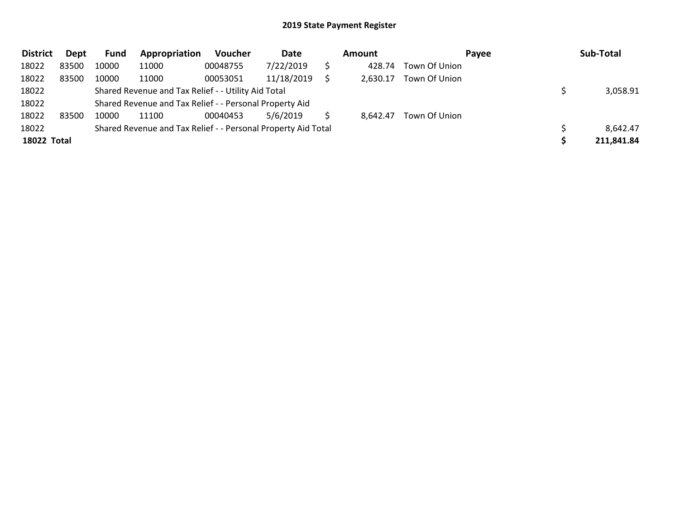| <b>District</b> | <b>Dept</b> | Fund  | Appropriation                                                 | Voucher  | Date       | <b>Amount</b> |               | Payee | Sub-Total  |
|-----------------|-------------|-------|---------------------------------------------------------------|----------|------------|---------------|---------------|-------|------------|
| 18022           | 83500       | 10000 | 11000                                                         | 00048755 | 7/22/2019  | 428.74        | Town Of Union |       |            |
| 18022           | 83500       | 10000 | 11000                                                         | 00053051 | 11/18/2019 | 2.630.17      | Town Of Union |       |            |
| 18022           |             |       | Shared Revenue and Tax Relief - - Utility Aid Total           |          |            |               |               |       | 3,058.91   |
| 18022           |             |       | Shared Revenue and Tax Relief - - Personal Property Aid       |          |            |               |               |       |            |
| 18022           | 83500       | 10000 | 11100                                                         | 00040453 | 5/6/2019   | 8,642.47      | Town Of Union |       |            |
| 18022           |             |       | Shared Revenue and Tax Relief - - Personal Property Aid Total |          |            |               |               |       | 8,642.47   |
| 18022 Total     |             |       |                                                               |          |            |               |               |       | 211,841.84 |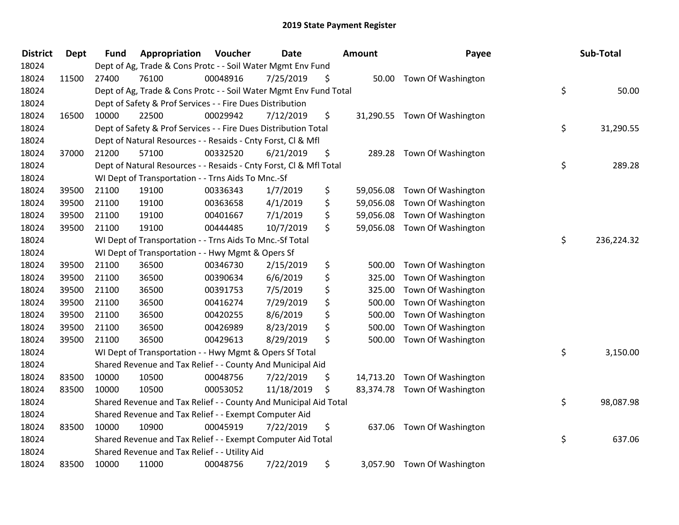| <b>District</b> | <b>Dept</b> | <b>Fund</b> | Appropriation                                                      | Voucher  | <b>Date</b> | Amount          | Payee                        | Sub-Total        |
|-----------------|-------------|-------------|--------------------------------------------------------------------|----------|-------------|-----------------|------------------------------|------------------|
| 18024           |             |             | Dept of Ag, Trade & Cons Protc - - Soil Water Mgmt Env Fund        |          |             |                 |                              |                  |
| 18024           | 11500       | 27400       | 76100                                                              | 00048916 | 7/25/2019   | \$              | 50.00 Town Of Washington     |                  |
| 18024           |             |             | Dept of Ag, Trade & Cons Protc - - Soil Water Mgmt Env Fund Total  |          |             |                 |                              | \$<br>50.00      |
| 18024           |             |             | Dept of Safety & Prof Services - - Fire Dues Distribution          |          |             |                 |                              |                  |
| 18024           | 16500       | 10000       | 22500                                                              | 00029942 | 7/12/2019   | \$              | 31,290.55 Town Of Washington |                  |
| 18024           |             |             | Dept of Safety & Prof Services - - Fire Dues Distribution Total    |          |             |                 |                              | \$<br>31,290.55  |
| 18024           |             |             | Dept of Natural Resources - - Resaids - Cnty Forst, Cl & Mfl       |          |             |                 |                              |                  |
| 18024           | 37000       | 21200       | 57100                                                              | 00332520 | 6/21/2019   | \$<br>289.28    | Town Of Washington           |                  |
| 18024           |             |             | Dept of Natural Resources - - Resaids - Cnty Forst, Cl & Mfl Total |          |             |                 |                              | \$<br>289.28     |
| 18024           |             |             | WI Dept of Transportation - - Trns Aids To Mnc.-Sf                 |          |             |                 |                              |                  |
| 18024           | 39500       | 21100       | 19100                                                              | 00336343 | 1/7/2019    | \$<br>59,056.08 | Town Of Washington           |                  |
| 18024           | 39500       | 21100       | 19100                                                              | 00363658 | 4/1/2019    | \$<br>59,056.08 | Town Of Washington           |                  |
| 18024           | 39500       | 21100       | 19100                                                              | 00401667 | 7/1/2019    | \$<br>59,056.08 | Town Of Washington           |                  |
| 18024           | 39500       | 21100       | 19100                                                              | 00444485 | 10/7/2019   | \$<br>59,056.08 | Town Of Washington           |                  |
| 18024           |             |             | WI Dept of Transportation - - Trns Aids To Mnc.-Sf Total           |          |             |                 |                              | \$<br>236,224.32 |
| 18024           |             |             | WI Dept of Transportation - - Hwy Mgmt & Opers Sf                  |          |             |                 |                              |                  |
| 18024           | 39500       | 21100       | 36500                                                              | 00346730 | 2/15/2019   | \$<br>500.00    | Town Of Washington           |                  |
| 18024           | 39500       | 21100       | 36500                                                              | 00390634 | 6/6/2019    | \$<br>325.00    | Town Of Washington           |                  |
| 18024           | 39500       | 21100       | 36500                                                              | 00391753 | 7/5/2019    | \$<br>325.00    | Town Of Washington           |                  |
| 18024           | 39500       | 21100       | 36500                                                              | 00416274 | 7/29/2019   | \$<br>500.00    | Town Of Washington           |                  |
| 18024           | 39500       | 21100       | 36500                                                              | 00420255 | 8/6/2019    | \$<br>500.00    | Town Of Washington           |                  |
| 18024           | 39500       | 21100       | 36500                                                              | 00426989 | 8/23/2019   | \$<br>500.00    | Town Of Washington           |                  |
| 18024           | 39500       | 21100       | 36500                                                              | 00429613 | 8/29/2019   | \$<br>500.00    | Town Of Washington           |                  |
| 18024           |             |             | WI Dept of Transportation - - Hwy Mgmt & Opers Sf Total            |          |             |                 |                              | \$<br>3,150.00   |
| 18024           |             |             | Shared Revenue and Tax Relief - - County And Municipal Aid         |          |             |                 |                              |                  |
| 18024           | 83500       | 10000       | 10500                                                              | 00048756 | 7/22/2019   | \$<br>14,713.20 | Town Of Washington           |                  |
| 18024           | 83500       | 10000       | 10500                                                              | 00053052 | 11/18/2019  | \$              | 83,374.78 Town Of Washington |                  |
| 18024           |             |             | Shared Revenue and Tax Relief - - County And Municipal Aid Total   |          |             |                 |                              | \$<br>98,087.98  |
| 18024           |             |             | Shared Revenue and Tax Relief - - Exempt Computer Aid              |          |             |                 |                              |                  |
| 18024           | 83500       | 10000       | 10900                                                              | 00045919 | 7/22/2019   | \$<br>637.06    | Town Of Washington           |                  |
| 18024           |             |             | Shared Revenue and Tax Relief - - Exempt Computer Aid Total        |          |             |                 |                              | \$<br>637.06     |
| 18024           |             |             | Shared Revenue and Tax Relief - - Utility Aid                      |          |             |                 |                              |                  |
| 18024           | 83500       | 10000       | 11000                                                              | 00048756 | 7/22/2019   | \$              | 3,057.90 Town Of Washington  |                  |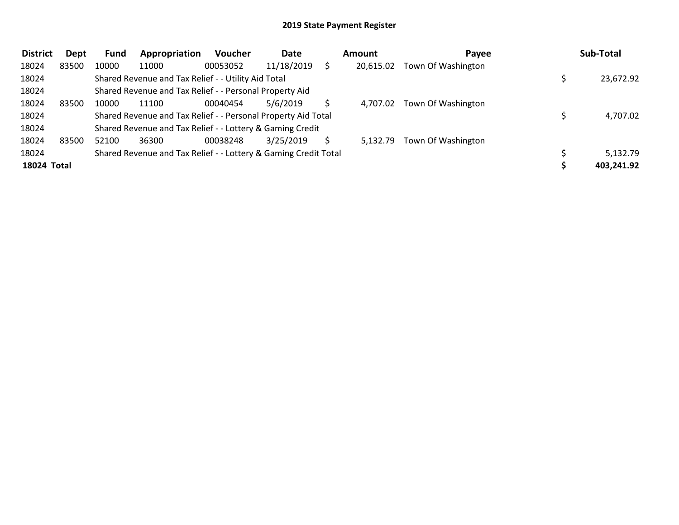| <b>District</b> | Dept  | Fund  | Appropriation                                                   | <b>Voucher</b> | Date       | <b>Amount</b> | Payee              | Sub-Total  |
|-----------------|-------|-------|-----------------------------------------------------------------|----------------|------------|---------------|--------------------|------------|
| 18024           | 83500 | 10000 | 11000                                                           | 00053052       | 11/18/2019 | 20,615.02     | Town Of Washington |            |
| 18024           |       |       | Shared Revenue and Tax Relief - - Utility Aid Total             |                |            |               |                    | 23,672.92  |
| 18024           |       |       | Shared Revenue and Tax Relief - - Personal Property Aid         |                |            |               |                    |            |
| 18024           | 83500 | 10000 | 11100                                                           | 00040454       | 5/6/2019   | 4.707.02      | Town Of Washington |            |
| 18024           |       |       | Shared Revenue and Tax Relief - - Personal Property Aid Total   |                |            |               |                    | 4,707.02   |
| 18024           |       |       | Shared Revenue and Tax Relief - - Lottery & Gaming Credit       |                |            |               |                    |            |
| 18024           | 83500 | 52100 | 36300                                                           | 00038248       | 3/25/2019  | 5,132.79      | Town Of Washington |            |
| 18024           |       |       | Shared Revenue and Tax Relief - - Lottery & Gaming Credit Total |                |            |               |                    | 5,132.79   |
| 18024 Total     |       |       |                                                                 |                |            |               |                    | 403,241.92 |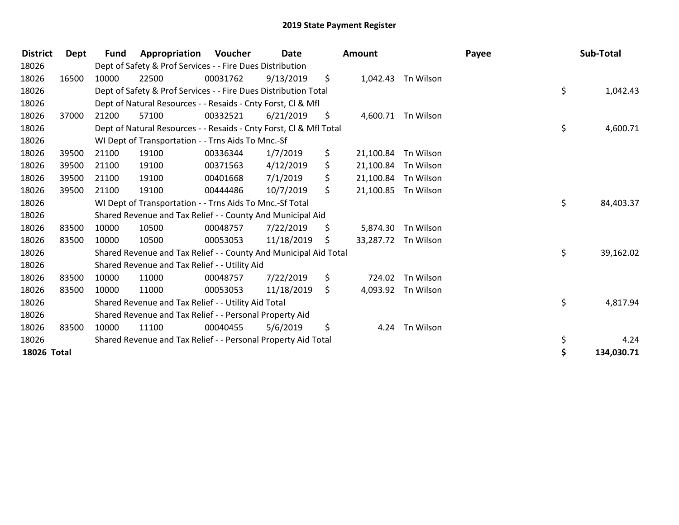| <b>District</b> | <b>Dept</b> | <b>Fund</b> | Appropriation                                                      | Voucher  | Date       |     | <b>Amount</b> |                    | Payee | Sub-Total        |
|-----------------|-------------|-------------|--------------------------------------------------------------------|----------|------------|-----|---------------|--------------------|-------|------------------|
| 18026           |             |             | Dept of Safety & Prof Services - - Fire Dues Distribution          |          |            |     |               |                    |       |                  |
| 18026           | 16500       | 10000       | 22500                                                              | 00031762 | 9/13/2019  | \$  |               | 1,042.43 Tn Wilson |       |                  |
| 18026           |             |             | Dept of Safety & Prof Services - - Fire Dues Distribution Total    |          |            |     |               |                    |       | \$<br>1,042.43   |
| 18026           |             |             | Dept of Natural Resources - - Resaids - Cnty Forst, CI & Mfl       |          |            |     |               |                    |       |                  |
| 18026           | 37000       | 21200       | 57100                                                              | 00332521 | 6/21/2019  | \$  | 4,600.71      | Tn Wilson          |       |                  |
| 18026           |             |             | Dept of Natural Resources - - Resaids - Cnty Forst, Cl & Mfl Total |          |            |     |               |                    |       | \$<br>4,600.71   |
| 18026           |             |             | WI Dept of Transportation - - Trns Aids To Mnc.-Sf                 |          |            |     |               |                    |       |                  |
| 18026           | 39500       | 21100       | 19100                                                              | 00336344 | 1/7/2019   | \$  | 21,100.84     | Tn Wilson          |       |                  |
| 18026           | 39500       | 21100       | 19100                                                              | 00371563 | 4/12/2019  | \$  | 21,100.84     | Tn Wilson          |       |                  |
| 18026           | 39500       | 21100       | 19100                                                              | 00401668 | 7/1/2019   | \$  | 21,100.84     | Tn Wilson          |       |                  |
| 18026           | 39500       | 21100       | 19100                                                              | 00444486 | 10/7/2019  | \$  | 21,100.85     | Tn Wilson          |       |                  |
| 18026           |             |             | WI Dept of Transportation - - Trns Aids To Mnc.-Sf Total           |          |            |     |               |                    |       | \$<br>84,403.37  |
| 18026           |             |             | Shared Revenue and Tax Relief - - County And Municipal Aid         |          |            |     |               |                    |       |                  |
| 18026           | 83500       | 10000       | 10500                                                              | 00048757 | 7/22/2019  | \$. | 5,874.30      | Tn Wilson          |       |                  |
| 18026           | 83500       | 10000       | 10500                                                              | 00053053 | 11/18/2019 | S   | 33,287.72     | Tn Wilson          |       |                  |
| 18026           |             |             | Shared Revenue and Tax Relief - - County And Municipal Aid Total   |          |            |     |               |                    |       | \$<br>39,162.02  |
| 18026           |             |             | Shared Revenue and Tax Relief - - Utility Aid                      |          |            |     |               |                    |       |                  |
| 18026           | 83500       | 10000       | 11000                                                              | 00048757 | 7/22/2019  | \$  | 724.02        | Tn Wilson          |       |                  |
| 18026           | 83500       | 10000       | 11000                                                              | 00053053 | 11/18/2019 | S.  |               | 4,093.92 Tn Wilson |       |                  |
| 18026           |             |             | Shared Revenue and Tax Relief - - Utility Aid Total                |          |            |     |               |                    |       | \$<br>4,817.94   |
| 18026           |             |             | Shared Revenue and Tax Relief - - Personal Property Aid            |          |            |     |               |                    |       |                  |
| 18026           | 83500       | 10000       | 11100                                                              | 00040455 | 5/6/2019   | \$  |               | 4.24 Tn Wilson     |       |                  |
| 18026           |             |             | Shared Revenue and Tax Relief - - Personal Property Aid Total      |          |            |     |               |                    |       | \$<br>4.24       |
| 18026 Total     |             |             |                                                                    |          |            |     |               |                    |       | \$<br>134,030.71 |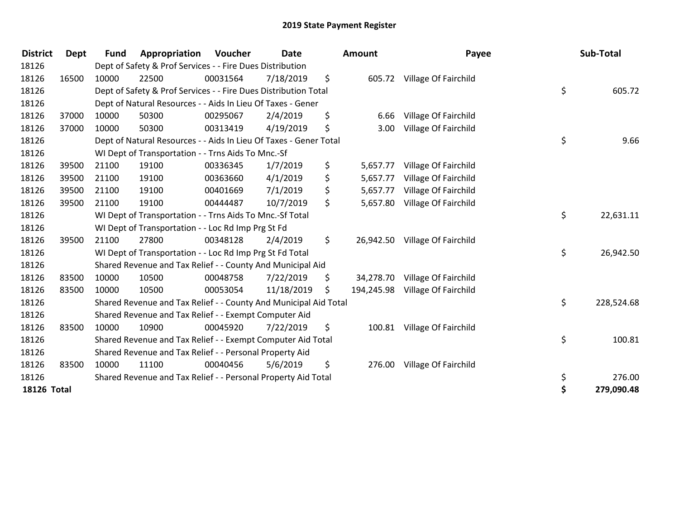| <b>District</b>    | <b>Dept</b> | <b>Fund</b> | Appropriation                                                     | Voucher  | <b>Date</b> | <b>Amount</b>  | Payee                           | Sub-Total        |
|--------------------|-------------|-------------|-------------------------------------------------------------------|----------|-------------|----------------|---------------------------------|------------------|
| 18126              |             |             | Dept of Safety & Prof Services - - Fire Dues Distribution         |          |             |                |                                 |                  |
| 18126              | 16500       | 10000       | 22500                                                             | 00031564 | 7/18/2019   | \$             | 605.72 Village Of Fairchild     |                  |
| 18126              |             |             | Dept of Safety & Prof Services - - Fire Dues Distribution Total   |          |             |                |                                 | \$<br>605.72     |
| 18126              |             |             | Dept of Natural Resources - - Aids In Lieu Of Taxes - Gener       |          |             |                |                                 |                  |
| 18126              | 37000       | 10000       | 50300                                                             | 00295067 | 2/4/2019    | \$<br>6.66     | Village Of Fairchild            |                  |
| 18126              | 37000       | 10000       | 50300                                                             | 00313419 | 4/19/2019   | \$<br>3.00     | Village Of Fairchild            |                  |
| 18126              |             |             | Dept of Natural Resources - - Aids In Lieu Of Taxes - Gener Total |          |             |                |                                 | \$<br>9.66       |
| 18126              |             |             | WI Dept of Transportation - - Trns Aids To Mnc.-Sf                |          |             |                |                                 |                  |
| 18126              | 39500       | 21100       | 19100                                                             | 00336345 | 1/7/2019    | \$<br>5,657.77 | Village Of Fairchild            |                  |
| 18126              | 39500       | 21100       | 19100                                                             | 00363660 | 4/1/2019    | \$<br>5,657.77 | Village Of Fairchild            |                  |
| 18126              | 39500       | 21100       | 19100                                                             | 00401669 | 7/1/2019    | \$<br>5,657.77 | Village Of Fairchild            |                  |
| 18126              | 39500       | 21100       | 19100                                                             | 00444487 | 10/7/2019   | \$<br>5,657.80 | Village Of Fairchild            |                  |
| 18126              |             |             | WI Dept of Transportation - - Trns Aids To Mnc.-Sf Total          |          |             |                |                                 | \$<br>22,631.11  |
| 18126              |             |             | WI Dept of Transportation - - Loc Rd Imp Prg St Fd                |          |             |                |                                 |                  |
| 18126              | 39500       | 21100       | 27800                                                             | 00348128 | 2/4/2019    | \$             | 26,942.50 Village Of Fairchild  |                  |
| 18126              |             |             | WI Dept of Transportation - - Loc Rd Imp Prg St Fd Total          |          |             |                |                                 | \$<br>26,942.50  |
| 18126              |             |             | Shared Revenue and Tax Relief - - County And Municipal Aid        |          |             |                |                                 |                  |
| 18126              | 83500       | 10000       | 10500                                                             | 00048758 | 7/22/2019   | \$             | 34,278.70 Village Of Fairchild  |                  |
| 18126              | 83500       | 10000       | 10500                                                             | 00053054 | 11/18/2019  | \$             | 194,245.98 Village Of Fairchild |                  |
| 18126              |             |             | Shared Revenue and Tax Relief - - County And Municipal Aid Total  |          |             |                |                                 | \$<br>228,524.68 |
| 18126              |             |             | Shared Revenue and Tax Relief - - Exempt Computer Aid             |          |             |                |                                 |                  |
| 18126              | 83500       | 10000       | 10900                                                             | 00045920 | 7/22/2019   | \$             | 100.81 Village Of Fairchild     |                  |
| 18126              |             |             | Shared Revenue and Tax Relief - - Exempt Computer Aid Total       |          |             |                |                                 | \$<br>100.81     |
| 18126              |             |             | Shared Revenue and Tax Relief - - Personal Property Aid           |          |             |                |                                 |                  |
| 18126              | 83500       | 10000       | 11100                                                             | 00040456 | 5/6/2019    | \$             | 276.00 Village Of Fairchild     |                  |
| 18126              |             |             | Shared Revenue and Tax Relief - - Personal Property Aid Total     |          |             |                |                                 | \$<br>276.00     |
| <b>18126 Total</b> |             |             |                                                                   |          |             |                |                                 | \$<br>279,090.48 |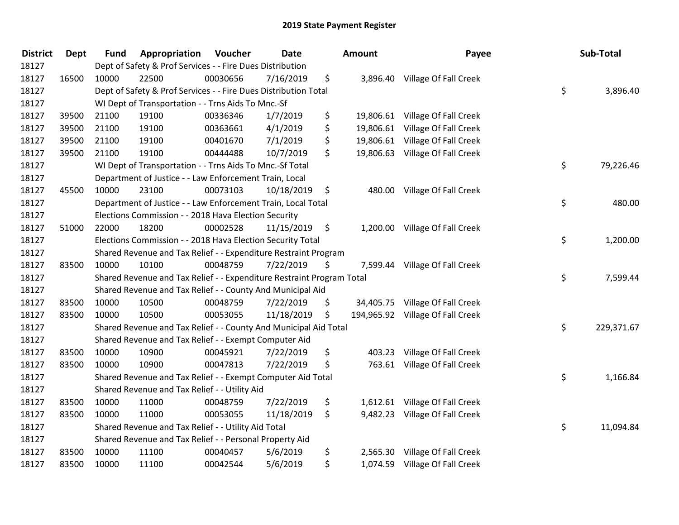| <b>District</b> | <b>Dept</b> | <b>Fund</b> | Appropriation                                                         | Voucher  | Date       |                    | <b>Amount</b> | Payee                            | Sub-Total        |
|-----------------|-------------|-------------|-----------------------------------------------------------------------|----------|------------|--------------------|---------------|----------------------------------|------------------|
| 18127           |             |             | Dept of Safety & Prof Services - - Fire Dues Distribution             |          |            |                    |               |                                  |                  |
| 18127           | 16500       | 10000       | 22500                                                                 | 00030656 | 7/16/2019  | \$                 |               | 3,896.40 Village Of Fall Creek   |                  |
| 18127           |             |             | Dept of Safety & Prof Services - - Fire Dues Distribution Total       |          |            |                    |               |                                  | \$<br>3,896.40   |
| 18127           |             |             | WI Dept of Transportation - - Trns Aids To Mnc.-Sf                    |          |            |                    |               |                                  |                  |
| 18127           | 39500       | 21100       | 19100                                                                 | 00336346 | 1/7/2019   | \$                 | 19,806.61     | Village Of Fall Creek            |                  |
| 18127           | 39500       | 21100       | 19100                                                                 | 00363661 | 4/1/2019   | \$                 | 19,806.61     | Village Of Fall Creek            |                  |
| 18127           | 39500       | 21100       | 19100                                                                 | 00401670 | 7/1/2019   | \$                 |               | 19,806.61 Village Of Fall Creek  |                  |
| 18127           | 39500       | 21100       | 19100                                                                 | 00444488 | 10/7/2019  | \$                 |               | 19,806.63 Village Of Fall Creek  |                  |
| 18127           |             |             | WI Dept of Transportation - - Trns Aids To Mnc.-Sf Total              |          |            |                    |               |                                  | \$<br>79,226.46  |
| 18127           |             |             | Department of Justice - - Law Enforcement Train, Local                |          |            |                    |               |                                  |                  |
| 18127           | 45500       | 10000       | 23100                                                                 | 00073103 | 10/18/2019 | \$                 |               | 480.00 Village Of Fall Creek     |                  |
| 18127           |             |             | Department of Justice - - Law Enforcement Train, Local Total          |          |            |                    |               |                                  | \$<br>480.00     |
| 18127           |             |             | Elections Commission - - 2018 Hava Election Security                  |          |            |                    |               |                                  |                  |
| 18127           | 51000       | 22000       | 18200                                                                 | 00002528 | 11/15/2019 | $\ddot{\varsigma}$ |               | 1,200.00 Village Of Fall Creek   |                  |
| 18127           |             |             | Elections Commission - - 2018 Hava Election Security Total            |          |            |                    |               |                                  | \$<br>1,200.00   |
| 18127           |             |             | Shared Revenue and Tax Relief - - Expenditure Restraint Program       |          |            |                    |               |                                  |                  |
| 18127           | 83500       | 10000       | 10100                                                                 | 00048759 | 7/22/2019  | \$                 | 7,599.44      | Village Of Fall Creek            |                  |
| 18127           |             |             | Shared Revenue and Tax Relief - - Expenditure Restraint Program Total |          |            |                    |               |                                  | \$<br>7,599.44   |
| 18127           |             |             | Shared Revenue and Tax Relief - - County And Municipal Aid            |          |            |                    |               |                                  |                  |
| 18127           | 83500       | 10000       | 10500                                                                 | 00048759 | 7/22/2019  | \$                 |               | 34,405.75 Village Of Fall Creek  |                  |
| 18127           | 83500       | 10000       | 10500                                                                 | 00053055 | 11/18/2019 | \$                 |               | 194,965.92 Village Of Fall Creek |                  |
| 18127           |             |             | Shared Revenue and Tax Relief - - County And Municipal Aid Total      |          |            |                    |               |                                  | \$<br>229,371.67 |
| 18127           |             |             | Shared Revenue and Tax Relief - - Exempt Computer Aid                 |          |            |                    |               |                                  |                  |
| 18127           | 83500       | 10000       | 10900                                                                 | 00045921 | 7/22/2019  | \$                 | 403.23        | Village Of Fall Creek            |                  |
| 18127           | 83500       | 10000       | 10900                                                                 | 00047813 | 7/22/2019  | \$                 | 763.61        | Village Of Fall Creek            |                  |
| 18127           |             |             | Shared Revenue and Tax Relief - - Exempt Computer Aid Total           |          |            |                    |               |                                  | \$<br>1,166.84   |
| 18127           |             |             | Shared Revenue and Tax Relief - - Utility Aid                         |          |            |                    |               |                                  |                  |
| 18127           | 83500       | 10000       | 11000                                                                 | 00048759 | 7/22/2019  | \$                 |               | 1,612.61 Village Of Fall Creek   |                  |
| 18127           | 83500       | 10000       | 11000                                                                 | 00053055 | 11/18/2019 | \$                 |               | 9,482.23 Village Of Fall Creek   |                  |
| 18127           |             |             | Shared Revenue and Tax Relief - - Utility Aid Total                   |          |            |                    |               |                                  | \$<br>11,094.84  |
| 18127           |             |             | Shared Revenue and Tax Relief - - Personal Property Aid               |          |            |                    |               |                                  |                  |
| 18127           | 83500       | 10000       | 11100                                                                 | 00040457 | 5/6/2019   | \$                 | 2,565.30      | Village Of Fall Creek            |                  |
| 18127           | 83500       | 10000       | 11100                                                                 | 00042544 | 5/6/2019   | \$                 | 1,074.59      | Village Of Fall Creek            |                  |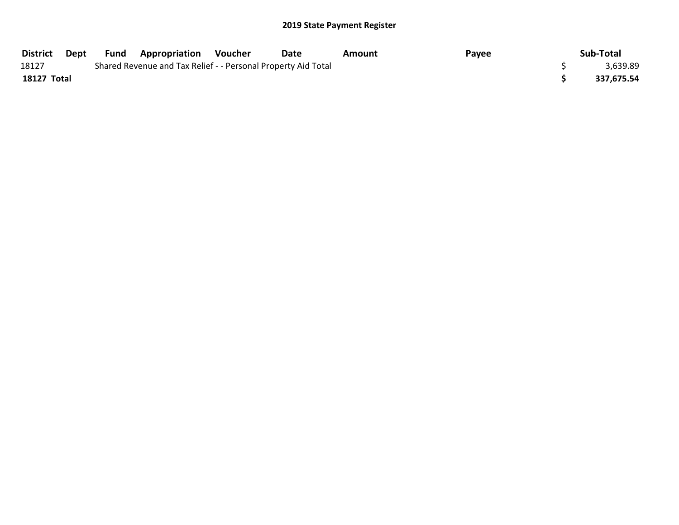| District    | Dept | <b>Fund Appropriation</b>                                     | Voucher | Date | Amount | Payee | Sub-Total  |
|-------------|------|---------------------------------------------------------------|---------|------|--------|-------|------------|
| 18127       |      | Shared Revenue and Tax Relief - - Personal Property Aid Total |         |      |        |       | 3,639.89   |
| 18127 Total |      |                                                               |         |      |        |       | 337,675.54 |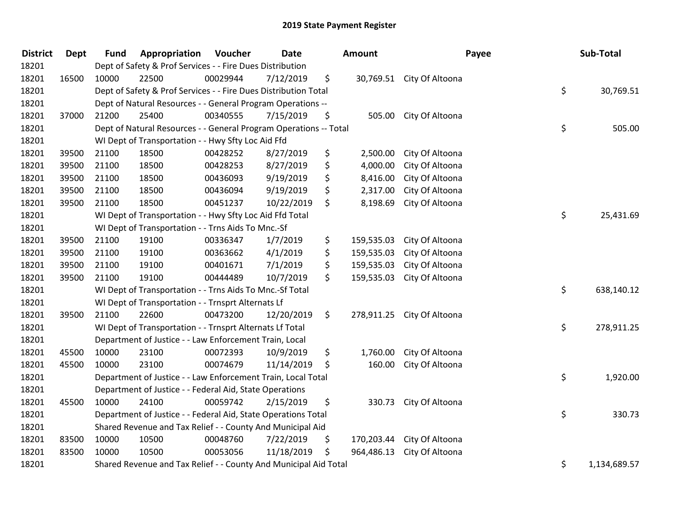| <b>District</b> | <b>Dept</b> | <b>Fund</b> | Appropriation                                                     | Voucher  | Date       | <b>Amount</b>    |                           | Payee | Sub-Total    |
|-----------------|-------------|-------------|-------------------------------------------------------------------|----------|------------|------------------|---------------------------|-------|--------------|
| 18201           |             |             | Dept of Safety & Prof Services - - Fire Dues Distribution         |          |            |                  |                           |       |              |
| 18201           | 16500       | 10000       | 22500                                                             | 00029944 | 7/12/2019  | \$               | 30,769.51 City Of Altoona |       |              |
| 18201           |             |             | Dept of Safety & Prof Services - - Fire Dues Distribution Total   |          |            |                  |                           | \$    | 30,769.51    |
| 18201           |             |             | Dept of Natural Resources - - General Program Operations --       |          |            |                  |                           |       |              |
| 18201           | 37000       | 21200       | 25400                                                             | 00340555 | 7/15/2019  | \$<br>505.00     | City Of Altoona           |       |              |
| 18201           |             |             | Dept of Natural Resources - - General Program Operations -- Total |          |            |                  |                           | \$    | 505.00       |
| 18201           |             |             | WI Dept of Transportation - - Hwy Sfty Loc Aid Ffd                |          |            |                  |                           |       |              |
| 18201           | 39500       | 21100       | 18500                                                             | 00428252 | 8/27/2019  | \$<br>2,500.00   | City Of Altoona           |       |              |
| 18201           | 39500       | 21100       | 18500                                                             | 00428253 | 8/27/2019  | \$<br>4,000.00   | City Of Altoona           |       |              |
| 18201           | 39500       | 21100       | 18500                                                             | 00436093 | 9/19/2019  | \$<br>8,416.00   | City Of Altoona           |       |              |
| 18201           | 39500       | 21100       | 18500                                                             | 00436094 | 9/19/2019  | \$<br>2,317.00   | City Of Altoona           |       |              |
| 18201           | 39500       | 21100       | 18500                                                             | 00451237 | 10/22/2019 | \$<br>8,198.69   | City Of Altoona           |       |              |
| 18201           |             |             | WI Dept of Transportation - - Hwy Sfty Loc Aid Ffd Total          |          |            |                  |                           | \$    | 25,431.69    |
| 18201           |             |             | WI Dept of Transportation - - Trns Aids To Mnc.-Sf                |          |            |                  |                           |       |              |
| 18201           | 39500       | 21100       | 19100                                                             | 00336347 | 1/7/2019   | \$<br>159,535.03 | City Of Altoona           |       |              |
| 18201           | 39500       | 21100       | 19100                                                             | 00363662 | 4/1/2019   | \$<br>159,535.03 | City Of Altoona           |       |              |
| 18201           | 39500       | 21100       | 19100                                                             | 00401671 | 7/1/2019   | \$<br>159,535.03 | City Of Altoona           |       |              |
| 18201           | 39500       | 21100       | 19100                                                             | 00444489 | 10/7/2019  | \$<br>159,535.03 | City Of Altoona           |       |              |
| 18201           |             |             | WI Dept of Transportation - - Trns Aids To Mnc.-Sf Total          |          |            |                  |                           | \$    | 638,140.12   |
| 18201           |             |             | WI Dept of Transportation - - Trnsprt Alternats Lf                |          |            |                  |                           |       |              |
| 18201           | 39500       | 21100       | 22600                                                             | 00473200 | 12/20/2019 | \$<br>278,911.25 | City Of Altoona           |       |              |
| 18201           |             |             | WI Dept of Transportation - - Trnsprt Alternats Lf Total          |          |            |                  |                           | \$    | 278,911.25   |
| 18201           |             |             | Department of Justice - - Law Enforcement Train, Local            |          |            |                  |                           |       |              |
| 18201           | 45500       | 10000       | 23100                                                             | 00072393 | 10/9/2019  | \$<br>1,760.00   | City Of Altoona           |       |              |
| 18201           | 45500       | 10000       | 23100                                                             | 00074679 | 11/14/2019 | \$<br>160.00     | City Of Altoona           |       |              |
| 18201           |             |             | Department of Justice - - Law Enforcement Train, Local Total      |          |            |                  |                           | \$    | 1,920.00     |
| 18201           |             |             | Department of Justice - - Federal Aid, State Operations           |          |            |                  |                           |       |              |
| 18201           | 45500       | 10000       | 24100                                                             | 00059742 | 2/15/2019  | \$<br>330.73     | City Of Altoona           |       |              |
| 18201           |             |             | Department of Justice - - Federal Aid, State Operations Total     |          |            |                  |                           | \$    | 330.73       |
| 18201           |             |             | Shared Revenue and Tax Relief - - County And Municipal Aid        |          |            |                  |                           |       |              |
| 18201           | 83500       | 10000       | 10500                                                             | 00048760 | 7/22/2019  | \$<br>170,203.44 | City Of Altoona           |       |              |
| 18201           | 83500       | 10000       | 10500                                                             | 00053056 | 11/18/2019 | \$<br>964,486.13 | City Of Altoona           |       |              |
| 18201           |             |             | Shared Revenue and Tax Relief - - County And Municipal Aid Total  |          |            |                  |                           | \$    | 1,134,689.57 |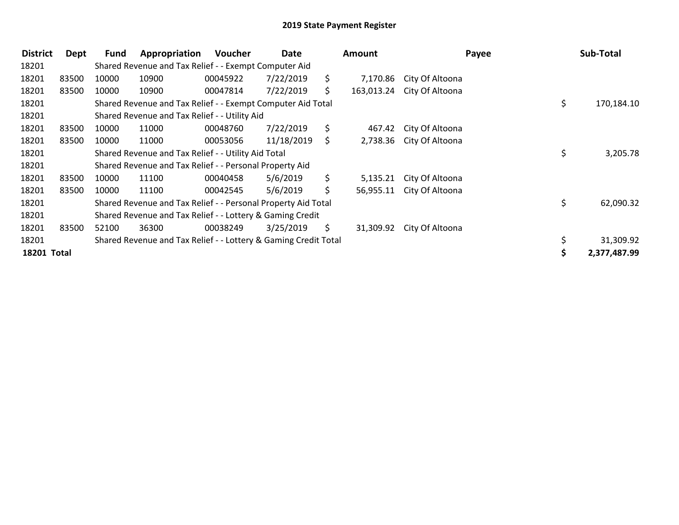| <b>District</b> | Dept  | Fund  | Appropriation                                                   | <b>Voucher</b> | Date       |     | Amount     |                 | Payee | Sub-Total    |
|-----------------|-------|-------|-----------------------------------------------------------------|----------------|------------|-----|------------|-----------------|-------|--------------|
| 18201           |       |       | Shared Revenue and Tax Relief - - Exempt Computer Aid           |                |            |     |            |                 |       |              |
| 18201           | 83500 | 10000 | 10900                                                           | 00045922       | 7/22/2019  | S.  | 7,170.86   | City Of Altoona |       |              |
| 18201           | 83500 | 10000 | 10900                                                           | 00047814       | 7/22/2019  | S.  | 163,013.24 | City Of Altoona |       |              |
| 18201           |       |       | Shared Revenue and Tax Relief - - Exempt Computer Aid Total     |                |            |     |            |                 | \$    | 170,184.10   |
| 18201           |       |       | Shared Revenue and Tax Relief - - Utility Aid                   |                |            |     |            |                 |       |              |
| 18201           | 83500 | 10000 | 11000                                                           | 00048760       | 7/22/2019  | \$  | 467.42     | City Of Altoona |       |              |
| 18201           | 83500 | 10000 | 11000                                                           | 00053056       | 11/18/2019 | S.  | 2,738.36   | City Of Altoona |       |              |
| 18201           |       |       | Shared Revenue and Tax Relief - - Utility Aid Total             |                |            |     |            |                 | \$    | 3,205.78     |
| 18201           |       |       | Shared Revenue and Tax Relief - - Personal Property Aid         |                |            |     |            |                 |       |              |
| 18201           | 83500 | 10000 | 11100                                                           | 00040458       | 5/6/2019   | \$. | 5,135.21   | City Of Altoona |       |              |
| 18201           | 83500 | 10000 | 11100                                                           | 00042545       | 5/6/2019   | \$  | 56,955.11  | City Of Altoona |       |              |
| 18201           |       |       | Shared Revenue and Tax Relief - - Personal Property Aid Total   |                |            |     |            |                 | \$    | 62,090.32    |
| 18201           |       |       | Shared Revenue and Tax Relief - - Lottery & Gaming Credit       |                |            |     |            |                 |       |              |
| 18201           | 83500 | 52100 | 36300                                                           | 00038249       | 3/25/2019  | S.  | 31,309.92  | City Of Altoona |       |              |
| 18201           |       |       | Shared Revenue and Tax Relief - - Lottery & Gaming Credit Total |                |            |     |            |                 |       | 31,309.92    |
| 18201 Total     |       |       |                                                                 |                |            |     |            |                 |       | 2,377,487.99 |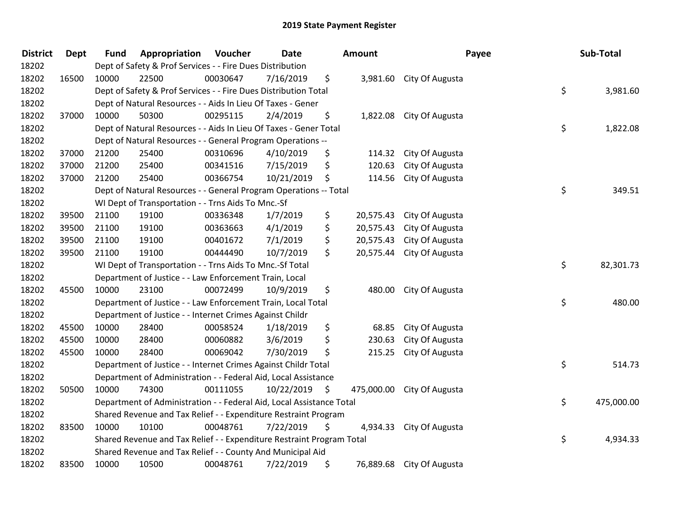| <b>District</b> | Dept  | <b>Fund</b> | Appropriation                                                         | Voucher  | <b>Date</b> |     | <b>Amount</b> | Payee                     | Sub-Total        |
|-----------------|-------|-------------|-----------------------------------------------------------------------|----------|-------------|-----|---------------|---------------------------|------------------|
| 18202           |       |             | Dept of Safety & Prof Services - - Fire Dues Distribution             |          |             |     |               |                           |                  |
| 18202           | 16500 | 10000       | 22500                                                                 | 00030647 | 7/16/2019   | \$  |               | 3,981.60 City Of Augusta  |                  |
| 18202           |       |             | Dept of Safety & Prof Services - - Fire Dues Distribution Total       |          |             |     |               |                           | \$<br>3,981.60   |
| 18202           |       |             | Dept of Natural Resources - - Aids In Lieu Of Taxes - Gener           |          |             |     |               |                           |                  |
| 18202           | 37000 | 10000       | 50300                                                                 | 00295115 | 2/4/2019    | \$  |               | 1,822.08 City Of Augusta  |                  |
| 18202           |       |             | Dept of Natural Resources - - Aids In Lieu Of Taxes - Gener Total     |          |             |     |               |                           | \$<br>1,822.08   |
| 18202           |       |             | Dept of Natural Resources - - General Program Operations --           |          |             |     |               |                           |                  |
| 18202           | 37000 | 21200       | 25400                                                                 | 00310696 | 4/10/2019   | \$  | 114.32        | City Of Augusta           |                  |
| 18202           | 37000 | 21200       | 25400                                                                 | 00341516 | 7/15/2019   | \$  | 120.63        | City Of Augusta           |                  |
| 18202           | 37000 | 21200       | 25400                                                                 | 00366754 | 10/21/2019  | \$  | 114.56        | City Of Augusta           |                  |
| 18202           |       |             | Dept of Natural Resources - - General Program Operations -- Total     |          |             |     |               |                           | \$<br>349.51     |
| 18202           |       |             | WI Dept of Transportation - - Trns Aids To Mnc.-Sf                    |          |             |     |               |                           |                  |
| 18202           | 39500 | 21100       | 19100                                                                 | 00336348 | 1/7/2019    | \$  | 20,575.43     | City Of Augusta           |                  |
| 18202           | 39500 | 21100       | 19100                                                                 | 00363663 | 4/1/2019    | \$  | 20,575.43     | City Of Augusta           |                  |
| 18202           | 39500 | 21100       | 19100                                                                 | 00401672 | 7/1/2019    | \$  | 20,575.43     | City Of Augusta           |                  |
| 18202           | 39500 | 21100       | 19100                                                                 | 00444490 | 10/7/2019   | \$  | 20,575.44     | City Of Augusta           |                  |
| 18202           |       |             | WI Dept of Transportation - - Trns Aids To Mnc.-Sf Total              |          |             |     |               |                           | \$<br>82,301.73  |
| 18202           |       |             | Department of Justice - - Law Enforcement Train, Local                |          |             |     |               |                           |                  |
| 18202           | 45500 | 10000       | 23100                                                                 | 00072499 | 10/9/2019   | \$  | 480.00        | City Of Augusta           |                  |
| 18202           |       |             | Department of Justice - - Law Enforcement Train, Local Total          |          |             |     |               |                           | \$<br>480.00     |
| 18202           |       |             | Department of Justice - - Internet Crimes Against Childr              |          |             |     |               |                           |                  |
| 18202           | 45500 | 10000       | 28400                                                                 | 00058524 | 1/18/2019   | \$  | 68.85         | City Of Augusta           |                  |
| 18202           | 45500 | 10000       | 28400                                                                 | 00060882 | 3/6/2019    | \$  | 230.63        | City Of Augusta           |                  |
| 18202           | 45500 | 10000       | 28400                                                                 | 00069042 | 7/30/2019   | \$  | 215.25        | City Of Augusta           |                  |
| 18202           |       |             | Department of Justice - - Internet Crimes Against Childr Total        |          |             |     |               |                           | \$<br>514.73     |
| 18202           |       |             | Department of Administration - - Federal Aid, Local Assistance        |          |             |     |               |                           |                  |
| 18202           | 50500 | 10000       | 74300                                                                 | 00111055 | 10/22/2019  | \$. | 475,000.00    | City Of Augusta           |                  |
| 18202           |       |             | Department of Administration - - Federal Aid, Local Assistance Total  |          |             |     |               |                           | \$<br>475,000.00 |
| 18202           |       |             | Shared Revenue and Tax Relief - - Expenditure Restraint Program       |          |             |     |               |                           |                  |
| 18202           | 83500 | 10000       | 10100                                                                 | 00048761 | 7/22/2019   | \$  | 4,934.33      | City Of Augusta           |                  |
| 18202           |       |             | Shared Revenue and Tax Relief - - Expenditure Restraint Program Total |          |             |     |               |                           | \$<br>4,934.33   |
| 18202           |       |             | Shared Revenue and Tax Relief - - County And Municipal Aid            |          |             |     |               |                           |                  |
| 18202           | 83500 | 10000       | 10500                                                                 | 00048761 | 7/22/2019   | \$  |               | 76,889.68 City Of Augusta |                  |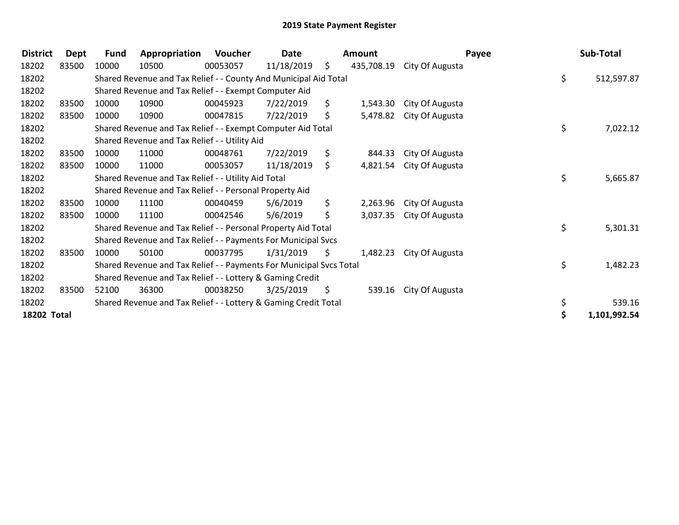| <b>District</b> | <b>Dept</b> | <b>Fund</b> | Appropriation                                                       | Voucher  | Date       |     | <b>Amount</b> |                 | Payee | Sub-Total        |
|-----------------|-------------|-------------|---------------------------------------------------------------------|----------|------------|-----|---------------|-----------------|-------|------------------|
| 18202           | 83500       | 10000       | 10500                                                               | 00053057 | 11/18/2019 | \$  | 435,708.19    | City Of Augusta |       |                  |
| 18202           |             |             | Shared Revenue and Tax Relief - - County And Municipal Aid Total    |          |            |     |               |                 |       | \$<br>512,597.87 |
| 18202           |             |             | Shared Revenue and Tax Relief - - Exempt Computer Aid               |          |            |     |               |                 |       |                  |
| 18202           | 83500       | 10000       | 10900                                                               | 00045923 | 7/22/2019  | \$. | 1,543.30      | City Of Augusta |       |                  |
| 18202           | 83500       | 10000       | 10900                                                               | 00047815 | 7/22/2019  | \$  | 5,478.82      | City Of Augusta |       |                  |
| 18202           |             |             | Shared Revenue and Tax Relief - - Exempt Computer Aid Total         |          |            |     |               |                 |       | \$<br>7,022.12   |
| 18202           |             |             | Shared Revenue and Tax Relief - - Utility Aid                       |          |            |     |               |                 |       |                  |
| 18202           | 83500       | 10000       | 11000                                                               | 00048761 | 7/22/2019  | \$. | 844.33        | City Of Augusta |       |                  |
| 18202           | 83500       | 10000       | 11000                                                               | 00053057 | 11/18/2019 | \$  | 4,821.54      | City Of Augusta |       |                  |
| 18202           |             |             | Shared Revenue and Tax Relief - - Utility Aid Total                 |          |            |     |               |                 |       | \$<br>5,665.87   |
| 18202           |             |             | Shared Revenue and Tax Relief - - Personal Property Aid             |          |            |     |               |                 |       |                  |
| 18202           | 83500       | 10000       | 11100                                                               | 00040459 | 5/6/2019   | \$. | 2,263.96      | City Of Augusta |       |                  |
| 18202           | 83500       | 10000       | 11100                                                               | 00042546 | 5/6/2019   | \$  | 3,037.35      | City Of Augusta |       |                  |
| 18202           |             |             | Shared Revenue and Tax Relief - - Personal Property Aid Total       |          |            |     |               |                 |       | \$<br>5,301.31   |
| 18202           |             |             | Shared Revenue and Tax Relief - - Payments For Municipal Svcs       |          |            |     |               |                 |       |                  |
| 18202           | 83500       | 10000       | 50100                                                               | 00037795 | 1/31/2019  | S.  | 1,482.23      | City Of Augusta |       |                  |
| 18202           |             |             | Shared Revenue and Tax Relief - - Payments For Municipal Svcs Total |          |            |     |               |                 |       | \$<br>1,482.23   |
| 18202           |             |             | Shared Revenue and Tax Relief - - Lottery & Gaming Credit           |          |            |     |               |                 |       |                  |
| 18202           | 83500       | 52100       | 36300                                                               | 00038250 | 3/25/2019  | \$  | 539.16        | City Of Augusta |       |                  |
| 18202           |             |             | Shared Revenue and Tax Relief - - Lottery & Gaming Credit Total     |          |            |     |               |                 |       | \$<br>539.16     |
| 18202 Total     |             |             |                                                                     |          |            |     |               |                 |       | 1,101,992.54     |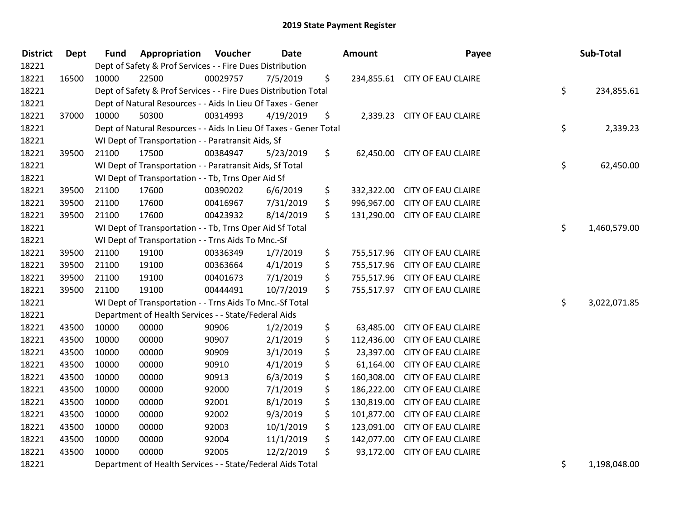| <b>District</b> | <b>Dept</b> | <b>Fund</b> | <b>Appropriation Voucher</b>                                      |          | <b>Date</b> | <b>Amount</b>    | Payee                         | Sub-Total          |
|-----------------|-------------|-------------|-------------------------------------------------------------------|----------|-------------|------------------|-------------------------------|--------------------|
| 18221           |             |             | Dept of Safety & Prof Services - - Fire Dues Distribution         |          |             |                  |                               |                    |
| 18221           | 16500       | 10000       | 22500                                                             | 00029757 | 7/5/2019    | \$               | 234,855.61 CITY OF EAU CLAIRE |                    |
| 18221           |             |             | Dept of Safety & Prof Services - - Fire Dues Distribution Total   |          |             |                  |                               | \$<br>234,855.61   |
| 18221           |             |             | Dept of Natural Resources - - Aids In Lieu Of Taxes - Gener       |          |             |                  |                               |                    |
| 18221           | 37000       | 10000       | 50300                                                             | 00314993 | 4/19/2019   | \$               | 2,339.23 CITY OF EAU CLAIRE   |                    |
| 18221           |             |             | Dept of Natural Resources - - Aids In Lieu Of Taxes - Gener Total |          |             |                  |                               | \$<br>2,339.23     |
| 18221           |             |             | WI Dept of Transportation - - Paratransit Aids, Sf                |          |             |                  |                               |                    |
| 18221           | 39500       | 21100       | 17500                                                             | 00384947 | 5/23/2019   | \$               | 62,450.00 CITY OF EAU CLAIRE  |                    |
| 18221           |             |             | WI Dept of Transportation - - Paratransit Aids, Sf Total          |          |             |                  |                               | \$<br>62,450.00    |
| 18221           |             |             | WI Dept of Transportation - - Tb, Trns Oper Aid Sf                |          |             |                  |                               |                    |
| 18221           | 39500       | 21100       | 17600                                                             | 00390202 | 6/6/2019    | \$               | 332,322.00 CITY OF EAU CLAIRE |                    |
| 18221           | 39500       | 21100       | 17600                                                             | 00416967 | 7/31/2019   | \$               | 996,967.00 CITY OF EAU CLAIRE |                    |
| 18221           | 39500       | 21100       | 17600                                                             | 00423932 | 8/14/2019   | \$               | 131,290.00 CITY OF EAU CLAIRE |                    |
| 18221           |             |             | WI Dept of Transportation - - Tb, Trns Oper Aid Sf Total          |          |             |                  |                               | \$<br>1,460,579.00 |
| 18221           |             |             | WI Dept of Transportation - - Trns Aids To Mnc.-Sf                |          |             |                  |                               |                    |
| 18221           | 39500       | 21100       | 19100                                                             | 00336349 | 1/7/2019    | \$<br>755,517.96 | <b>CITY OF EAU CLAIRE</b>     |                    |
| 18221           | 39500       | 21100       | 19100                                                             | 00363664 | 4/1/2019    | \$               | 755,517.96 CITY OF EAU CLAIRE |                    |
| 18221           | 39500       | 21100       | 19100                                                             | 00401673 | 7/1/2019    | \$               | 755,517.96 CITY OF EAU CLAIRE |                    |
| 18221           | 39500       | 21100       | 19100                                                             | 00444491 | 10/7/2019   | \$               | 755,517.97 CITY OF EAU CLAIRE |                    |
| 18221           |             |             | WI Dept of Transportation - - Trns Aids To Mnc.-Sf Total          |          |             |                  |                               | \$<br>3,022,071.85 |
| 18221           |             |             | Department of Health Services - - State/Federal Aids              |          |             |                  |                               |                    |
| 18221           | 43500       | 10000       | 00000                                                             | 90906    | 1/2/2019    | \$               | 63,485.00 CITY OF EAU CLAIRE  |                    |
| 18221           | 43500       | 10000       | 00000                                                             | 90907    | 2/1/2019    | \$<br>112,436.00 | <b>CITY OF EAU CLAIRE</b>     |                    |
| 18221           | 43500       | 10000       | 00000                                                             | 90909    | 3/1/2019    | \$<br>23,397.00  | <b>CITY OF EAU CLAIRE</b>     |                    |
| 18221           | 43500       | 10000       | 00000                                                             | 90910    | 4/1/2019    | \$<br>61,164.00  | <b>CITY OF EAU CLAIRE</b>     |                    |
| 18221           | 43500       | 10000       | 00000                                                             | 90913    | 6/3/2019    | \$<br>160,308.00 | <b>CITY OF EAU CLAIRE</b>     |                    |
| 18221           | 43500       | 10000       | 00000                                                             | 92000    | 7/1/2019    | \$<br>186,222.00 | <b>CITY OF EAU CLAIRE</b>     |                    |
| 18221           | 43500       | 10000       | 00000                                                             | 92001    | 8/1/2019    | \$<br>130,819.00 | <b>CITY OF EAU CLAIRE</b>     |                    |
| 18221           | 43500       | 10000       | 00000                                                             | 92002    | 9/3/2019    | \$<br>101,877.00 | <b>CITY OF EAU CLAIRE</b>     |                    |
| 18221           | 43500       | 10000       | 00000                                                             | 92003    | 10/1/2019   | \$<br>123,091.00 | <b>CITY OF EAU CLAIRE</b>     |                    |
| 18221           | 43500       | 10000       | 00000                                                             | 92004    | 11/1/2019   | \$<br>142,077.00 | <b>CITY OF EAU CLAIRE</b>     |                    |
| 18221           | 43500       | 10000       | 00000                                                             | 92005    | 12/2/2019   | \$<br>93,172.00  | <b>CITY OF EAU CLAIRE</b>     |                    |
| 18221           |             |             | Department of Health Services - - State/Federal Aids Total        |          |             |                  |                               | \$<br>1,198,048.00 |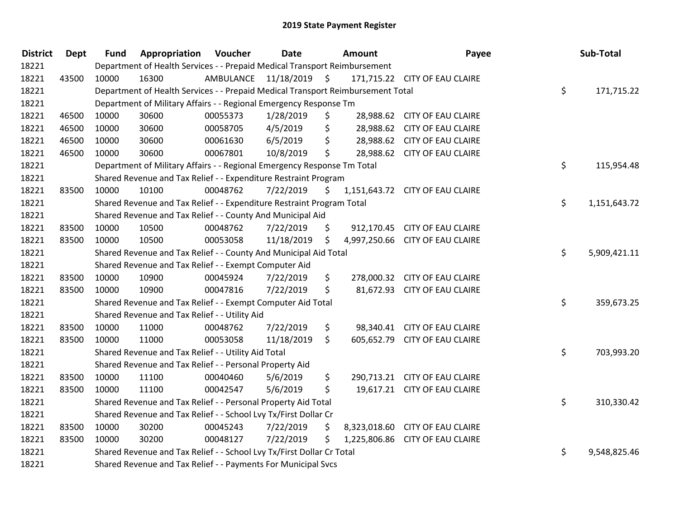| <b>District</b> | Dept  | <b>Fund</b> | <b>Appropriation Voucher</b>                                                    |           | <b>Date</b> |                     | <b>Amount</b> | Payee                           | Sub-Total          |
|-----------------|-------|-------------|---------------------------------------------------------------------------------|-----------|-------------|---------------------|---------------|---------------------------------|--------------------|
| 18221           |       |             | Department of Health Services - - Prepaid Medical Transport Reimbursement       |           |             |                     |               |                                 |                    |
| 18221           | 43500 | 10000       | 16300                                                                           | AMBULANCE | 11/18/2019  | $\ddot{\mathsf{s}}$ |               | 171,715.22 CITY OF EAU CLAIRE   |                    |
| 18221           |       |             | Department of Health Services - - Prepaid Medical Transport Reimbursement Total |           |             |                     |               |                                 | \$<br>171,715.22   |
| 18221           |       |             | Department of Military Affairs - - Regional Emergency Response Tm               |           |             |                     |               |                                 |                    |
| 18221           | 46500 | 10000       | 30600                                                                           | 00055373  | 1/28/2019   | \$                  |               | 28,988.62 CITY OF EAU CLAIRE    |                    |
| 18221           | 46500 | 10000       | 30600                                                                           | 00058705  | 4/5/2019    | \$                  |               | 28,988.62 CITY OF EAU CLAIRE    |                    |
| 18221           | 46500 | 10000       | 30600                                                                           | 00061630  | 6/5/2019    | \$                  |               | 28,988.62 CITY OF EAU CLAIRE    |                    |
| 18221           | 46500 | 10000       | 30600                                                                           | 00067801  | 10/8/2019   | \$                  |               | 28,988.62 CITY OF EAU CLAIRE    |                    |
| 18221           |       |             | Department of Military Affairs - - Regional Emergency Response Tm Total         |           |             |                     |               |                                 | \$<br>115,954.48   |
| 18221           |       |             | Shared Revenue and Tax Relief - - Expenditure Restraint Program                 |           |             |                     |               |                                 |                    |
| 18221           | 83500 | 10000       | 10100                                                                           | 00048762  | 7/22/2019   | \$                  |               | 1,151,643.72 CITY OF EAU CLAIRE |                    |
| 18221           |       |             | Shared Revenue and Tax Relief - - Expenditure Restraint Program Total           |           |             |                     |               |                                 | \$<br>1,151,643.72 |
| 18221           |       |             | Shared Revenue and Tax Relief - - County And Municipal Aid                      |           |             |                     |               |                                 |                    |
| 18221           | 83500 | 10000       | 10500                                                                           | 00048762  | 7/22/2019   | \$                  |               | 912,170.45 CITY OF EAU CLAIRE   |                    |
| 18221           | 83500 | 10000       | 10500                                                                           | 00053058  | 11/18/2019  | \$                  |               | 4,997,250.66 CITY OF EAU CLAIRE |                    |
| 18221           |       |             | Shared Revenue and Tax Relief - - County And Municipal Aid Total                |           |             |                     |               |                                 | \$<br>5,909,421.11 |
| 18221           |       |             | Shared Revenue and Tax Relief - - Exempt Computer Aid                           |           |             |                     |               |                                 |                    |
| 18221           | 83500 | 10000       | 10900                                                                           | 00045924  | 7/22/2019   | \$                  |               | 278,000.32 CITY OF EAU CLAIRE   |                    |
| 18221           | 83500 | 10000       | 10900                                                                           | 00047816  | 7/22/2019   | \$                  |               | 81,672.93 CITY OF EAU CLAIRE    |                    |
| 18221           |       |             | Shared Revenue and Tax Relief - - Exempt Computer Aid Total                     |           |             |                     |               |                                 | \$<br>359,673.25   |
| 18221           |       |             | Shared Revenue and Tax Relief - - Utility Aid                                   |           |             |                     |               |                                 |                    |
| 18221           | 83500 | 10000       | 11000                                                                           | 00048762  | 7/22/2019   | \$                  |               | 98,340.41 CITY OF EAU CLAIRE    |                    |
| 18221           | 83500 | 10000       | 11000                                                                           | 00053058  | 11/18/2019  | \$                  |               | 605,652.79 CITY OF EAU CLAIRE   |                    |
| 18221           |       |             | Shared Revenue and Tax Relief - - Utility Aid Total                             |           |             |                     |               |                                 | \$<br>703,993.20   |
| 18221           |       |             | Shared Revenue and Tax Relief - - Personal Property Aid                         |           |             |                     |               |                                 |                    |
| 18221           | 83500 | 10000       | 11100                                                                           | 00040460  | 5/6/2019    | \$                  |               | 290,713.21 CITY OF EAU CLAIRE   |                    |
| 18221           | 83500 | 10000       | 11100                                                                           | 00042547  | 5/6/2019    | \$                  |               | 19,617.21 CITY OF EAU CLAIRE    |                    |
| 18221           |       |             | Shared Revenue and Tax Relief - - Personal Property Aid Total                   |           |             |                     |               |                                 | \$<br>310,330.42   |
| 18221           |       |             | Shared Revenue and Tax Relief - - School Lvy Tx/First Dollar Cr                 |           |             |                     |               |                                 |                    |
| 18221           | 83500 | 10000       | 30200                                                                           | 00045243  | 7/22/2019   | \$                  |               | 8,323,018.60 CITY OF EAU CLAIRE |                    |
| 18221           | 83500 | 10000       | 30200                                                                           | 00048127  | 7/22/2019   | \$                  |               | 1,225,806.86 CITY OF EAU CLAIRE |                    |
| 18221           |       |             | Shared Revenue and Tax Relief - - School Lvy Tx/First Dollar Cr Total           |           |             |                     |               |                                 | \$<br>9,548,825.46 |
| 18221           |       |             | Shared Revenue and Tax Relief - - Payments For Municipal Svcs                   |           |             |                     |               |                                 |                    |